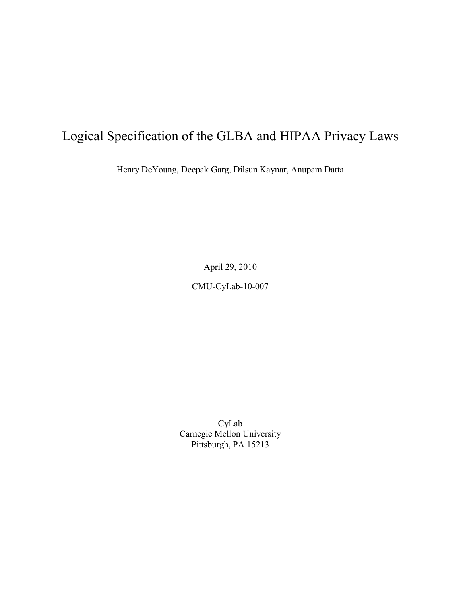# Logical Specification of the GLBA and HIPAA Privacy Laws

Henry DeYoung, Deepak Garg, Dilsun Kaynar, Anupam Datta

April 29, 2010

CMU-CyLab-10-007

CyLab Carnegie Mellon University Pittsburgh, PA 15213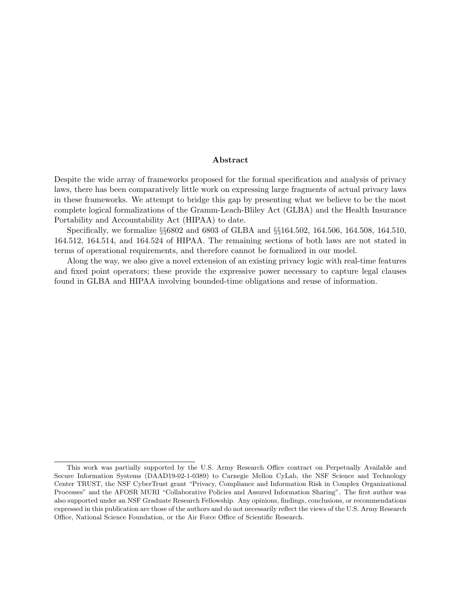#### Abstract

Despite the wide array of frameworks proposed for the formal specification and analysis of privacy laws, there has been comparatively little work on expressing large fragments of actual privacy laws in these frameworks. We attempt to bridge this gap by presenting what we believe to be the most complete logical formalizations of the Gramm-Leach-Bliley Act (GLBA) and the Health Insurance Portability and Accountability Act (HIPAA) to date.

Specifically, we formalize §§6802 and 6803 of GLBA and §§164.502, 164.506, 164.508, 164.510, 164.512, 164.514, and 164.524 of HIPAA. The remaining sections of both laws are not stated in terms of operational requirements, and therefore cannot be formalized in our model.

Along the way, we also give a novel extension of an existing privacy logic with real-time features and fixed point operators; these provide the expressive power necessary to capture legal clauses found in GLBA and HIPAA involving bounded-time obligations and reuse of information[.](#page-1-0)

<span id="page-1-0"></span>This work was partially supported by the U.S. Army Research Office contract on Perpetually Available and Secure Information Systems (DAAD19-02-1-0389) to Carnegie Mellon CyLab, the NSF Science and Technology Center TRUST, the NSF CyberTrust grant "Privacy, Compliance and Information Risk in Complex Organizational Processes" and the AFOSR MURI "Collaborative Policies and Assured Information Sharing". The first author was also supported under an NSF Graduate Research Fellowship. Any opinions, findings, conclusions, or recommendations expressed in this publication are those of the authors and do not necessarily reflect the views of the U.S. Army Research Office, National Science Foundation, or the Air Force Office of Scientific Research.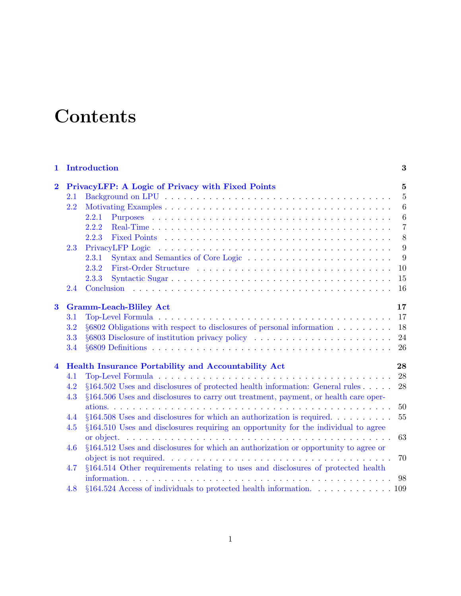# **Contents**

| $\mathbf{1}$            |         | Introduction                                                                            | 3                |
|-------------------------|---------|-----------------------------------------------------------------------------------------|------------------|
| $\overline{\mathbf{2}}$ |         | PrivacyLFP: A Logic of Privacy with Fixed Points                                        | $\mathbf{5}$     |
|                         | $2.1\,$ |                                                                                         | $\overline{5}$   |
|                         | 2.2     |                                                                                         | $\boldsymbol{6}$ |
|                         |         | 2.2.1                                                                                   | $6\phantom{.}6$  |
|                         |         | 2.2.2                                                                                   | $\overline{7}$   |
|                         |         | 2.2.3                                                                                   | 8                |
|                         | 2.3     |                                                                                         | 9                |
|                         |         | 2.3.1                                                                                   | 9                |
|                         |         | 2.3.2                                                                                   | 10               |
|                         |         | 2.3.3                                                                                   | 15               |
|                         | 2.4     |                                                                                         | 16               |
| $\bf{3}$                |         | <b>Gramm-Leach-Bliley Act</b>                                                           | 17               |
|                         | 3.1     |                                                                                         | 17               |
|                         | 3.2     | $\S6802$ Obligations with respect to disclosures of personal information                | 18               |
|                         | 3.3     |                                                                                         | 24               |
|                         | 3.4     |                                                                                         | 26               |
| $\overline{\mathbf{4}}$ |         | <b>Health Insurance Portability and Accountability Act</b>                              | 28               |
|                         | 4.1     |                                                                                         | 28               |
|                         | 4.2     | $\S 164.502$ Uses and disclosures of protected health information: General rules        | 28               |
|                         | 4.3     | §164.506 Uses and disclosures to carry out treatment, payment, or health care oper-     |                  |
|                         |         |                                                                                         | 50               |
|                         | 4.4     | $\S 164.508$ Uses and disclosures for which an authorization is required                | 55               |
|                         | 4.5     | §164.510 Uses and disclosures requiring an opportunity for the individual to agree      |                  |
|                         |         |                                                                                         | 63               |
|                         | 4.6     | $\S 164.512$ Uses and disclosures for which an authorization or opportunity to agree or |                  |
|                         |         |                                                                                         | 70               |
|                         | 4.7     | §164.514 Other requirements relating to uses and disclosures of protected health        |                  |
|                         |         |                                                                                         | 98               |
|                         | 4.8     | $\S 164.524$ Access of individuals to protected health information. 109                 |                  |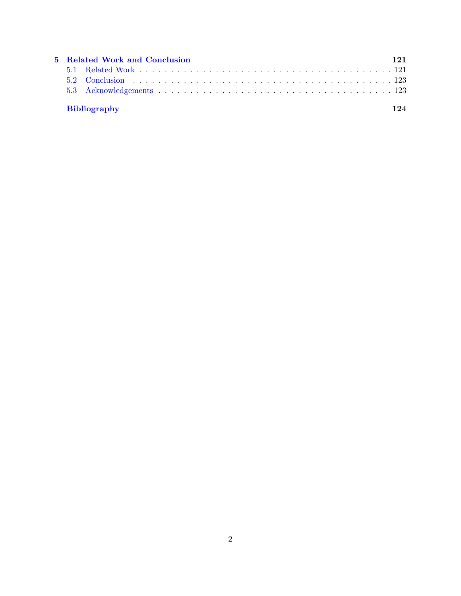| 5 Related Work and Conclusion |                     |      |  |
|-------------------------------|---------------------|------|--|
|                               |                     |      |  |
|                               |                     |      |  |
|                               |                     |      |  |
|                               | <b>Bibliography</b> | 12.4 |  |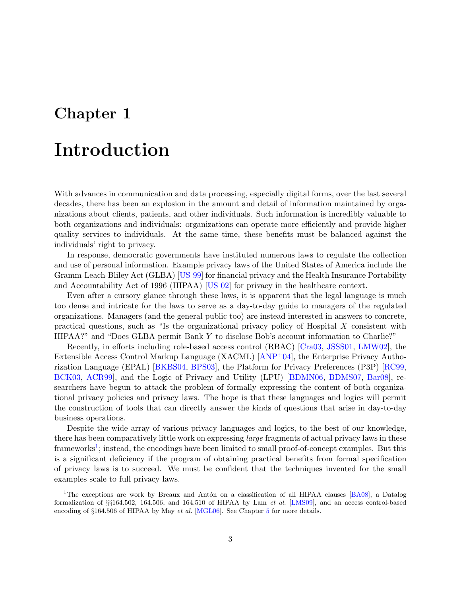# <span id="page-4-0"></span>Chapter 1

# Introduction

With advances in communication and data processing, especially digital forms, over the last several decades, there has been an explosion in the amount and detail of information maintained by organizations about clients, patients, and other individuals. Such information is incredibly valuable to both organizations and individuals: organizations can operate more efficiently and provide higher quality services to individuals. At the same time, these benefits must be balanced against the individuals' right to privacy.

In response, democratic governments have instituted numerous laws to regulate the collection and use of personal information. Example privacy laws of the United States of America include the Gramm-Leach-Bliley Act (GLBA) [\[US 99\]](#page-127-0) for financial privacy and the Health Insurance Portability and Accountability Act of 1996 (HIPAA) [\[US 02\]](#page-127-1) for privacy in the healthcare context.

Even after a cursory glance through these laws, it is apparent that the legal language is much too dense and intricate for the laws to serve as a day-to-day guide to managers of the regulated organizations. Managers (and the general public too) are instead interested in answers to concrete, practical questions, such as "Is the organizational privacy policy of Hospital X consistent with HIPAA?" and "Does GLBA permit Bank Y to disclose Bob's account information to Charlie?"

Recently, in efforts including role-based access control (RBAC) [\[Cra03,](#page-126-0) [JSSS01,](#page-126-1) [LMW02\]](#page-126-2), the Extensible Access Control Markup Language (XACML) [\[ANP](#page-125-0)+04], the Enterprise Privacy Authorization Language (EPAL) [\[BKBS04,](#page-126-3) [BPS03\]](#page-126-4), the Platform for Privacy Preferences (P3P) [\[RC99,](#page-127-2) [BCK03,](#page-125-1) [ACR99\]](#page-125-2), and the Logic of Privacy and Utility (LPU) [\[BDMN06,](#page-125-3) [BDMS07,](#page-125-4) [Bar08\]](#page-125-5), researchers have begun to attack the problem of formally expressing the content of both organizational privacy policies and privacy laws. The hope is that these languages and logics will permit the construction of tools that can directly answer the kinds of questions that arise in day-to-day business operations.

Despite the wide array of various privacy languages and logics, to the best of our knowledge, there has been comparatively little work on expressing large fragments of actual privacy laws in these frameworks<sup>[1](#page-4-1)</sup>; instead, the encodings have been limited to small proof-of-concept examples. But this is a significant deficiency if the program of obtaining practical benefits from formal specification of privacy laws is to succeed. We must be confident that the techniques invented for the small examples scale to full privacy laws.

<span id="page-4-1"></span><sup>&</sup>lt;sup>1</sup>The exceptions are work by Breaux and Antón on a classification of all HIPAA clauses [\[BA08\]](#page-125-6), a Datalog formalization of §§164.502, 164.506, and 164.510 of HIPAA by Lam et al. [\[LMS09\]](#page-126-5), and an access control-based encoding of §164.[5](#page-122-0)06 of HIPAA by May *et al.* [\[MGL06\]](#page-126-6). See Chapter 5 for more details.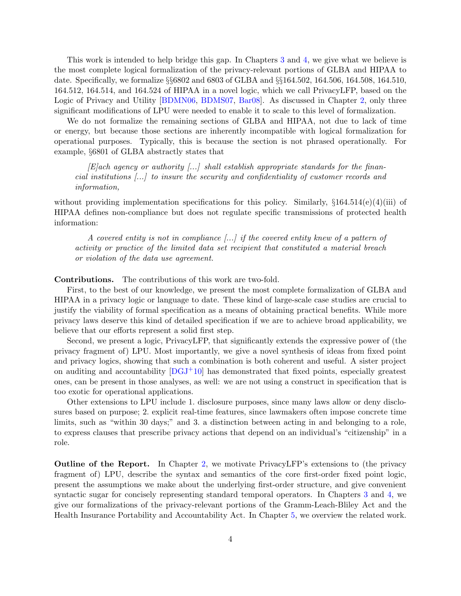This work is intended to help bridge this gap. In Chapters [3](#page-18-0) and [4,](#page-29-0) we give what we believe is the most complete logical formalization of the privacy-relevant portions of GLBA and HIPAA to date. Specifically, we formalize §§6802 and 6803 of GLBA and §§164.502, 164.506, 164.508, 164.510, 164.512, 164.514, and 164.524 of HIPAA in a novel logic, which we call PrivacyLFP, based on the Logic of Privacy and Utility [\[BDMN06,](#page-125-3) [BDMS07,](#page-125-4) [Bar08\]](#page-125-5). As discussed in Chapter [2,](#page-6-0) only three significant modifications of LPU were needed to enable it to scale to this level of formalization.

We do not formalize the remaining sections of GLBA and HIPAA, not due to lack of time or energy, but because those sections are inherently incompatible with logical formalization for operational purposes. Typically, this is because the section is not phrased operationally. For example, §6801 of GLBA abstractly states that

 $[E]$ ach agency or authority [...] shall establish appropriate standards for the financial institutions [...] to insure the security and confidentiality of customer records and information,

without providing implementation specifications for this policy. Similarly,  $\S 164.514(e)(4)(iii)$  of HIPAA defines non-compliance but does not regulate specific transmissions of protected health information:

A covered entity is not in compliance  $\left[\ldots\right]$  if the covered entity knew of a pattern of activity or practice of the limited data set recipient that constituted a material breach or violation of the data use agreement.

#### Contributions. The contributions of this work are two-fold.

First, to the best of our knowledge, we present the most complete formalization of GLBA and HIPAA in a privacy logic or language to date. These kind of large-scale case studies are crucial to justify the viability of formal specification as a means of obtaining practical benefits. While more privacy laws deserve this kind of detailed specification if we are to achieve broad applicability, we believe that our efforts represent a solid first step.

Second, we present a logic, PrivacyLFP, that significantly extends the expressive power of (the privacy fragment of) LPU. Most importantly, we give a novel synthesis of ideas from fixed point and privacy logics, showing that such a combination is both coherent and useful. A sister project on auditing and accountability  $[DGJ^+10]$  has demonstrated that fixed points, especially greatest ones, can be present in those analyses, as well: we are not using a construct in specification that is too exotic for operational applications.

Other extensions to LPU include 1. disclosure purposes, since many laws allow or deny disclosures based on purpose; 2. explicit real-time features, since lawmakers often impose concrete time limits, such as "within 30 days;" and 3. a distinction between acting in and belonging to a role, to express clauses that prescribe privacy actions that depend on an individual's "citizenship" in a role.

Outline of the Report. In Chapter [2,](#page-6-0) we motivate PrivacyLFP's extensions to (the privacy fragment of) LPU, describe the syntax and semantics of the core first-order fixed point logic, present the assumptions we make about the underlying first-order structure, and give convenient syntactic sugar for concisely representing standard temporal operators. In Chapters [3](#page-18-0) and [4,](#page-29-0) we give our formalizations of the privacy-relevant portions of the Gramm-Leach-Bliley Act and the Health Insurance Portability and Accountability Act. In Chapter [5,](#page-122-0) we overview the related work.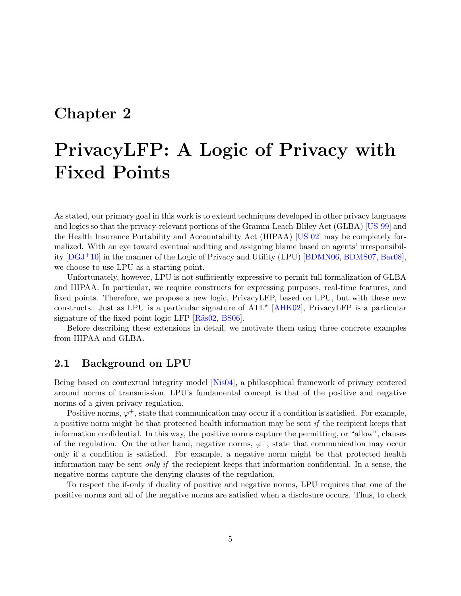# <span id="page-6-0"></span>Chapter 2

# PrivacyLFP: A Logic of Privacy with Fixed Points

As stated, our primary goal in this work is to extend techniques developed in other privacy languages and logics so that the privacy-relevant portions of the Gramm-Leach-Bliley Act (GLBA) [\[US 99\]](#page-127-0) and the Health Insurance Portability and Accountability Act (HIPAA) [\[US 02\]](#page-127-1) may be completely formalized. With an eye toward eventual auditing and assigning blame based on agents' irresponsibility  $[DGJ^+10]$  in the manner of the Logic of Privacy and Utility (LPU)  $[BDMNO6, BDMS07, Bar08]$  $[BDMNO6, BDMS07, Bar08]$  $[BDMNO6, BDMS07, Bar08]$  $[BDMNO6, BDMS07, Bar08]$ , we choose to use LPU as a starting point.

Unfortunately, however, LPU is not sufficiently expressive to permit full formalization of GLBA and HIPAA. In particular, we require constructs for expressing purposes, real-time features, and fixed points. Therefore, we propose a new logic, PrivacyLFP, based on LPU, but with these new constructs. Just as LPU is a particular signature of  $ATL^*$  [\[AHK02\]](#page-125-7), PrivacyLFP is a particular signature of the fixed point logic LFP  $[R\ddot{a}s02, BS06]$  $[R\ddot{a}s02, BS06]$ .

Before describing these extensions in detail, we motivate them using three concrete examples from HIPAA and GLBA.

## <span id="page-6-1"></span>2.1 Background on LPU

Being based on contextual integrity model [\[Nis04\]](#page-127-4), a philosophical framework of privacy centered around norms of transmission, LPU's fundamental concept is that of the positive and negative norms of a given privacy regulation.

Positive norms,  $\varphi^+$ , state that communication may occur if a condition is satisfied. For example, a positive norm might be that protected health information may be sent if the recipient keeps that information confidential. In this way, the positive norms capture the permitting, or "allow", clauses of the regulation. On the other hand, negative norms,  $\varphi^-$ , state that communication may occur only if a condition is satisfied. For example, a negative norm might be that protected health information may be sent only if the reciepient keeps that information confidential. In a sense, the negative norms capture the denying clauses of the regulation.

To respect the if-only if duality of positive and negative norms, LPU requires that one of the positive norms and all of the negative norms are satisfied when a disclosure occurs. Thus, to check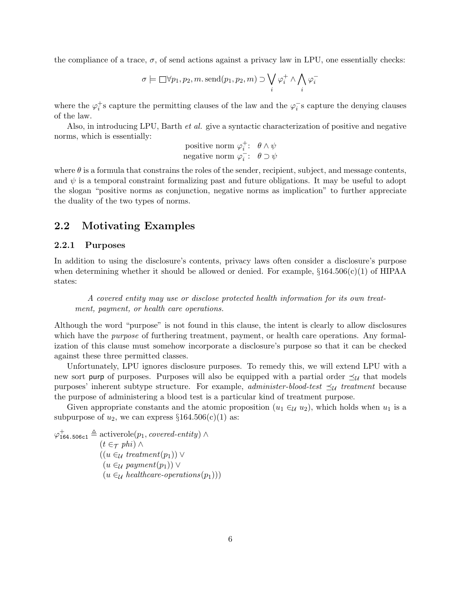the compliance of a trace,  $\sigma$ , of send actions against a privacy law in LPU, one essentially checks:

$$
\sigma \models \Box \forall p_1, p_2, m. \operatorname{send}(p_1, p_2, m) \supset \bigvee_i \varphi_i^+ \land \bigwedge_i \varphi_i^-
$$

where the  $\varphi_i^+$ s capture the permitting clauses of the law and the  $\varphi_i^-$ s capture the denying clauses of the law.

Also, in introducing LPU, Barth et al. give a syntactic characterization of positive and negative norms, which is essentially:

positive norm 
$$
\varphi_i^+
$$
:  $\theta \wedge \psi$   
negative norm  $\varphi_i^-$ :  $\theta \supset \psi$ 

where  $\theta$  is a formula that constrains the roles of the sender, recipient, subject, and message contents, and  $\psi$  is a temporal constraint formalizing past and future obligations. It may be useful to adopt the slogan "positive norms as conjunction, negative norms as implication" to further appreciate the duality of the two types of norms.

### <span id="page-7-0"></span>2.2 Motivating Examples

#### <span id="page-7-1"></span>2.2.1 Purposes

In addition to using the disclosure's contents, privacy laws often consider a disclosure's purpose when determining whether it should be allowed or denied. For example,  $\S 164.506(c)(1)$  of HIPAA states:

A covered entity may use or disclose protected health information for its own treatment, payment, or health care operations.

Although the word "purpose" is not found in this clause, the intent is clearly to allow disclosures which have the *purpose* of furthering treatment, payment, or health care operations. Any formalization of this clause must somehow incorporate a disclosure's purpose so that it can be checked against these three permitted classes.

Unfortunately, LPU ignores disclosure purposes. To remedy this, we will extend LPU with a new sort purp of purposes. Purposes will also be equipped with a partial order  $\preceq_{\mathcal{U}}$  that models purposes' inherent subtype structure. For example, *administer-blood-test*  $\preceq_{\mathcal{U}}$  treatment because the purpose of administering a blood test is a particular kind of treatment purpose.

Given appropriate constants and the atomic proposition  $(u_1 \in_{\mathcal{U}} u_2)$ , which holds when  $u_1$  is a subpurpose of  $u_2$ , we can express  $\S 164.506(c)(1)$  as:

 $\varphi_{164.506c1}^{+} \triangleq$  activerole $(p_1, covered\it-entity)$  $(t \in \tau$  phi) ∧  $((u \in_{\mathcal{U}} treatment(p_1)) \vee$  $(u \in_{\mathcal{U}} payment(p_1)) \vee$  $(u \in_{\mathcal{U}} \mathit{healthcare-operations}(p_1)))$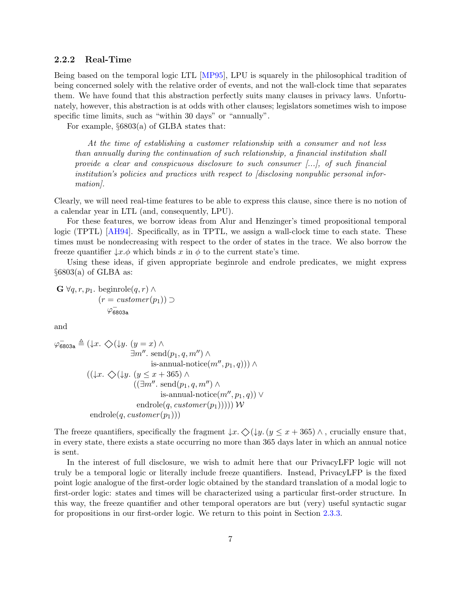#### <span id="page-8-0"></span>2.2.2 Real-Time

Being based on the temporal logic LTL [\[MP95\]](#page-127-5), LPU is squarely in the philosophical tradition of being concerned solely with the relative order of events, and not the wall-clock time that separates them. We have found that this abstraction perfectly suits many clauses in privacy laws. Unfortunately, however, this abstraction is at odds with other clauses; legislators sometimes wish to impose specific time limits, such as "within 30 days" or "annually".

For example, §6803(a) of GLBA states that:

At the time of establishing a customer relationship with a consumer and not less than annually during the continuation of such relationship, a financial institution shall provide a clear and conspicuous disclosure to such consumer [...], of such financial institution's policies and practices with respect to [disclosing nonpublic personal information.

Clearly, we will need real-time features to be able to express this clause, since there is no notion of a calendar year in LTL (and, consequently, LPU).

For these features, we borrow ideas from Alur and Henzinger's timed propositional temporal logic (TPTL) [\[AH94\]](#page-125-8). Specifically, as in TPTL, we assign a wall-clock time to each state. These times must be nondecreasing with respect to the order of states in the trace. We also borrow the freeze quantifier  $\downarrow x.\phi$  which binds x in  $\phi$  to the current state's time.

Using these ideas, if given appropriate beginrole and endrole predicates, we might express  $§6803(a)$  of GLBA as:

$$
\mathbf{G} \,\forall q, r, p_1. \text{ beginning}(q, r) \land (r = customer(p_1)) \supset \varphi_{\mathbf{6803a}}^{\mathbf{6803a}}
$$

and

$$
\varphi_{6803a} \triangleq (\downarrow x. \diamondsuit(\downarrow y. (y = x) \land \n\exists m''. send(p_1, q, m'') \land \nis-annual-notice(m'', p_1, q))) \land \n((\downarrow x. \diamondsuit(\downarrow y. (y \le x + 365) \land \n((\exists m''. send(p_1, q, m'') \land \nis-annual-notice(m'', p_1, q)) \lor \nendrole(q, customer(p_1)))) W
$$
\nendrole(q, customer(p\_1)))

The freeze quantifiers, specifically the fragment  $\downarrow x$ .  $\Diamond(\downarrow y$ .  $(y \le x + 365) \land$ , crucially ensure that, in every state, there exists a state occurring no more than 365 days later in which an annual notice is sent.

In the interest of full disclosure, we wish to admit here that our PrivacyLFP logic will not truly be a temporal logic or literally include freeze quantifiers. Instead, PrivacyLFP is the fixed point logic analogue of the first-order logic obtained by the standard translation of a modal logic to first-order logic: states and times will be characterized using a particular first-order structure. In this way, the freeze quantifier and other temporal operators are but (very) useful syntactic sugar for propositions in our first-order logic. We return to this point in Section [2.3.3.](#page-16-0)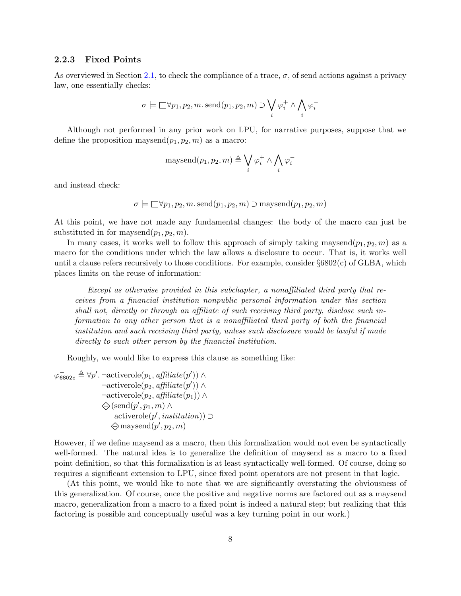#### <span id="page-9-0"></span>2.2.3 Fixed Points

As overviewed in Section [2.1,](#page-6-1) to check the compliance of a trace,  $\sigma$ , of send actions against a privacy law, one essentially checks:

$$
\sigma \models \Box \forall p_1, p_2, m.\,\mathrm{send}(p_1, p_2, m) \supset \bigvee_i \varphi_i^+ \land \bigwedge_i \varphi_i^-
$$

Although not performed in any prior work on LPU, for narrative purposes, suppose that we define the proposition maysend $(p_1, p_2, m)$  as a macro:

maysend
$$
(p_1, p_2, m) \triangleq \bigvee_i \varphi_i^+ \wedge \bigwedge_i \varphi_i^-
$$

and instead check:

$$
\sigma \models \Box \forall p_1, p_2, m.\,\text{send}(p_1, p_2, m) \supset \text{maxsend}(p_1, p_2, m)
$$

At this point, we have not made any fundamental changes: the body of the macro can just be substituted in for maysend $(p_1, p_2, m)$ .

In many cases, it works well to follow this approach of simply taking maysend $(p_1, p_2, m)$  as a macro for the conditions under which the law allows a disclosure to occur. That is, it works well until a clause refers recursively to those conditions. For example, consider  $\S 6802(c)$  of GLBA, which places limits on the reuse of information:

Except as otherwise provided in this subchapter, a nonaffiliated third party that receives from a financial institution nonpublic personal information under this section shall not, directly or through an affiliate of such receiving third party, disclose such information to any other person that is a nonaffiliated third party of both the financial institution and such receiving third party, unless such disclosure would be lawful if made directly to such other person by the financial institution.

Roughly, we would like to express this clause as something like:

 $\varphi_{6802c} \triangleq \forall p'. \neg activerole(p_1, \textit{affiliate}(p')) \land$  $\neg \text{activerole}(p_2, \text{afflicate}(p')) \land$  $\neg activerole(p_2, \textit{afflicate}(p_1)) \wedge$  $\bigotimes$ (send $(p', p_1, m) \wedge$ activerole $(p',$  institution))  $\supset$  $\diamondsuit$ maysend $(p', p_2, m)$ 

However, if we define maysend as a macro, then this formalization would not even be syntactically well-formed. The natural idea is to generalize the definition of maysend as a macro to a fixed point definition, so that this formalization is at least syntactically well-formed. Of course, doing so requires a significant extension to LPU, since fixed point operators are not present in that logic.

(At this point, we would like to note that we are significantly overstating the obviousness of this generalization. Of course, once the positive and negative norms are factored out as a maysend macro, generalization from a macro to a fixed point is indeed a natural step; but realizing that this factoring is possible and conceptually useful was a key turning point in our work.)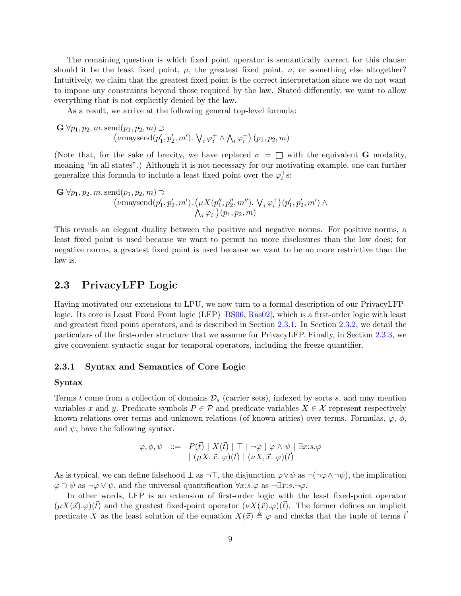The remaining question is which fixed point operator is semantically correct for this clause: should it be the least fixed point,  $\mu$ , the greatest fixed point,  $\nu$ , or something else altogether? Intuitively, we claim that the greatest fixed point is the correct interpretation since we do not want to impose any constraints beyond those required by the law. Stated differently, we want to allow everything that is not explicitly denied by the law.

As a result, we arrive at the following general top-level formula:

$$
\mathbf{G} \,\forall p_1, p_2, m. \,\text{send}(p_1, p_2, m) \supset
$$
  

$$
(\nu \text{maxsend}(p'_1, p'_2, m'). \, \mathsf{V}_i \,\varphi_i^+ \wedge \mathsf{A}_i \,\varphi_i^-) \,(p_1, p_2, m))
$$

(Note that, for the sake of brevity, we have replaced  $\sigma \models \Box$  with the equivalent **G** modality, meaning "in all states".) Although it is not necessary for our motivating example, one can further generalize this formula to include a least fixed point over the  $\varphi_i^+$ s:

$$
\mathbf{G} \,\forall p_1, p_2, m. \,\text{send}(p_1, p_2, m) \supset \\
 (\nu \text{maxsend}(p'_1, p'_2, m'). \, (\mu X(p''_1, p''_2, m''). \, \mathbf{V}_i \,\varphi_i^+)(p'_1, p'_2, m') \wedge \\
 \Lambda_i \,\varphi_i^-)(p_1, p_2, m)
$$

This reveals an elegant duality between the positive and negative norms. For positive norms, a least fixed point is used because we want to permit no more disclosures than the law does; for negative norms, a greatest fixed point is used because we want to be no more restrictive than the law is.

### <span id="page-10-0"></span>2.3 PrivacyLFP Logic

Having motivated our extensions to LPU, we now turn to a formal description of our PrivacyLFP-logic. Its core is Least Fixed Point logic (LFP) [\[BS06,](#page-126-8) Räs02], which is a first-order logic with least and greatest fixed point operators, and is described in Section [2.3.1.](#page-10-1) In Section [2.3.2,](#page-11-0) we detail the particulars of the first-order structure that we assume for PrivacyLFP. Finally, in Section [2.3.3,](#page-16-0) we give convenient syntactic sugar for temporal operators, including the freeze quantifier.

#### <span id="page-10-1"></span>2.3.1 Syntax and Semantics of Core Logic

#### Syntax

Terms t come from a collection of domains  $\mathcal{D}_s$  (carrier sets), indexed by sorts s, and may mention variables x and y. Predicate symbols  $P \in \mathcal{P}$  and predicate variables  $X \in \mathcal{X}$  represent respectively known relations over terms and unknown relations (of known arities) over terms. Formulas,  $\varphi$ ,  $\phi$ , and  $\psi$ , have the following syntax.

$$
\varphi, \phi, \psi \ ::= \ P(\vec{t}) \mid X(\vec{t}) \mid \top \mid \neg \varphi \mid \varphi \land \psi \mid \exists x : s. \varphi
$$

$$
\mid (\mu X, \vec{x}. \varphi)(\vec{t}) \mid (\nu X, \vec{x}. \varphi)(\vec{t})
$$

As is typical, we can define falsehood  $\perp$  as  $\neg\top$ , the disjunction  $\varphi \lor \psi$  as  $\neg(\neg \varphi \land \neg \psi)$ , the implication  $\varphi \supset \psi$  as  $\neg \varphi \vee \psi$ , and the universal quantification  $\forall x: s.\varphi$  as  $\neg \exists x: s.\neg \varphi$ .

In other words, LFP is an extension of first-order logic with the least fixed-point operator  $(\mu X(\vec{x}).\varphi)(\vec{t})$  and the greatest fixed-point operator  $(\nu X(\vec{x}).\varphi)(\vec{t})$ . The former defines an implicit predicate X as the least solution of the equation  $X(\vec{x}) \triangleq \varphi$  and checks that the tuple of terms  $\vec{t}$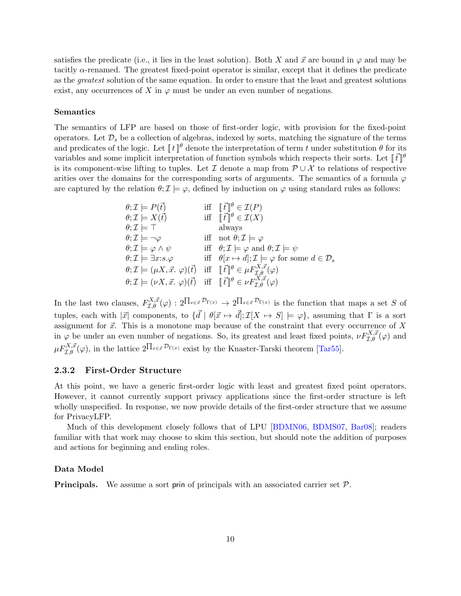satisfies the predicate (i.e., it lies in the least solution). Both X and  $\vec{x}$  are bound in  $\varphi$  and may be tacitly  $\alpha$ -renamed. The greatest fixed-point operator is similar, except that it defines the predicate as the greatest solution of the same equation. In order to ensure that the least and greatest solutions exist, any occurrences of X in  $\varphi$  must be under an even number of negations.

#### Semantics

The semantics of LFP are based on those of first-order logic, with provision for the fixed-point operators. Let  $\mathcal{D}_s$  be a collection of algebras, indexed by sorts, matching the signature of the terms and predicates of the logic. Let  $\llbracket t \rrbracket^{\theta}$  denote the interpretation of term t under substitution  $\theta$  for its variables and some implicit interpretation of function symbols which respects their sorts. Let  $\lbrack \bar{t} \rbrack^{\theta}$ is its component-wise lifting to tuples. Let I denote a map from  $\mathcal{P} \cup \mathcal{X}$  to relations of respective arities over the domains for the corresponding sorts of arguments. The semantics of a formula  $\varphi$ are captured by the relation  $\theta; \mathcal{I} \models \varphi$ , defined by induction on  $\varphi$  using standard rules as follows:

$$
\theta; \mathcal{I} \models P(\vec{t}) \quad \text{iff} \quad [\vec{t}]\theta \in \mathcal{I}(P) \n\theta; \mathcal{I} \models X(\vec{t}) \quad \text{iff} \quad [\vec{t}]\theta \in \mathcal{I}(X) \n\theta; \mathcal{I} \models \top \quad \text{always} \n\theta; \mathcal{I} \models \neg \varphi \quad \text{iff} \quad \text{not} \quad \theta; \mathcal{I} \models \varphi \n\theta; \mathcal{I} \models \varphi \land \psi \quad \text{iff} \quad \theta; \mathcal{I} \models \varphi \quad \text{and} \quad \theta; \mathcal{I} \models \psi \n\theta; \mathcal{I} \models \exists x: s.\varphi \quad \text{iff} \quad \theta[x \mapsto d]; \mathcal{I} \models \varphi \quad \text{for some} \quad d \in \mathcal{D}_s \n\theta; \mathcal{I} \models (\mu X, \vec{x}. \; \varphi)(\vec{t}) \quad \text{iff} \quad [\vec{t}]\theta \in \mu F_{\mathcal{I}, \theta}^{X, \vec{x}}(\varphi) \n\theta; \mathcal{I} \models (\nu X, \vec{x}. \; \varphi)(\vec{t}) \quad \text{iff} \quad [\vec{t}]\theta \in \nu F_{\mathcal{I}, \theta}^{X, \vec{x}}(\varphi)
$$

In the last two clauses,  $F_{\mathcal{I},\theta}^{X,\vec{x}}(\varphi):2^{\prod_{x\in\vec{x}}\mathcal{D}_{\Gamma(x)}}\to2^{\prod_{x\in\vec{x}}\mathcal{D}_{\Gamma(x)}}$  is the function that maps a set S of tuples, each with  $|\vec{x}|$  components, to  $\{\vec{d} \mid \theta | \vec{x} \mapsto \vec{d} |; \mathcal{I}[X \mapsto S] \models \varphi\}$ , assuming that  $\Gamma$  is a sort assignment for  $\vec{x}$ . This is a monotone map because of the constraint that every occurrence of X in  $\varphi$  be under an even number of negations. So, its greatest and least fixed points,  $\nu F_{\mathcal{I},\theta}^{X,\vec{x}}(\varphi)$  and  $\mu F_{\mathcal{I},\theta}^{X,\vec{x}}(\varphi)$ , in the lattice  $2^{\prod_{x\in\vec{x}}\mathcal{D}_{\Gamma(x)}}$  exist by the Knaster-Tarski theorem [\[Tar55\]](#page-127-6).

#### <span id="page-11-0"></span>2.3.2 First-Order Structure

At this point, we have a generic first-order logic with least and greatest fixed point operators. However, it cannot currently support privacy applications since the first-order structure is left wholly unspecified. In response, we now provide details of the first-order structure that we assume for PrivacyLFP.

Much of this development closely follows that of LPU [\[BDMN06,](#page-125-3) [BDMS07,](#page-125-4) [Bar08\]](#page-125-5); readers familiar with that work may choose to skim this section, but should note the addition of purposes and actions for beginning and ending roles.

#### Data Model

**Principals.** We assume a sort prin of principals with an associated carrier set  $\mathcal{P}$ .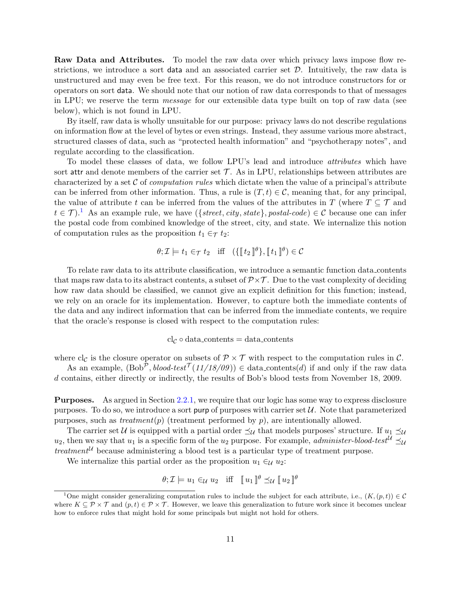Raw Data and Attributes. To model the raw data over which privacy laws impose flow restrictions, we introduce a sort data and an associated carrier set  $D$ . Intuitively, the raw data is unstructured and may even be free text. For this reason, we do not introduce constructors for or operators on sort data. We should note that our notion of raw data corresponds to that of messages in LPU; we reserve the term message for our extensible data type built on top of raw data (see below), which is not found in LPU.

By itself, raw data is wholly unsuitable for our purpose: privacy laws do not describe regulations on information flow at the level of bytes or even strings. Instead, they assume various more abstract, structured classes of data, such as "protected health information" and "psychotherapy notes", and regulate according to the classification.

To model these classes of data, we follow LPU's lead and introduce attributes which have sort attr and denote members of the carrier set  $\mathcal T$ . As in LPU, relationships between attributes are characterized by a set  $\mathcal C$  of *computation rules* which dictate when the value of a principal's attribute can be inferred from other information. Thus, a rule is  $(T, t) \in \mathcal{C}$ , meaning that, for any principal. the value of attribute t can be inferred from the values of the attributes in T (where  $T \subseteq T$  and  $t \in \mathcal{T}$ ).<sup>[1](#page-12-0)</sup> As an example rule, we have  $({\lbrace street, city, state \rbrace, postal-code) \in \mathcal{C}}$  because one can infer the postal code from combined knowledge of the street, city, and state. We internalize this notion of computation rules as the proposition  $t_1 \in \tau$   $t_2$ :

$$
\theta; \mathcal{I} \models t_1 \in_{\mathcal{T}} t_2 \quad \text{iff} \quad (\{\llbracket t_2 \rrbracket^{\theta}\}, \llbracket t_1 \rrbracket^{\theta}) \in \mathcal{C}
$$

To relate raw data to its attribute classification, we introduce a semantic function data contents that maps raw data to its abstract contents, a subset of  $\mathcal{P} \times \mathcal{T}$ . Due to the vast complexity of deciding how raw data should be classified, we cannot give an explicit definition for this function; instead, we rely on an oracle for its implementation. However, to capture both the immediate contents of the data and any indirect information that can be inferred from the immediate contents, we require that the oracle's response is closed with respect to the computation rules:

#### $cl_{\mathcal{C}} \circ data\text{-contents} = data\text{-contents}$

where cl<sub>C</sub> is the closure operator on subsets of  $\mathcal{P} \times \mathcal{T}$  with respect to the computation rules in C.

As an example,  $(Bob^{\mathcal{P}}, blood-test^{\mathcal{T}}(11/18/09)) \in data熟{ contains} (d)$  if and only if the raw data d contains, either directly or indirectly, the results of Bob's blood tests from November 18, 2009.

Purposes. As argued in Section [2.2.1,](#page-7-1) we require that our logic has some way to express disclosure purposes. To do so, we introduce a sort purp of purposes with carrier set  $\mathcal{U}$ . Note that parameterized purposes, such as treatment(p) (treatment performed by p), are intentionally allowed.

The carrier set U is equipped with a partial order  $\preceq_{\mathcal{U}}$  that models purposes' structure. If  $u_1 \preceq_{\mathcal{U}}$  $u_2$ , then we say that  $u_1$  is a specific form of the  $u_2$  purpose. For example, *administer-blood-test*<sup>U</sup>  $\preceq$ treatment<sup>U</sup> because administering a blood test is a particular type of treatment purpose.

We internalize this partial order as the proposition  $u_1 \in \mathcal{U}$  u<sub>2</sub>:

$$
\theta; \mathcal{I} \models u_1 \in \mathcal{U} u_2 \quad \text{iff} \quad [ \! [ u_1 ] \! ]^{\theta} \preceq_{\mathcal{U}} [ \! [ u_2 ] \! ]^{\theta}
$$

<span id="page-12-0"></span><sup>&</sup>lt;sup>1</sup>One might consider generalizing computation rules to include the subject for each attribute, i.e.,  $(K,(p,t)) \in \mathcal{C}$ where  $K \subseteq \mathcal{P} \times \mathcal{T}$  and  $(p, t) \in \mathcal{P} \times \mathcal{T}$ . However, we leave this generalization to future work since it becomes unclear how to enforce rules that might hold for some principals but might not hold for others.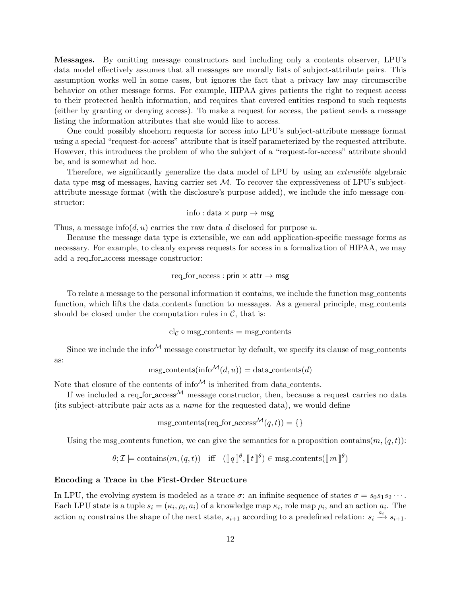Messages. By omitting message constructors and including only a contents observer, LPU's data model effectively assumes that all messages are morally lists of subject-attribute pairs. This assumption works well in some cases, but ignores the fact that a privacy law may circumscribe behavior on other message forms. For example, HIPAA gives patients the right to request access to their protected health information, and requires that covered entities respond to such requests (either by granting or denying access). To make a request for access, the patient sends a message listing the information attributes that she would like to access.

One could possibly shoehorn requests for access into LPU's subject-attribute message format using a special "request-for-access" attribute that is itself parameterized by the requested attribute. However, this introduces the problem of who the subject of a "request-for-access" attribute should be, and is somewhat ad hoc.

Therefore, we significantly generalize the data model of LPU by using an extensible algebraic data type msg of messages, having carrier set  $M$ . To recover the expressiveness of LPU's subjectattribute message format (with the disclosure's purpose added), we include the info message constructor:

#### info : data  $\times$  purp  $\rightarrow$  msg

Thus, a message info(d, u) carries the raw data d disclosed for purpose u.

Because the message data type is extensible, we can add application-specific message forms as necessary. For example, to cleanly express requests for access in a formalization of HIPAA, we may add a req for access message constructor:

$$
\mathrm{req\_for\_access}: \mathsf{prin} \times \mathsf{attr} \to \mathsf{msg}
$$

To relate a message to the personal information it contains, we include the function msg contents function, which lifts the data contents function to messages. As a general principle, msg contents should be closed under the computation rules in  $\mathcal{C}$ , that is:

$$
cl_{\mathcal{C}} \circ msg\_contents = msg\_contents
$$

Since we include the info<sup> $M$ </sup> message constructor by default, we specify its clause of msg contents as:

$$
msg\_contents(info^{\mathcal{M}}(d,u)) = data\_contents(d)
$$

Note that closure of the contents of  $\mathrm{info}^{\mathcal{M}}$  is inherited from data contents.

If we included a req for access  $^{\mathcal{M}}$  message constructor, then, because a request carries no data (its subject-attribute pair acts as a name for the requested data), we would define

 $\text{msg\_contents}(\text{req\_for\_access}^{\mathcal{M}}(q, t)) = \{\}$ 

Using the msg contents function, we can give the semantics for a proposition contains $(m, (q, t))$ :

$$
\theta; \mathcal{I} \models
$$
 contains $(m, (q, t))$  iff  $(\llbracket q \rrbracket^{\theta}, \llbracket t \rrbracket^{\theta}) \in$ msg-contents $(\llbracket m \rrbracket^{\theta})$ 

#### Encoding a Trace in the First-Order Structure

In LPU, the evolving system is modeled as a trace  $\sigma$ : an infinite sequence of states  $\sigma = s_0 s_1 s_2 \cdots$ . Each LPU state is a tuple  $s_i = (\kappa_i, \rho_i, a_i)$  of a knowledge map  $\kappa_i$ , role map  $\rho_i$ , and an action  $a_i$ . The action  $a_i$  constrains the shape of the next state,  $s_{i+1}$  according to a predefined relation:  $s_i \xrightarrow{a_i} s_{i+1}$ .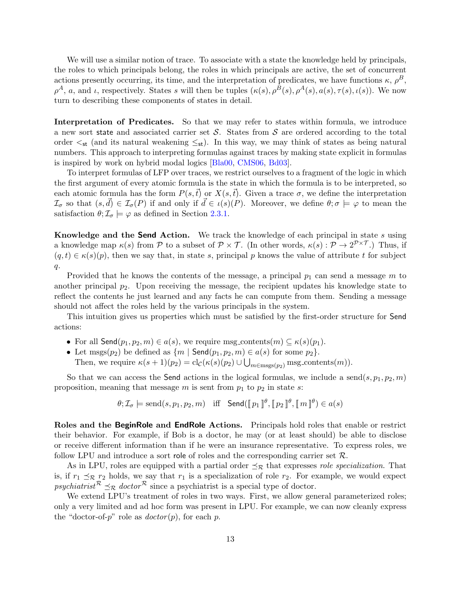We will use a similar notion of trace. To associate with a state the knowledge held by principals, the roles to which principals belong, the roles in which principals are active, the set of concurrent actions presently occurring, its time, and the interpretation of predicates, we have functions  $\kappa$ ,  $\rho^B$ ,  $\rho^A$ , a, and i, respectively. States s will then be tuples  $(\kappa(s), \rho^B(s), \rho^A(s), a(s), \tau(s), \iota(s))$ . We now turn to describing these components of states in detail.

Interpretation of Predicates. So that we may refer to states within formula, we introduce a new sort state and associated carrier set  $S$ . States from  $S$  are ordered according to the total order  $\lt_{st}$  (and its natural weakening  $\leq_{st}$ ). In this way, we may think of states as being natural numbers. This approach to interpreting formulas against traces by making state explicit in formulas is inspired by work on hybrid modal logics [\[Bla00,](#page-126-9) [CMS06,](#page-126-10) [Bd03\]](#page-125-9).

To interpret formulas of LFP over traces, we restrict ourselves to a fragment of the logic in which the first argument of every atomic formula is the state in which the formula is to be interpreted, so each atomic formula has the form  $P(s,\bar{t})$  or  $X(s,\bar{t})$ . Given a trace  $\sigma$ , we define the interpretation  $\mathcal{I}_{\sigma}$  so that  $(s, \vec{d}) \in \mathcal{I}_{\sigma}(P)$  if and only if  $\vec{d} \in \iota(s)(P)$ . Moreover, we define  $\theta; \sigma \models \varphi$  to mean the satisfaction  $\theta$ ;  $\mathcal{I}_{\sigma} \models \varphi$  as defined in Section [2.3.1.](#page-10-1)

Knowledge and the Send Action. We track the knowledge of each principal in state  $s$  using a knowledge map  $\kappa(s)$  from P to a subset of  $\mathcal{P} \times \mathcal{T}$ . (In other words,  $\kappa(s) : \mathcal{P} \to 2^{\mathcal{P} \times \mathcal{T}}$ .) Thus, if  $(q, t) \in \kappa(s)(p)$ , then we say that, in state s, principal p knows the value of attribute t for subject  $q_{\star}$ 

Provided that he knows the contents of the message, a principal  $p_1$  can send a message m to another principal  $p_2$ . Upon receiving the message, the recipient updates his knowledge state to reflect the contents he just learned and any facts he can compute from them. Sending a message should not affect the roles held by the various principals in the system.

This intuition gives us properties which must be satisfied by the first-order structure for Send actions:

- For all Send $(p_1, p_2, m) \in a(s)$ , we require msg\_contents $(m) \subseteq \kappa(s)(p_1)$ .
- Let msgs $(p_2)$  be defined as  $\{m \mid \mathsf{Send}(p_1, p_2, m) \in a(s) \text{ for some } p_2\}.$

Then, we require  $\kappa(s+1)(p_2) = \text{cl}_{\mathcal{C}}(\kappa(s)(p_2) \cup \bigcup_{m \in \text{msgs}(p_2)} \text{msg-contents}(m)).$ 

So that we can access the Send actions in the logical formulas, we include a send $(s, p_1, p_2, m)$ proposition, meaning that message  $m$  is sent from  $p_1$  to  $p_2$  in state  $s$ :

$$
\theta; \mathcal{I}_\sigma \models \mathrm{send}(s, p_1, p_2, m) \quad \text{iff} \quad \mathsf{Send}(\llbracket p_1 \rrbracket^\theta, \llbracket p_2 \rrbracket^\theta, \llbracket m \rrbracket^\theta) \in a(s)
$$

Roles and the BeginRole and EndRole Actions. Principals hold roles that enable or restrict their behavior. For example, if Bob is a doctor, he may (or at least should) be able to disclose or receive different information than if he were an insurance representative. To express roles, we follow LPU and introduce a sort role of roles and the corresponding carrier set  $\mathcal{R}$ .

As in LPU, roles are equipped with a partial order  $\preceq_{\mathcal{R}}$  that expresses role specialization. That is, if  $r_1 \preceq_{\mathcal{R}} r_2$  holds, we say that  $r_1$  is a specialization of role  $r_2$ . For example, we would expect psychiatrist<sup>R</sup>  $\leq_R$  doctor<sup>R</sup> since a psychiatrist is a special type of doctor.

We extend LPU's treatment of roles in two ways. First, we allow general parameterized roles; only a very limited and ad hoc form was present in LPU. For example, we can now cleanly express the "doctor-of-p" role as  $dactor(p)$ , for each p.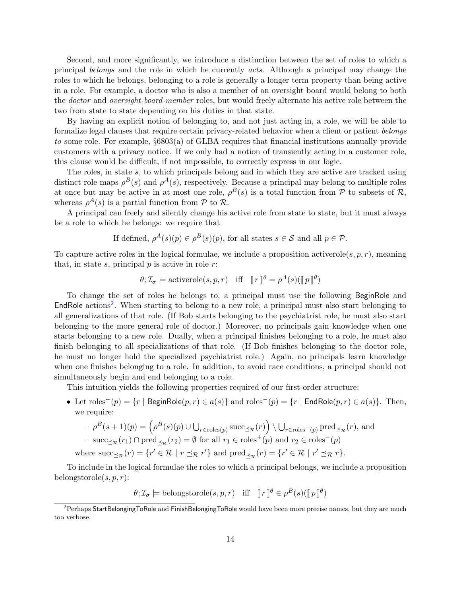Second, and more significantly, we introduce a distinction between the set of roles to which a principal belongs and the role in which he currently acts. Although a principal may change the roles to which he belongs, belonging to a role is generally a longer term property than being active in a role. For example, a doctor who is also a member of an oversight board would belong to both the doctor and oversight-board-member roles, but would freely alternate his active role between the two from state to state depending on his duties in that state.

By having an explicit notion of belonging to, and not just acting in, a role, we will be able to formalize legal clauses that require certain privacy-related behavior when a client or patient belongs to some role. For example, §6803(a) of GLBA requires that financial institutions annually provide customers with a privacy notice. If we only had a notion of transiently acting in a customer role, this clause would be difficult, if not impossible, to correctly express in our logic.

The roles, in state s, to which principals belong and in which they are active are tracked using distinct role maps  $\rho^{B}(s)$  and  $\rho^{A}(s)$ , respectively. Because a principal may belong to multiple roles at once but may be active in at most one role,  $\rho^{B}(s)$  is a total function from P to subsets of R, whereas  $\rho^{A}(s)$  is a partial function from  $P$  to  $\mathcal{R}$ .

A principal can freely and silently change his active role from state to state, but it must always be a role to which he belongs: we require that

If defined, 
$$
\rho^A(s)(p) \in \rho^B(s)(p)
$$
, for all states  $s \in \mathcal{S}$  and all  $p \in \mathcal{P}$ .

To capture active roles in the logical formulae, we include a proposition activerole(s, p, r), meaning that, in state s, principal  $p$  is active in role  $r$ :

$$
\theta; \mathcal{I}_{\sigma} \models \text{activerole}(s, p, r) \quad \text{iff} \quad \llbracket r \rrbracket^{\theta} = \rho^{A}(s)(\llbracket p \rrbracket^{\theta})
$$

To change the set of roles he belongs to, a principal must use the following BeginRole and EndRole actions<sup>[2](#page-15-0)</sup>. When starting to belong to a new role, a principal must also start belonging to all generalizations of that role. (If Bob starts belonging to the psychiatrist role, he must also start belonging to the more general role of doctor.) Moreover, no principals gain knowledge when one starts belonging to a new role. Dually, when a principal finishes belonging to a role, he must also finish belonging to all specializations of that role. (If Bob finishes belonging to the doctor role, he must no longer hold the specialized psychiatrist role.) Again, no principals learn knowledge when one finishes belonging to a role. In addition, to avoid race conditions, a principal should not simultaneously begin and end belonging to a role.

This intuition yields the following properties required of our first-order structure:

• Let  $\text{roles}^+(p) = \{r \mid \text{BeginRole}(p, r) \in a(s)\}\$  and  $\text{roles}^-(p) = \{r \mid \text{EndRole}(p, r) \in a(s)\}\$ . Then, we require:

$$
- \rho^B(s+1)(p) = \left(\rho^B(s)(p) \cup \bigcup_{r \in \text{roles}(p)} \text{succ}_{\preceq_{\mathcal{R}}}(r)\right) \setminus \bigcup_{r \in \text{roles}^-(p)} \text{pred}_{\preceq_{\mathcal{R}}}(r), \text{ and}
$$
  
- succ <sub>$\preceq_{\mathcal{R}}(r_1) \cap \text{pred}_{\preceq_{\mathcal{R}}}(r_2) = \emptyset \text{ for all } r_1 \in \text{roles}^+(p) \text{ and } r_2 \in \text{roles}^-(p)$   
where succ <sub>$\preceq_{\mathcal{R}}(r) = \{r' \in \mathcal{R} \mid r \preceq_{\mathcal{R}} r'\}$  and pred <sub>$\preceq_{\mathcal{R}}(r) = \{r' \in \mathcal{R} \mid r' \preceq_{\mathcal{R}} r\}.$</sub></sub></sub> 

To include in the logical formulae the roles to which a principal belongs, we include a proposition belongstorole $(s, p, r)$ :

 $\theta; \mathcal{I}_{\sigma} \models \text{belongstorole}(s, p, r) \text{ iff } \llbracket r \rrbracket^{\theta} \in \rho^{B}(s)(\llbracket p \rrbracket^{\theta})$ 

<span id="page-15-0"></span> $^{2}$ Perhaps StartBelongingToRole and FinishBelongingToRole would have been more precise names, but they are much too verbose.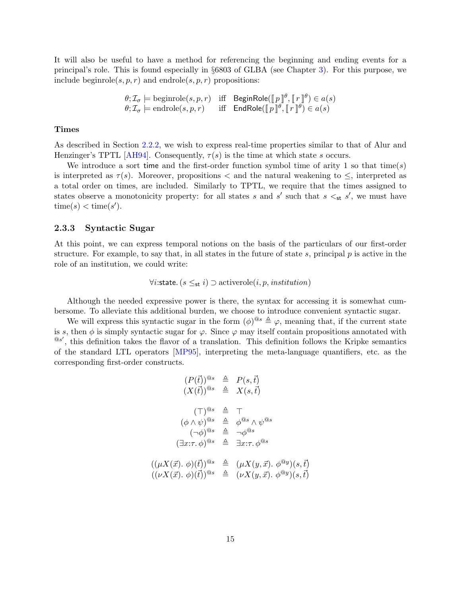It will also be useful to have a method for referencing the beginning and ending events for a principal's role. This is found especially in §6803 of GLBA (see Chapter [3\)](#page-18-0). For this purpose, we include beginrole(s, p, r) and endrole(s, p, r) propositions:

$$
\theta; \mathcal{I}_{\sigma} \models \text{beginrole}(s, p, r) \quad \text{iff} \quad \text{BeginRole}(\llbracket p \rrbracket^{\theta}, \llbracket r \rrbracket^{\theta}) \in a(s) \theta; \mathcal{I}_{\sigma} \models \text{endrole}(s, p, r) \quad \text{iff} \quad \text{EndRole}(\llbracket p \rrbracket^{\theta}, \llbracket r \rrbracket^{\theta}) \in a(s)
$$

#### **Times**

As described in Section [2.2.2,](#page-8-0) we wish to express real-time properties similar to that of Alur and Henzinger's TPTL [\[AH94\]](#page-125-8). Consequently,  $\tau(s)$  is the time at which state s occurs.

We introduce a sort time and the first-order function symbol time of arity 1 so that time(s) is interpreted as  $\tau(s)$ . Moreover, propositions  $\lt$  and the natural weakening to  $\leq$ , interpreted as a total order on times, are included. Similarly to TPTL, we require that the times assigned to states observe a monotonicity property: for all states s and s' such that  $s \leq_{st} s'$ , we must have  $time(s) < time(s')$ .

#### <span id="page-16-0"></span>2.3.3 Syntactic Sugar

At this point, we can express temporal notions on the basis of the particulars of our first-order structure. For example, to say that, in all states in the future of state s, principal  $p$  is active in the role of an institution, we could write:

$$
\forall i: \text{state.} (s \leq_{\text{st}} i) \supset \text{activerole}(i, p, institution)
$$

Although the needed expressive power is there, the syntax for accessing it is somewhat cumbersome. To alleviate this additional burden, we choose to introduce convenient syntactic sugar.

We will express this syntactic sugar in the form  $(\phi)^{\otimes s} \triangleq \varphi$ , meaning that, if the current state is s, then  $\phi$  is simply syntactic sugar for  $\varphi$ . Since  $\varphi$  may itself contain propositions annotated with  $^{\circledR s'}$ , this definition takes the flavor of a translation. This definition follows the Kripke semantics of the standard LTL operators [\[MP95\]](#page-127-5), interpreting the meta-language quantifiers, etc. as the corresponding first-order constructs.

$$
(P(\vec{t}))^{\circledcirc s} \triangleq P(s, \vec{t})
$$
  
\n
$$
(X(\vec{t}))^{\circledcirc s} \triangleq X(s, \vec{t})
$$
  
\n
$$
(\top)^{\circledcirc s} \triangleq \top
$$
  
\n
$$
(\phi \land \psi)^{\circledcirc s} \triangleq \phi^{\circledcirc s} \land \psi^{\circledcirc s}
$$
  
\n
$$
(\neg \phi)^{\circledcirc s} \triangleq \neg \phi^{\circledcirc s}
$$
  
\n
$$
(\exists x:\tau.\ \phi)^{\circledcirc s} \triangleq \exists x:\tau.\ \phi^{\circledcirc s}
$$
  
\n
$$
((\mu X(\vec{x}). \ \phi)(\vec{t}))^{\circledcirc s} \triangleq (\mu X(y, \vec{x}). \ \phi^{\circledcirc y})(s, \vec{t})
$$
  
\n
$$
((\nu X(\vec{x}). \ \phi)(\vec{t}))^{\circledcirc s} \triangleq (\nu X(y, \vec{x}). \ \phi^{\circledcirc y})(s, \vec{t})
$$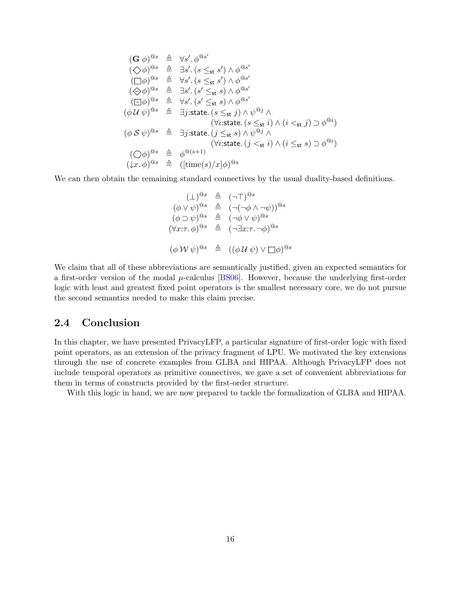$$
(\mathbf{G} \phi)^{\mathbf{0}_s} \triangleq \forall s'. \phi^{\mathbf{0}_s'}\n(\diamondsuit \phi)^{\mathbf{0}_s} \triangleq \exists s'. (s \leq_{st} s') \land \phi^{\mathbf{0}_s'}\n(\Box \phi)^{\mathbf{0}_s} \triangleq \forall s'. (s \leq_{st} s') \land \phi^{\mathbf{0}_s'}\n(\diamondsuit \phi)^{\mathbf{0}_s} \triangleq \exists s'. (s' \leq_{st} s) \land \phi^{\mathbf{0}_s'}\n(\Box \phi)^{\mathbf{0}_s} \triangleq \forall s'. (s' \leq_{st} s) \land \phi^{\mathbf{0}_s'}\n(\phi \mathcal{U} \psi)^{\mathbf{0}_s} \triangleq \exists j:state. (s \leq_{st} j) \land \psi^{\mathbf{0}_j} \land\n(\forall i:state. (s \leq_{st} i) \land (i \leq_{st} j) \supset \phi^{\mathbf{0}_i})\n(\phi \mathcal{S} \psi)^{\mathbf{0}_s} \triangleq \exists j:state. (j \leq_{st} s) \land \psi^{\mathbf{0}_j} \land\n(\forall i:state. (j \leq_{st} i) \land (i \leq_{st} s) \supset \phi^{\mathbf{0}_i})\n(\bigcirc \phi)^{\mathbf{0}_s} \triangleq \phi^{\mathbf{0}(s+1)}\n(\downarrow x. \phi)^{\mathbf{0}_s} \triangleq ([time(s)/x]\phi)^{\mathbf{0}_s}
$$

We can then obtain the remaining standard connectives by the usual duality-based definitions.

$$
(\bot)^{\circledcirc s} \triangleq (\neg \top)^{\circledcirc s}
$$
  
\n
$$
(\phi \lor \psi)^{\circledcirc s} \triangleq (\neg(\neg \phi \land \neg \psi))^{\circledcirc s}
$$
  
\n
$$
(\phi \supset \psi)^{\circledcirc s} \triangleq (\neg \phi \lor \psi)^{\circledcirc s}
$$
  
\n
$$
(\forall x:\tau,\phi)^{\circledcirc s} \triangleq (\neg \exists x:\tau.\neg \phi)^{\circledcirc s}
$$
  
\n
$$
(\phi \lor \psi)^{\circledcirc s} \triangleq ((\phi \lor \psi) \lor \Box \phi)^{\circledcirc s}
$$

We claim that all of these abbreviations are semantically justified, given an expected semantics for a first-order version of the modal  $\mu$ -calculus [\[BS06\]](#page-126-8). However, because the underlying first-order logic with least and greatest fixed point operators is the smallest necessary core, we do not pursue the second semantics needed to make this claim precise.

## <span id="page-17-0"></span>2.4 Conclusion

In this chapter, we have presented PrivacyLFP, a particular signature of first-order logic with fixed point operators, as an extension of the privacy fragment of LPU. We motivated the key extensions through the use of concrete examples from GLBA and HIPAA. Although PrivacyLFP does not include temporal operators as primitive connectives, we gave a set of convenient abbreviations for them in terms of constructs provided by the first-order structure.

With this logic in hand, we are now prepared to tackle the formalization of GLBA and HIPAA.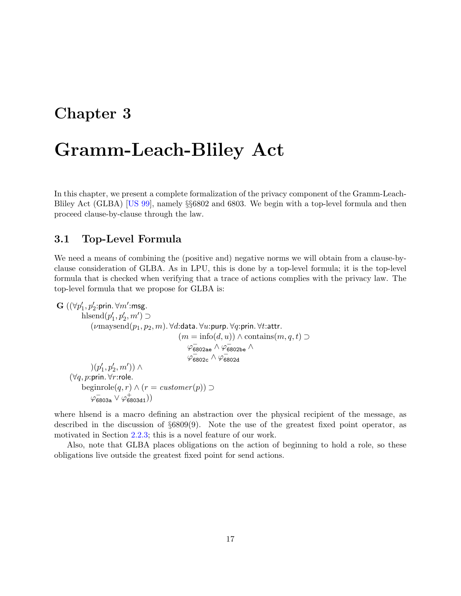# <span id="page-18-0"></span>Chapter 3

# Gramm-Leach-Bliley Act

In this chapter, we present a complete formalization of the privacy component of the Gramm-Leach-Bliley Act (GLBA) [\[US 99\]](#page-127-0), namely §§6802 and 6803. We begin with a top-level formula and then proceed clause-by-clause through the law.

## <span id="page-18-1"></span>3.1 Top-Level Formula

We need a means of combining the (positive and) negative norms we will obtain from a clause-byclause consideration of GLBA. As in LPU, this is done by a top-level formula; it is the top-level formula that is checked when verifying that a trace of actions complies with the privacy law. The top-level formula that we propose for GLBA is:

```
\textbf{G} \left( \left( \forall p'_1, p'_2 \text{:prin.} \ \forall m' \text{:msg.} \right. \right.hlsend(p'_1, p'_2, m') \supset(\numaysend(p_1, p_2, m). \forall d: data. \forall u: purp. \forall q: prin. \forall t: attr.
                                                                         (m = \text{info}(d, u)) \wedge \text{contains}(m, q, t) \supset\varphi^-_\mathsf{6802ae}\wedge\varphi^-_\mathsf{6802be}\wedge\varphi<sub>6802c</sub> \wedge \varphi<sub>6802d</sub>
                    )(p'_1, p'_2, m')) \wedge(∀q, p:prin. ∀r:role.
              beginrole(q, r) \wedge (r = \text{customer}(p)) \supset\varphi^-_\mathtt{6803a} \vee \varphi^+_\mathtt{6803d1}))
```
where hlsend is a macro defining an abstraction over the physical recipient of the message, as described in the discussion of §6809(9). Note the use of the greatest fixed point operator, as motivated in Section [2.2.3;](#page-9-0) this is a novel feature of our work.

Also, note that GLBA places obligations on the action of beginning to hold a role, so these obligations live outside the greatest fixed point for send actions.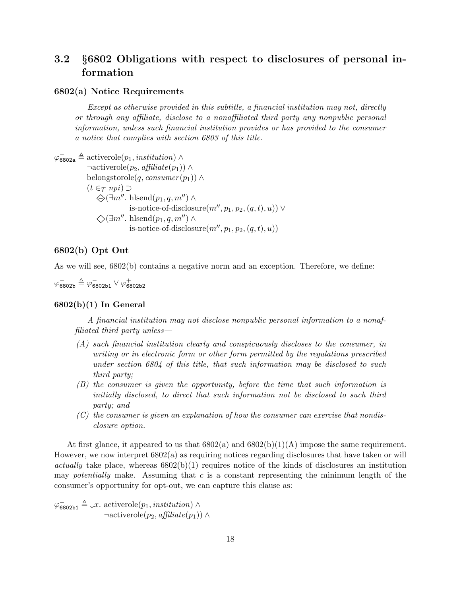# <span id="page-19-0"></span>3.2 §6802 Obligations with respect to disclosures of personal information

#### 6802(a) Notice Requirements

Except as otherwise provided in this subtitle, a financial institution may not, directly or through any affiliate, disclose to a nonaffiliated third party any nonpublic personal information, unless such financial institution provides or has provided to the consumer a notice that complies with section 6803 of this title.

 $\varphi_{6802a}^{\dagger} \triangleq$  activerole $(p_1, institution) \wedge$  $\neg activerole(p_2, \textit{afflicate}(p_1)) \wedge$ belongstorole(q, consumer  $(p_1)$ ) ∧  $(t \in \tau$  npi $)$   $\supset$  $\bigotimes$ ( $\exists m''$ . hlsend $(p_1, q, m'') \wedge$ is-notice-of-disclosure $(m'', p_1, p_2, (q, t), u)$ ) ∨  $\diamondsuit$ ( $\exists m''$ . hlsend $(p_1, q, m'') \wedge$ is-notice-of-disclosure $(m'', p_1, p_2, (q, t), u)$ 

#### 6802(b) Opt Out

As we will see, 6802(b) contains a negative norm and an exception. Therefore, we define:

 $\varphi^-_\mathsf{6802b}\triangleq\varphi^-_\mathsf{6802b1}\vee\varphi^+_\mathsf{6802b2}$ 

#### $6802(b)(1)$  In General

A financial institution may not disclose nonpublic personal information to a nonaffiliated third party unless—

- (A) such financial institution clearly and conspicuously discloses to the consumer, in writing or in electronic form or other form permitted by the regulations prescribed under section 6804 of this title, that such information may be disclosed to such third party;
- (B) the consumer is given the opportunity, before the time that such information is initially disclosed, to direct that such information not be disclosed to such third party; and
- $(C)$  the consumer is given an explanation of how the consumer can exercise that nondisclosure option.

At first glance, it appeared to us that  $6802(a)$  and  $6802(b)(1)(A)$  impose the same requirement. However, we now interpret 6802(a) as requiring notices regarding disclosures that have taken or will actually take place, whereas  $6802(b)(1)$  requires notice of the kinds of disclosures an institution may potentially make. Assuming that  $c$  is a constant representing the minimum length of the consumer's opportunity for opt-out, we can capture this clause as:

 $\varphi_{\mathsf{6802b1}} \triangleq \downarrow x$ . activerole $(p_1, institution) \wedge$  $\neg \text{activerole}(p_2, \text{afflicate}(p_1)) \wedge$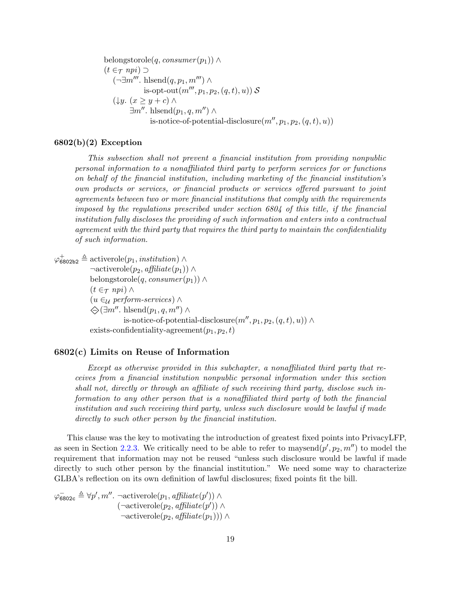belongstorole(q, consumer  $(p_1)$ ) ∧  $(t \in \tau$  npi)  $\supset$  $(\neg \exists m'''. \text{ hlsend}(q, p_1, m''') \land$ is-opt-out $(m''', p_1, p_2, (q, t), u)$ ) S  $(\downarrow y. (x \geq y + c) \wedge$  $\exists m''$ . hlsend $(p_1, q, m'') \wedge$ is-notice-of-potential-disclosure $(m'', p_1, p_2, (q, t), u)$ 

#### $6802(b)(2)$  Exception

This subsection shall not prevent a financial institution from providing nonpublic personal information to a nonaffiliated third party to perform services for or functions on behalf of the financial institution, including marketing of the financial institution's own products or services, or financial products or services offered pursuant to joint agreements between two or more financial institutions that comply with the requirements imposed by the regulations prescribed under section 6804 of this title, if the financial institution fully discloses the providing of such information and enters into a contractual agreement with the third party that requires the third party to maintain the confidentiality of such information.

 $\varphi_{6802b2}^{\dagger} \triangleq$  activerole $(p_1, institution) \wedge$ 

 $\neg \text{activerole}(p_2, \text{affiliate}(p_1)) \wedge$ belongstorole(q, consumer $(p_1)$ ) ∧  $(t \in \tau$  npi)  $\wedge$  $(u \in_{\mathcal{U}} \text{perform-}s$ ervices) ∧  $\bigotimes$ ( $\exists m''$ . hlsend $(p_1, q, m'') \wedge$ is-notice-of-potential-disclosure $(m'', p_1, p_2, (q, t), u)$ ) ∧ exists-confidentiality-agreement $(p_1, p_2, t)$ 

#### 6802(c) Limits on Reuse of Information

Except as otherwise provided in this subchapter, a nonaffiliated third party that receives from a financial institution nonpublic personal information under this section shall not, directly or through an affiliate of such receiving third party, disclose such information to any other person that is a nonaffiliated third party of both the financial institution and such receiving third party, unless such disclosure would be lawful if made directly to such other person by the financial institution.

This clause was the key to motivating the introduction of greatest fixed points into PrivacyLFP, as seen in Section [2.2.3.](#page-9-0) We critically need to be able to refer to maysend $(p', p_2, m'')$  to model the requirement that information may not be reused "unless such disclosure would be lawful if made directly to such other person by the financial institution." We need some way to characterize GLBA's reflection on its own definition of lawful disclosures; fixed points fit the bill.

 $\varphi_{6802c} \triangleq \forall p', m''. \ \neg \text{activerole}(p_1, \text{afflicate}(p')) \land$  $(\neg \text{activerole}(p_2, \text{afflicate}(p')) \land$  $\neg activerole(p_2, \textit{afflicate}(p_1))\wedge$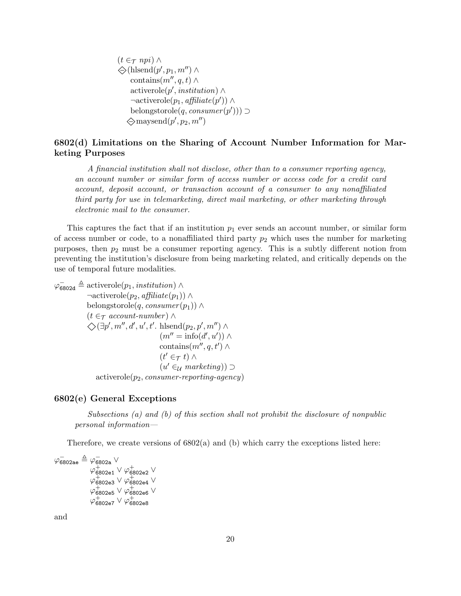$(t \in \tau$  npi)  $\wedge$  $\bigotimes(\text{hlsend}(p', p_1, m'') \wedge$ contains $(m'', q, t) \wedge$ activerole( $p'$ , institution) ∧  $\neg \text{activerole}(p_1, \text{afflicate}(p')) \land$ belongstorole $(q, \text{cosumer}(p'))$  $\diamondsuit$ maysend $(p', p_2, m'')$ 

#### 6802(d) Limitations on the Sharing of Account Number Information for Marketing Purposes

A financial institution shall not disclose, other than to a consumer reporting agency, an account number or similar form of access number or access code for a credit card account, deposit account, or transaction account of a consumer to any nonaffiliated third party for use in telemarketing, direct mail marketing, or other marketing through electronic mail to the consumer.

This captures the fact that if an institution  $p_1$  ever sends an account number, or similar form of access number or code, to a nonaffiliated third party  $p_2$  which uses the number for marketing purposes, then  $p_2$  must be a consumer reporting agency. This is a subtly different notion from preventing the institution's disclosure from being marketing related, and critically depends on the use of temporal future modalities.

 $\varphi_{6802d} \triangleq$  activerole $(p_1, institution) \wedge$  $\neg \text{activerole}(p_2, \text{afflicate}(p_1)) \wedge$ belongstorole(q, consumer $(p_1)$ ) ∧  $(t \in \tau$  account-number)  $\wedge$  $\diamondsuit(\exists p', m'', d', u', t'.\text{ hlsend}(p_2, p', m'') \land$  $(m'' = \text{info}(d', u')) \wedge$ contains $(m'', q, t') \wedge$  $(t' \in_{\mathcal{T}} t) \wedge$  $(u' \in \mathcal{U}$  marketing)) ⊃  $activerole(p_2, consumer-reporting-agency)$ 

#### 6802(e) General Exceptions

Subsections (a) and (b) of this section shall not prohibit the disclosure of nonpublic personal information—

Therefore, we create versions of  $6802(a)$  and (b) which carry the exceptions listed here:

 $\varphi^-_\mathsf{6802ae} \triangleq \varphi^-_\mathsf{6802a} \lor$  $\varphi_{\mathsf{6802e1}}^+\vee\varphi_{\mathsf{6802e2}}^+\vee$  $\varphi_{6802e3}^{+}\vee\varphi_{6802e4}^{+}\vee$  $\varphi_{6802e5}^{+} \vee \varphi_{6802e6}^{+} \vee$  $\varphi_{6802e7}^{+} \vee \varphi_{6802e8}^{+}$ 

and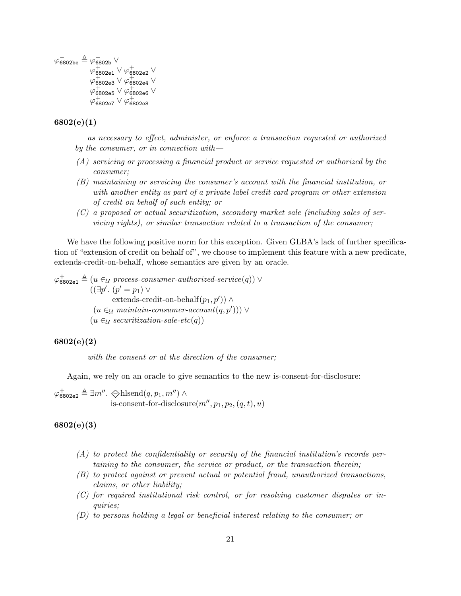$\varphi^-_\mathsf{6802be} \triangleq \varphi^-_\mathsf{6802b} \lor$  $\varphi_{6802e1}^{+} \vee \varphi_{6802e2}^{+} \vee$  $\varphi_{6802e3}^{+} \vee \varphi_{6802e4}^{+} \vee$  $\varphi_{6802e5}^{+} \vee \varphi_{6802e6}^{+} \vee$  $\varphi_{6802e7}^{+} \vee \varphi_{6802e8}^{+}$ 

#### 6802(e)(1)

as necessary to effect, administer, or enforce a transaction requested or authorized by the consumer, or in connection with  $-$ 

- (A) servicing or processing a financial product or service requested or authorized by the consumer;
- (B) maintaining or servicing the consumer's account with the financial institution, or with another entity as part of a private label credit card program or other extension of credit on behalf of such entity; or
- (C) a proposed or actual securitization, secondary market sale (including sales of servicing rights), or similar transaction related to a transaction of the consumer;

We have the following positive norm for this exception. Given GLBA's lack of further specification of "extension of credit on behalf of", we choose to implement this feature with a new predicate, extends-credit-on-behalf, whose semantics are given by an oracle.

 $\varphi_{6802e1}^{\dagger} \triangleq (u \in_{\mathcal{U}} process-consumer-authorized-service(q)) \vee$  $((\exists p'. (p' = p_1) \vee$ extends-credit-on-behalf $(p_1, p')$ ) ∧  $(u \in \mathcal{U}$  maintain-consumer-account $(q, p'))$ )  $\vee$  $(u \in_{\mathcal{U}} \mathit{securitization}\text{-}sale\text{-}etc(q))$ 

#### 6802(e)(2)

with the consent or at the direction of the consumer;

Again, we rely on an oracle to give semantics to the new is-consent-for-disclosure:

 $\varphi_{6802e2}^{\dagger} \triangleq \exists m''$ .  $\Leftrightarrow$ hlsend $(q, p_1, m'') \wedge$ is-consent-for-disclosure $(m'', p_1, p_2, (q, t), u)$ 

#### 6802(e)(3)

- (A) to protect the confidentiality or security of the financial institution's records pertaining to the consumer, the service or product, or the transaction therein;
- (B) to protect against or prevent actual or potential fraud, unauthorized transactions, claims, or other liability;
- (C) for required institutional risk control, or for resolving customer disputes or inquiries;
- (D) to persons holding a legal or beneficial interest relating to the consumer; or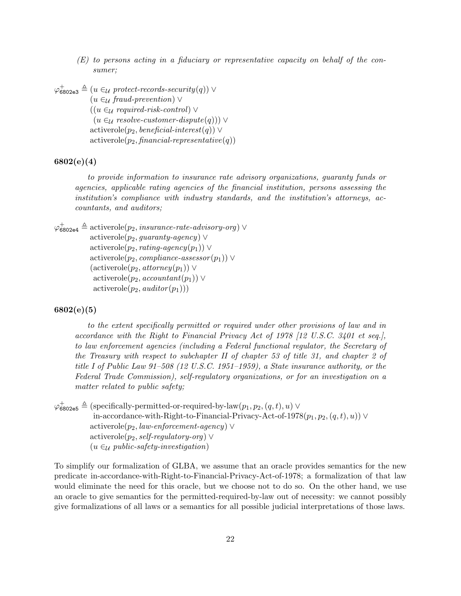(E) to persons acting in a fiduciary or representative capacity on behalf of the consumer;

 $\varphi_{6802e3}^{\dagger} \triangleq (u \in_{\mathcal{U}} \mathit{protect-records-security}(q)) \vee$  $(u \in_{\mathcal{U}} \mathit{fraud-prevention}) \vee$  $((u \in \mathcal{U} \text{ required-risk-control}) \vee$  $(u \in \mathcal{U} \text{ resolve-customer-dispute}(q))) \vee$  $activerole(p_2, \text{ } be \text{ } n \text{ } e \text{ } \text{ } fa \text{ } i \text{ } n \text{ } t \text{ } erg \text{ } s \text{ } i \text{ } s \text{ } s \text{ } i \text{ } s \text{ } i \text{ } s \text{ } i \text{ } s \text{ } i \text{ } s \text{ } i \text{ } s \text{ } i \text{ } s \text{ } i \text{ } s \text{ } i \text{ } s \text{ } i \text{ } s \text{ } i \text{ } s \text{ } i \text{ } s \text{ } i \text{ } s \text{ } i \text{ } s \text{ } i \text{ } s \text{ } i \text{ } s$  $activerole(p_2, financial-representative(q))$ 

### 6802(e)(4)

to provide information to insurance rate advisory organizations, guaranty funds or agencies, applicable rating agencies of the financial institution, persons assessing the institution's compliance with industry standards, and the institution's attorneys, accountants, and auditors;

```
\varphi_{6802e4}^+ \triangleq activerole(p_2, insurance-rate-advisory-org) \vee\text{activerole}(p_2, \text{guaranty-}agency) \veeactiverole(p_2, rating-agency(p_1)) ∨
             activerole(p_2, compliance-assessor (p_1)) ∨
             (\text{activerole}(p_2, \text{atomic}(p_1)) \veeactiverole(p_2, accountant(p_1)) ∨
              activerole(p_2, \textit{auditor}(p_1)))
```
#### 6802(e)(5)

to the extent specifically permitted or required under other provisions of law and in accordance with the Right to Financial Privacy Act of 1978 [12 U.S.C. 3401 et seq.], to law enforcement agencies (including a Federal functional regulator, the Secretary of the Treasury with respect to subchapter II of chapter 53 of title 31, and chapter 2 of title I of Public Law 91–508 (12 U.S.C. 1951–1959), a State insurance authority, or the Federal Trade Commission), self-regulatory organizations, or for an investigation on a matter related to public safety;

 $\varphi_{6802e5}^{\dagger} \triangleq$  (specifically-permitted-or-required-by-law $(p_1, p_2, (q, t), u) \vee$ in-accordance-with-Right-to-Financial-Privacy-Act-of-1978 $(p_1, p_2, (q, t), u)$ ) ∨  $activerole(p_2, law-enforcement\-ager) \vee$ activerole( $p_2$ , self-regulatory-org)  $\vee$  $(u \in_{\mathcal{U}} public\text{-}safety\text{-}investigation)$ 

To simplify our formalization of GLBA, we assume that an oracle provides semantics for the new predicate in-accordance-with-Right-to-Financial-Privacy-Act-of-1978; a formalization of that law would eliminate the need for this oracle, but we choose not to do so. On the other hand, we use an oracle to give semantics for the permitted-required-by-law out of necessity: we cannot possibly give formalizations of all laws or a semantics for all possible judicial interpretations of those laws.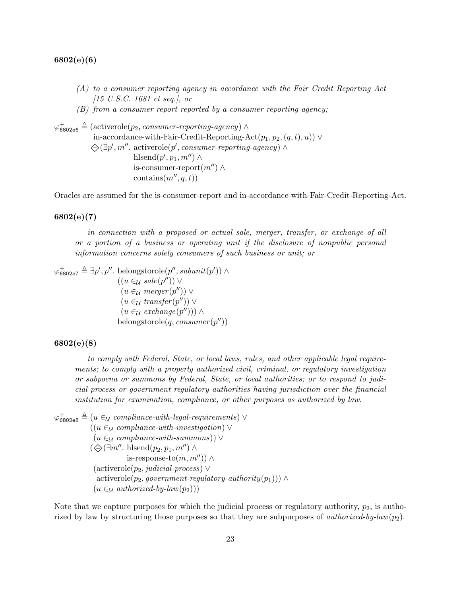6802(e)(6)

- (A) to a consumer reporting agency in accordance with the Fair Credit Reporting Act [15 U.S.C. 1681 et seq.], or
- (B) from a consumer report reported by a consumer reporting agency;

```
\varphi_{6802e6}^+ \triangleq (activerole(p<sub>2</sub>, consumer-reporting-agency) \wedgein-accordance-with-Fair-Credit-Reporting-Act(p_1, p_2, (q, t), u)) ∨
             \bigotimes (\exists p', m''. activerole(p', \text{ consumer-reporting-agency}) \landhlsend(p', p_1, m'') \wedgeis-consumer-report(m'') \wedgecontains(m'', q, t)
```
Oracles are assumed for the is-consumer-report and in-accordance-with-Fair-Credit-Reporting-Act.

#### 6802(e)(7)

in connection with a proposed or actual sale, merger, transfer, or exchange of all or a portion of a business or operating unit if the disclosure of nonpublic personal information concerns solely consumers of such business or unit; or

 $\varphi_{6802e7}^+ \triangleq \exists p', p''.$  belongstorole $(p'',subunit(p')) \wedge$  $((u \in_{\mathcal{U}} \mathit{ sale}(p'')) \vee$  $(u \in_{\mathcal{U}} \mathit{merger}(p'')) \vee$  $(u \in_{\mathcal{U}} \t{transfer}(p'')) \vee$  $(u \in_{\mathcal{U}} \operatorname{exchange}(p'')) \wedge$ belongstorole(q, consumer(p''))

#### 6802(e)(8)

to comply with Federal, State, or local laws, rules, and other applicable legal requirements; to comply with a properly authorized civil, criminal, or regulatory investigation or subpoena or summons by Federal, State, or local authorities; or to respond to judicial process or government regulatory authorities having jurisdiction over the financial institution for examination, compliance, or other purposes as authorized by law.

 $\varphi_{6802e8}^+ \triangleq (u \in \mathcal{U} \text{ compliance-with-legal-requirements}) \vee$  $((u \in_{\mathcal{U}} compliance-with-investigation)$  $(u \in \mathcal{U}$  compliance-with-summons))  $\vee$  $(\diamondsuit(\exists m''\ldots\mathsf{hlsend}(p_2, p_1, m'')\wedge$ is-response-to $(m, m'')$ ) ∧  $(\text{activerole}(p_2, \text{indicial-process}) \vee$  $activerole(p_2, government-regulatory-authority(p_1))) \wedge$  $(u \in_{\mathcal{U}} \mathit{authorized-by-law}(p_2)))$ 

Note that we capture purposes for which the judicial process or regulatory authority,  $p_2$ , is authorized by law by structuring those purposes so that they are subpurposes of *authorized-by-law* $(p_2)$ .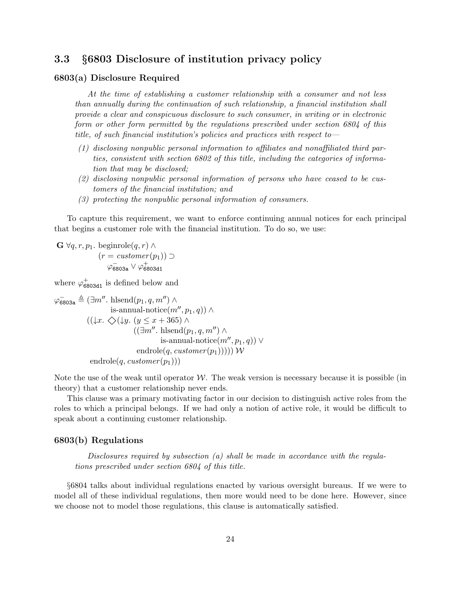## <span id="page-25-0"></span>3.3 §6803 Disclosure of institution privacy policy

#### 6803(a) Disclosure Required

At the time of establishing a customer relationship with a consumer and not less than annually during the continuation of such relationship, a financial institution shall provide a clear and conspicuous disclosure to such consumer, in writing or in electronic form or other form permitted by the regulations prescribed under section 6804 of this title, of such financial institution's policies and practices with respect to—

- (1) disclosing nonpublic personal information to affiliates and nonaffiliated third parties, consistent with section 6802 of this title, including the categories of information that may be disclosed;
- (2) disclosing nonpublic personal information of persons who have ceased to be customers of the financial institution; and
- (3) protecting the nonpublic personal information of consumers.

To capture this requirement, we want to enforce continuing annual notices for each principal that begins a customer role with the financial institution. To do so, we use:

 $\mathbf{G} \ \forall q, r, p_1$ . beginrole $(q, r) \land$  $(r = customer(p_1)) \supset$  $\varphi^-_\mathsf{6803a} \lor \varphi^+_\mathsf{6803d1}$ 

where  $\varphi_{6803d1}^+$  is defined below and

$$
\varphi_{6803a} \triangleq (\exists m''. \text{ hlsend}(p_1, q, m'') \land
$$
  
is-annual-notic $(m'', p_1, q)$ )  $\land$   
 $((\downarrow x. \diamondsuit(\downarrow y. (y \leq x + 365) \land$   
 $((\exists m''. \text{ hlsend}(p_1, q, m'') \land$   
is-annual-notic $(m'', p_1, q)) \lor$   
endrole $(q, customer(p_1))))$  W  
endrole $(q, customer(p_1)))$ 

Note the use of the weak until operator  $W$ . The weak version is necessary because it is possible (in theory) that a customer relationship never ends.

This clause was a primary motivating factor in our decision to distinguish active roles from the roles to which a principal belongs. If we had only a notion of active role, it would be difficult to speak about a continuing customer relationship.

#### 6803(b) Regulations

Disclosures required by subsection (a) shall be made in accordance with the regulations prescribed under section 6804 of this title.

§6804 talks about individual regulations enacted by various oversight bureaus. If we were to model all of these individual regulations, then more would need to be done here. However, since we choose not to model those regulations, this clause is automatically satisfied.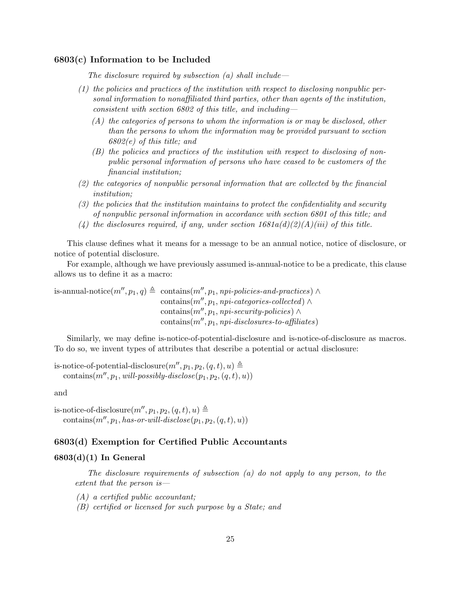#### 6803(c) Information to be Included

The disclosure required by subsection  $(a)$  shall include—

- (1) the policies and practices of the institution with respect to disclosing nonpublic personal information to nonaffiliated third parties, other than agents of the institution, consistent with section 6802 of this title, and including—
	- $(A)$  the categories of persons to whom the information is or may be disclosed, other than the persons to whom the information may be provided pursuant to section 6802(e) of this title; and
	- (B) the policies and practices of the institution with respect to disclosing of nonpublic personal information of persons who have ceased to be customers of the financial institution;
- (2) the categories of nonpublic personal information that are collected by the financial institution;
- (3) the policies that the institution maintains to protect the confidentiality and security of nonpublic personal information in accordance with section 6801 of this title; and
- (4) the disclosures required, if any, under section  $1681a(d)(2)(A)(iii)$  of this title.

This clause defines what it means for a message to be an annual notice, notice of disclosure, or notice of potential disclosure.

For example, although we have previously assumed is-annual-notice to be a predicate, this clause allows us to define it as a macro:

is-annual-notice $(m'', p_1, q) \triangleq$  contains $(m'', p_1, npi-policies- and-practices) \wedge$ contains $(m'', p_1, npi\text{-}categories\text{-}collected) \wedge$ contains $(m'', p_1, npi\text{-}security\text{-}policies) \wedge$  $contains(m'', p_1, npi\text{-}disclosures-to\text{-}affiliates)$ 

Similarly, we may define is-notice-of-potential-disclosure and is-notice-of-disclosure as macros. To do so, we invent types of attributes that describe a potential or actual disclosure:

is-notice-of-potential-disclosure $(m'', p_1, p_2, (q, t), u) \triangleq$ contains( $m'', p_1, will-possibly-disclose(p_1, p_2, (q, t), u)$ )

and

is-notice-of-disclosure $(m'', p_1, p_2, (q, t), u) \triangleq$ contains $(m'', p_1, has-or-will-disclose(p_1, p_2, (q, t), u))$ 

#### 6803(d) Exemption for Certified Public Accountants

#### $6803(d)(1)$  In General

The disclosure requirements of subsection  $(a)$  do not apply to any person, to the extent that the person is—

- (A) a certified public accountant;
- (B) certified or licensed for such purpose by a State; and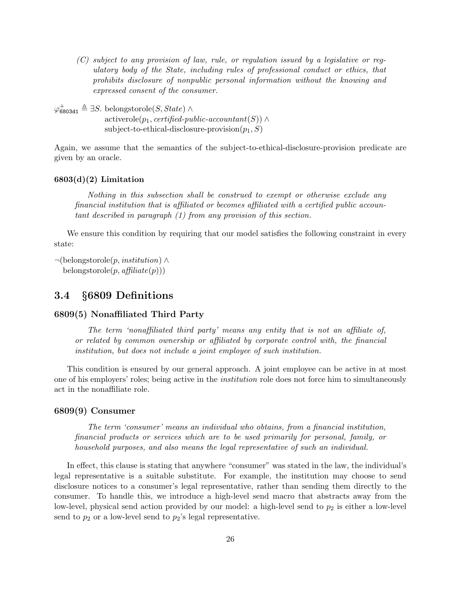(C) subject to any provision of law, rule, or regulation issued by a legislative or regulatory body of the State, including rules of professional conduct or ethics, that prohibits disclosure of nonpublic personal information without the knowing and expressed consent of the consumer.

 $\varphi_{6803d1}^+ \triangleq \exists S.$  belongstorole(S, State) ∧  $\text{activerole}(p_1, \text{certified-public-accountant}(S)) \wedge$ subject-to-ethical-disclosure-provision $(p_1, S)$ 

Again, we assume that the semantics of the subject-to-ethical-disclosure-provision predicate are given by an oracle.

#### $6803(d)(2)$  Limitation

Nothing in this subsection shall be construed to exempt or otherwise exclude any financial institution that is affiliated or becomes affiliated with a certified public accountant described in paragraph (1) from any provision of this section.

We ensure this condition by requiring that our model satisfies the following constraint in every state:

```
\neg(belongstorole(p, institution) \wedgebelongstorole(p, afflicate(p)))
```
## <span id="page-27-0"></span>3.4 §6809 Definitions

#### 6809(5) Nonaffiliated Third Party

The term 'nonaffiliated third party' means any entity that is not an affiliate of, or related by common ownership or affiliated by corporate control with, the financial institution, but does not include a joint employee of such institution.

This condition is ensured by our general approach. A joint employee can be active in at most one of his employers' roles; being active in the institution role does not force him to simultaneously act in the nonaffiliate role.

#### 6809(9) Consumer

The term 'consumer' means an individual who obtains, from a financial institution, financial products or services which are to be used primarily for personal, family, or household purposes, and also means the legal representative of such an individual.

In effect, this clause is stating that anywhere "consumer" was stated in the law, the individual's legal representative is a suitable substitute. For example, the institution may choose to send disclosure notices to a consumer's legal representative, rather than sending them directly to the consumer. To handle this, we introduce a high-level send macro that abstracts away from the low-level, physical send action provided by our model: a high-level send to  $p_2$  is either a low-level send to  $p_2$  or a low-level send to  $p_2$ 's legal representative.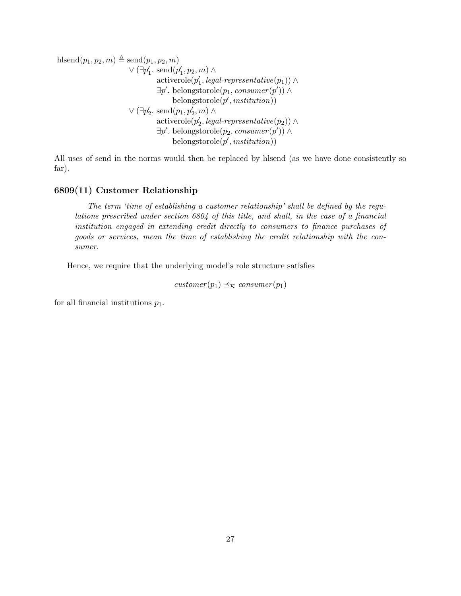hlsend
$$
(p_1, p_2, m)
$$
  
\n $\lor (\exists p'_1 \text{ send}(p'_1, p_2, m) \land$   
\n $\lor (\exists p'_1 \text{ send}(p'_1, p_2, m) \land$   
\n $\exists p' \text{. belongs to pole}(p_1, \text{cosumer}(p')) \land$   
\n $\exists p' \text{. belongs to pole}(p_1, \text{cosumer}(p')) \land$   
\n $\lor (\exists p'_2 \text{. send}(p_1, p'_2, m) \land$   
\n $\land$   
\n $\exists p' \text{. belongs to pole}(p'_2, \text{legal-representative}(p_2)) \land$   
\n $\exists p' \text{. belongs to pole}(p_2, \text{cosumer}(p')) \land$   
\n $\exists p' \text{. belongs to pole}(p', \text{institution}))$ 

All uses of send in the norms would then be replaced by hlsend (as we have done consistently so far).

#### 6809(11) Customer Relationship

The term 'time of establishing a customer relationship' shall be defined by the regulations prescribed under section 6804 of this title, and shall, in the case of a financial institution engaged in extending credit directly to consumers to finance purchases of goods or services, mean the time of establishing the credit relationship with the consumer.

Hence, we require that the underlying model's role structure satisfies

 $\textit{customer}(p_1) \preceq_{\mathcal{R}} \textit{consumer}(p_1)$ 

for all financial institutions  $p_1$ .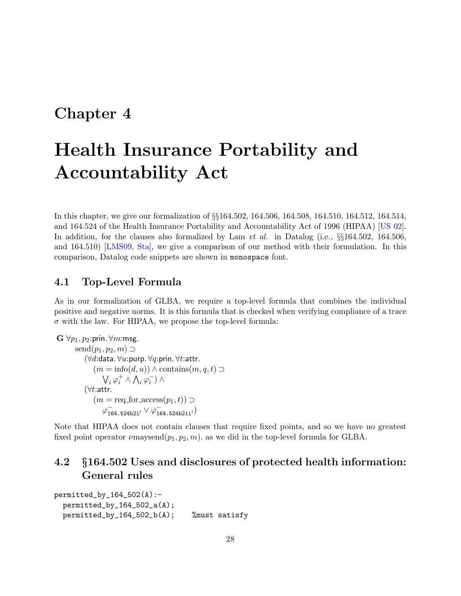# <span id="page-29-0"></span>Chapter 4

# Health Insurance Portability and Accountability Act

In this chapter, we give our formalization of §§164.502, 164.506, 164.508, 164.510, 164.512, 164.514, and 164.524 of the Health Insurance Portability and Accountability Act of 1996 (HIPAA) [\[US 02\]](#page-127-1). In addition, for the clauses also formalized by Lam *et al.* in Datalog (i.e.,  $\S$  $164.502$ , 164.506, and 164.510) [\[LMS09,](#page-126-5) [Sta\]](#page-127-7), we give a comparison of our method with their formulation. In this comparison, Datalog code snippets are shown in monospace font.

## <span id="page-29-1"></span>4.1 Top-Level Formula

As in our formalization of GLBA, we require a top-level formula that combines the individual positive and negative norms. It is this formula that is checked when verifying compliance of a trace  $\sigma$  with the law. For HIPAA, we propose the top-level formula:

```
\mathbf{G} \ \forall p_1, p_2:prin. \forall m:msg.
         send(p_1, p_2, m) \supset(∀d:data. ∀u:purp. ∀q:prin. ∀t:attr.
                   (m = \text{info}(d, u)) \wedge \text{contains}(m, q, t) \supset\bigvee_i \varphi_i^+ \wedge \bigwedge_i \varphi_i^-) \wedge(\forall t:attr.
                  (m = \text{req\_for\_access}(p_1, t)) \supset\varphi^{-}_{164.524b2i'} \vee \varphi^{-}_{164.524b2ii'})
```
Note that HIPAA does not contain clauses that require fixed points, and so we have no greatest fixed point operator  $\nu$ maysend $(p_1, p_2, m)$ . as we did in the top-level formula for GLBA.

## <span id="page-29-2"></span>4.2 §164.502 Uses and disclosures of protected health information: General rules

```
permitted_by_164_502(A):-
 permitted_by_164_502_a(A);
 permitted_by_164_502_b(A); %must satisfy
```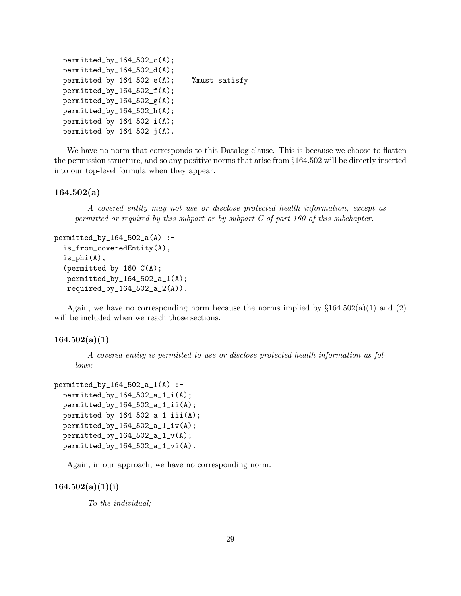```
permitted_by_164_502_c(A);permitted_by_164_502_d(A);
permitted_by_164_502_e(A); %must satisfy
permitted_by_164_502_f(A);
permitted_by_164_502_g(A);permitted_by_164_502_h(A);
permitted_by_164_502_i(A);
permitted_by_164_502_j(A).
```
We have no norm that corresponds to this Datalog clause. This is because we choose to flatten the permission structure, and so any positive norms that arise from §164.502 will be directly inserted into our top-level formula when they appear.

#### 164.502(a)

A covered entity may not use or disclose protected health information, except as permitted or required by this subpart or by subpart C of part 160 of this subchapter.

```
permitted_by_164_502_a(A) :-
  is_from_coveredEntity(A),
  is\_phi(A),
  (permitted_by_160_C(A);
   permitted_by_164_502_a_1(A);
   required_by_164_502_a_2(A)).
```
Again, we have no corresponding norm because the norms implied by  $\S 164.502(a)(1)$  and (2) will be included when we reach those sections.

#### $164.502(a)(1)$

A covered entity is permitted to use or disclose protected health information as follows:

```
permitted_by_164_502_a_1(A) :-
 permitted_by_164_502_a_1_i(A);permitted_by_164_502_a_1_ii(A);
 permitted_by_164_502_a_1_iii(A);
 permitted_by_164_502_a_1_iv(A);
 permitted_by_164_502_a_1_v(A);permitted_by_164_502_a_1_vi(A).
```
Again, in our approach, we have no corresponding norm.

#### $164.502(a)(1)(i)$

To the individual;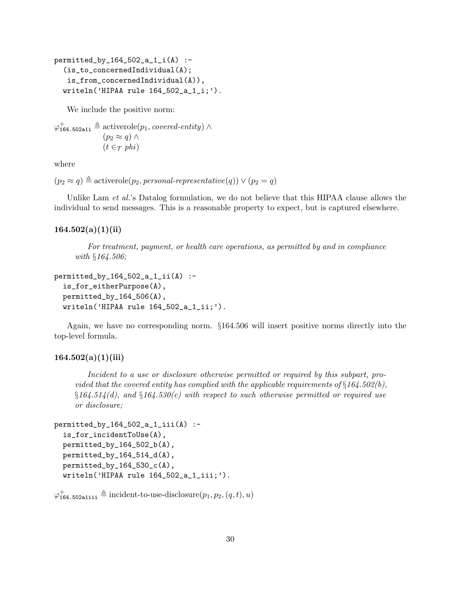```
permitted_by_164_502_a_1_i(A) :-
  (is_to_concernedIndividual(A);
   is_from_concernedIndividual(A)),
  writeln('HIPAA rule 164_502_a_1_i;').
```
We include the positive norm:

```
\varphi_{164.502\text{a}1i}^+ \triangleq \text{activerole}(p_1, covered\text{-}entity) \wedge(p_2 \approx q) \wedge(t \in \tau phi)
```
where

```
(p_2 \approx q) \triangleq activerole(p_2, personal-representative(q)) \vee (p_2 = q)
```
Unlike Lam *et al.*'s Datalog formulation, we do not believe that this HIPAA clause allows the individual to send messages. This is a reasonable property to expect, but is captured elsewhere.

#### $164.502(a)(1)(ii)$

For treatment, payment, or health care operations, as permitted by and in compliance with §164.506;

```
permitted_by_164_502_a_1_ii(A) :-
  is_for_eitherPurpose(A),
 permitted_by_164_506(A),
  writeln('HIPAA rule 164_502_a_1_ii;').
```
Again, we have no corresponding norm. §164.506 will insert positive norms directly into the top-level formula.

#### $164.502(a)(1)(iii)$

Incident to a use or disclosure otherwise permitted or required by this subpart, provided that the covered entity has complied with the applicable requirements of  $\S 164.502(b)$ ,  $$164.514(d)$ , and  $$164.530(c)$  with respect to such otherwise permitted or required use or disclosure;

```
permitted_by_164_502_a_1_iii(A) :-
  is_for_incidentToUse(A),
  permitted_by_164_502_b(A),
 permitted_by_164_514_d(A),
  permitted_by_164_530_c(A),
  writeln('HIPAA rule 164_502_a_1_iii;').
```

```
\varphi_{164.502\text{a}1\text{ii}}^+ \triangleq \text{incident-to-use-disclosure}(p_1, p_2, (q, t), u)
```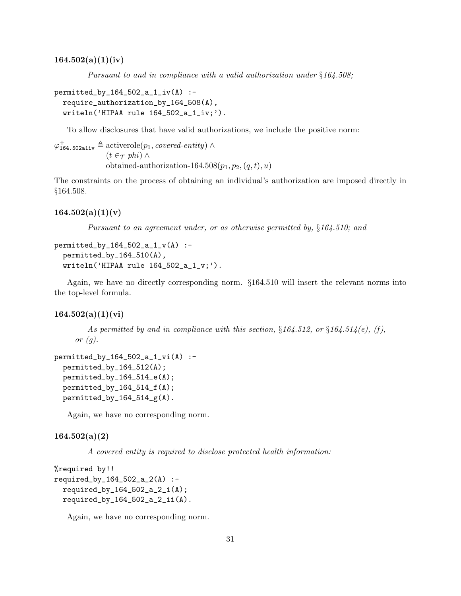Pursuant to and in compliance with a valid authorization under  $§164.508;$ 

```
permitted_by_164_502_a_1_iv(A) :-
  require_authorization_by_164_508(A),
  written('HIPAA rule 164_502_a1iv;').
```
To allow disclosures that have valid authorizations, we include the positive norm:

 $\varphi_{164.502\text{a}1\text{i}v}^{\dagger} \triangleq \text{activerole}(p_1, covered\text{-}entity) \wedge$  $(t \in \tau$  phi)  $\wedge$ obtained-authorization-164.508 $(p_1, p_2, (q, t), u)$ 

The constraints on the process of obtaining an individual's authorization are imposed directly in §164.508.

#### $164.502(a)(1)(v)$

Pursuant to an agreement under, or as otherwise permitted by,  $§164.510$ ; and

```
permitted_by_164_502_a_1_v(A) :-
 permitted_by_164_510(A),
 written('HIPAA rule 164_502_a_1_v; ').
```
Again, we have no directly corresponding norm. §164.510 will insert the relevant norms into the top-level formula.

#### $164.502(a)(1)(vi)$

As permitted by and in compliance with this section,  $§164.512$ , or  $§164.514(e)$ , (f), or  $(q)$ .

```
permitted_by_164_502_a_1_vi(A) :-
 permitted_by_164_512(A);
 permitted_by_164_514_e(A);permitted_by_164_514_f(A);
 permitted_by_164_514_g(A).
```
Again, we have no corresponding norm.

#### $164.502(a)(2)$

A covered entity is required to disclose protected health information:

```
%required by!!
required_by_164_502_a_2(A) :-
  required_by_164_502_a_2_i(A);
  required_by_164_502_a_2_ii(A).
```
Again, we have no corresponding norm.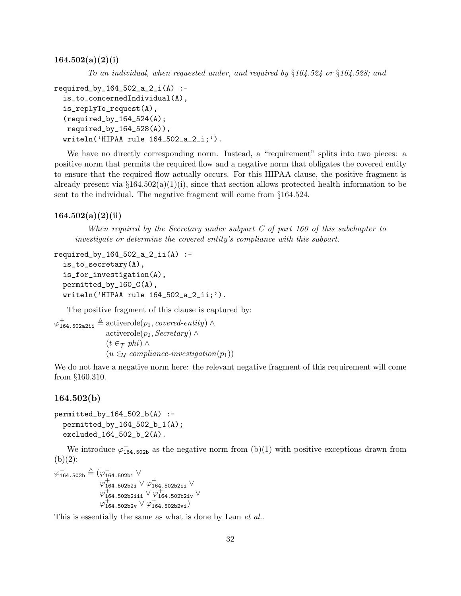$164.502(a)(2)(i)$ 

To an individual, when requested under, and required by §164.524 or §164.528; and

```
required_by_164_502_a_2_i(A) :-
  is_to_concernedIndividual(A),
  is_replyTo_request(A),
  (required_by_164_524(A);
  required_by_164_528(A),
  writeln('HIPAA rule 164_502_a_2_i;').
```
We have no directly corresponding norm. Instead, a "requirement" splits into two pieces: a positive norm that permits the required flow and a negative norm that obligates the covered entity to ensure that the required flow actually occurs. For this HIPAA clause, the positive fragment is already present via  $\S 164.502(a)(1)(i)$ , since that section allows protected health information to be sent to the individual. The negative fragment will come from §164.524.

#### $164.502(a)(2)(ii)$

When required by the Secretary under subpart C of part 160 of this subchapter to investigate or determine the covered entity's compliance with this subpart.

```
required_by_164_502_a_2_ii(A) :-
  is_to_secretary(A),
  is_for_investigation(A),
 permitted_by_160_C(A),
  writeln('HIPAA rule 164_502_a_2_ii;').
```
The positive fragment of this clause is captured by:

 $\varphi_{164.502a2ii}^{+} \triangleq$  activerole $(p_1, covered\text{-}entity) \wedge$ activerole( $p_2$ , Secretary) ∧  $(t \in \tau$  phi) ∧  $(u \in_{\mathcal{U}} compliance-investigation(p_1))$ 

We do not have a negative norm here: the relevant negative fragment of this requirement will come from §160.310.

#### 164.502(b)

```
permitted_by_164_502_b(A) :-
  permitted_by_164_502_b_1(A);
  excluded_164_502_b_2(A).
```
We introduce  $\varphi_{164.502b}^{-}$  as the negative norm from (b)(1) with positive exceptions drawn from  $(b)(2)$ :

 $\varphi^{-}_{164.502b}\triangleq(\varphi^{-}_{164.502b1}$  V  $\varphi_{164.502b2i}^{+} \lor \varphi_{164.502b2i}^{+} \lor$  $\varphi_{\texttt{164.502b2iii}}^{+} \lor \varphi_{\texttt{164.502b2iv}}^{+} \lor$  $\varphi_{164.502b2v}^{+} \lor \varphi_{164.502b2vi}^{+}$ 

This is essentially the same as what is done by Lam *et al.*.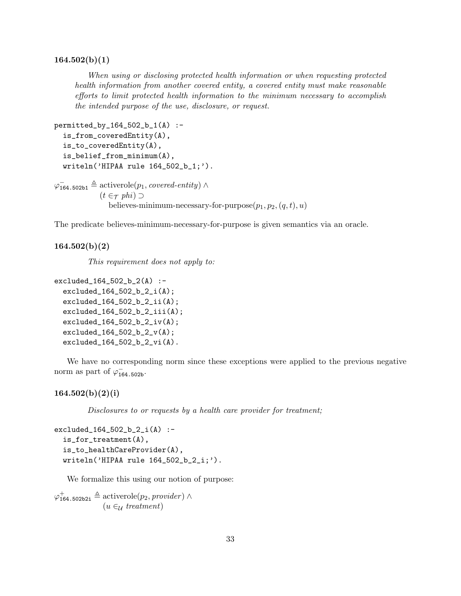#### $164.502(b)(1)$

When using or disclosing protected health information or when requesting protected health information from another covered entity, a covered entity must make reasonable efforts to limit protected health information to the minimum necessary to accomplish the intended purpose of the use, disclosure, or request.

```
permitted_by_164_502_b_1(A) :-is_from_coveredEntity(A),
  is_to_coveredEntity(A),
  is_belief_from_minimum(A),
  writeln('HIPAA rule 164_502_b_1;').
\varphi_{164.502b1}^{-} \triangleq activerole(p_1, covered\text{-}entity) \wedge(t \in \tau phi) \supsetbelieves-minimum-necessary-for-purpose(p_1, p_2, (q, t), u)
```
The predicate believes-minimum-necessary-for-purpose is given semantics via an oracle.

#### $164.502(b)(2)$

This requirement does not apply to:

```
excluded_164_502_b_2(A) :-
  excluded_164_502_b_2_i(A);
  excluded_164_502_b_2_ii(A);
  excluded_164_502_b_2_iii(A);
  excluded_164_502_b_2_iv(A);
  excluded_164_502_b_2_v(A);
  excluded_164_502_b_2_vi(A).
```
We have no corresponding norm since these exceptions were applied to the previous negative norm as part of  $\varphi_{164.502b}^{-}$ .

#### $164.502(b)(2)(i)$

Disclosures to or requests by a health care provider for treatment;

```
excluded_164_502_b_2_i(A) :-
  is_for_treatment(A),
  is_to_healthCareProvider(A),
  writeln('HIPAA rule 164_502_b_2_i;').
```
We formalize this using our notion of purpose:

 $\varphi_{164.502b2i}^{+} \triangleq$  activerole $(p_2, provider) \wedge$  $(u \in \mathcal{U} \text{ treatment})$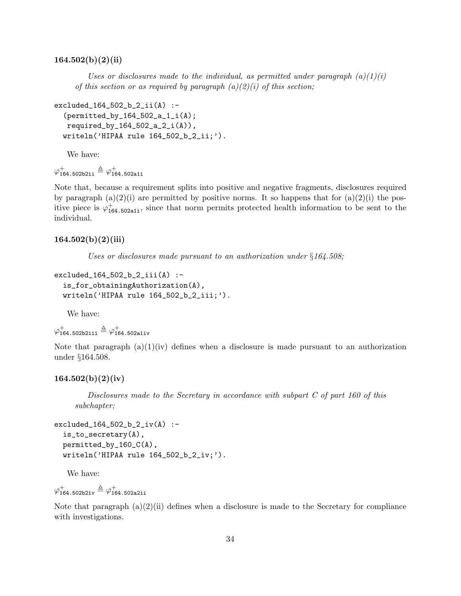#### $164.502(b)(2)(ii)$

Uses or disclosures made to the individual, as permitted under paragraph  $(a)(1)(i)$ of this section or as required by paragraph  $(a)(2)(i)$  of this section;

```
excluded_164_502_b_2_ii(A) :-
  (permitted_by_164_502_a_1_i(A);
  required_by_164_502_a_2_i(A)),
  writeln('HIPAA rule 164_502_b_2_ii;').
```
We have:

 $\varphi_{\texttt{164.502b2ii}}^{+} \triangleq \varphi_{\texttt{164.502a1i}}^{+}$ 

Note that, because a requirement splits into positive and negative fragments, disclosures required by paragraph  $(a)(2)(i)$  are permitted by positive norms. It so happens that for  $(a)(2)(i)$  the positive piece is  $\varphi_{164.502a1i}^{+}$ , since that norm permits protected health information to be sent to the individual.

#### $164.502(b)(2)(iii)$

Uses or disclosures made pursuant to an authorization under  $§164.508;$ 

```
excluded_164_502_b_2_iii(A) :-
  is_for_obtainingAuthorization(A),
  writeln('HIPAA rule 164_502_b_2_iii;').
```
We have:

```
\varphi_{\texttt{164.502b2iii}}^{+} \triangleq \varphi_{\texttt{164.502a1iv}}^{+}
```
Note that paragraph  $(a)(1)(iv)$  defines when a disclosure is made pursuant to an authorization under §164.508.

#### $164.502(b)(2)(iv)$

Disclosures made to the Secretary in accordance with subpart C of part 160 of this subchapter;

```
excluded_164_502_b_2_iv(A) :-is_to_secretary(A),
  permitted_by_160_C(A),
  writeln('HIPAA rule 164_502_b_2_iv;').
```
We have:

 $\varphi_{\texttt{164.502b2iv}}^{+} \triangleq \varphi_{\texttt{164.502a2ii}}^{+}$ 

Note that paragraph  $(a)(2)(ii)$  defines when a disclosure is made to the Secretary for compliance with investigations.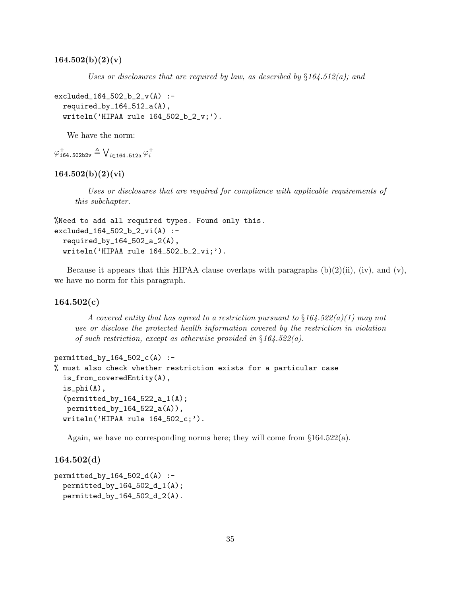$164.502(b)(2)(v)$ 

Uses or disclosures that are required by law, as described by  $\S 164.512(a)$ ; and

```
excluded_164_502_b_2_v(A) :-
  required_by_164_512_a(A),
  writeln('HIPAA rule 164_502_b_2_v;').
```
We have the norm:

```
\varphi_{\texttt{164.502b2v}}^+ \triangleq \bigvee_{i \in \texttt{164.512a}} \varphi_i^+
```
# $164.502(b)(2)(vi)$

Uses or disclosures that are required for compliance with applicable requirements of this subchapter.

```
%Need to add all required types. Found only this.
excluded_164_502_b_2_vi(A) :-
  required_by_164_502_a_2(A),
  writeln('HIPAA rule 164_502_b_2_vi;').
```
Because it appears that this HIPAA clause overlaps with paragraphs  $(b)(2)(ii)$ ,  $(iv)$ , and  $(v)$ , we have no norm for this paragraph.

# $164.502(c)$

A covered entity that has agreed to a restriction pursuant to  $\S164.522(a)(1)$  may not use or disclose the protected health information covered by the restriction in violation of such restriction, except as otherwise provided in  $\S 164.522(a)$ .

```
permitted_by_164_502_c(A) :-
% must also check whether restriction exists for a particular case
  is_from_coveredEntity(A),
  is_phi(A),
  (permitted_by_164_522_a_1(A);
  permitted_by_164_522_a(A)),
  writeln('HIPAA rule 164_502_c;').
```
Again, we have no corresponding norms here; they will come from  $\S 164.522(a)$ .

164.502(d)

```
permitted_by_164_502_d(A) :-
 permitted_by_164_502_d_1(A);
 permitted_by_164_502_d_2(A).
```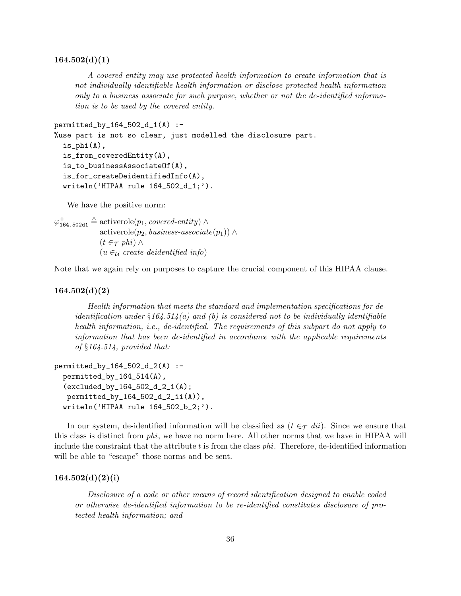#### $164.502(d)(1)$

A covered entity may use protected health information to create information that is not individually identifiable health information or disclose protected health information only to a business associate for such purpose, whether or not the de-identified information is to be used by the covered entity.

```
permitted_by_164_502_d_1(A) :-
%use part is not so clear, just modelled the disclosure part.
  is_phi(A),
  is_from_coveredEntity(A),
  is_to_businessAssociateOf(A),
  is_for_createDeidentifiedInfo(A),
  writeln('HIPAA rule 164_502_d_1;').
```
We have the positive norm:

 $\varphi_{164.502d1}^{+} \triangleq$  activerole $(p_1, covered\it-entity)$ activerole( $p_2$ , business-associate( $p_1$ )) ∧  $(t \in \tau$  phi)  $\wedge$  $(u \in_{\mathcal{U}} \text{create-deidentified-info})$ 

Note that we again rely on purposes to capture the crucial component of this HIPAA clause.

# $164.502(d)(2)$

Health information that meets the standard and implementation specifications for deidentification under  $\S 164.514(a)$  and (b) is considered not to be individually identifiable health information, i.e., de-identified. The requirements of this subpart do not apply to information that has been de-identified in accordance with the applicable requirements of §164.514, provided that:

```
permitted_by_164_502_d_2(A) :-
  permitted_by_164_514(A),
  (excluded_by_164_502_d_2_i(A);
  permitted_by_164_502_d_2_ii(A)),
  writeln('HIPAA rule 164_502_b_2;').
```
In our system, de-identified information will be classified as  $(t \in \tau \, dii)$ . Since we ensure that this class is distinct from phi, we have no norm here. All other norms that we have in HIPAA will include the constraint that the attribute  $t$  is from the class  $phi$ . Therefore, de-identified information will be able to "escape" those norms and be sent.

#### $164.502(d)(2)(i)$

Disclosure of a code or other means of record identification designed to enable coded or otherwise de-identified information to be re-identified constitutes disclosure of protected health information; and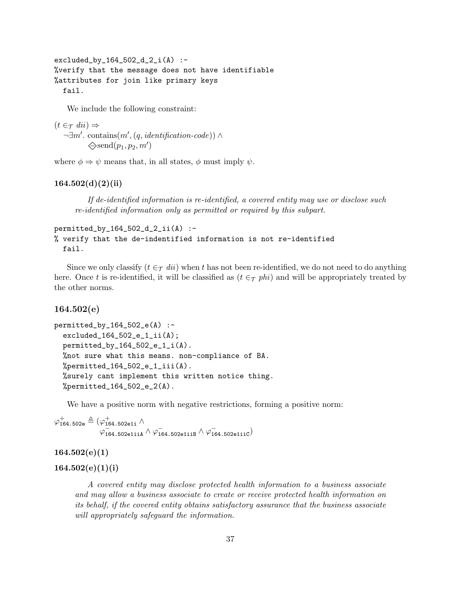excluded\_by\_164\_502\_d\_2\_i(A) :- %verify that the message does not have identifiable %attributes for join like primary keys fail.

We include the following constraint:

```
(t \in \tau \text{ } dii ) \Rightarrow\neg \exists m'. contains(m', (q, identification-code)) \wedge\diamondsuitsend(p_1, p_2, m')
```
where  $\phi \Rightarrow \psi$  means that, in all states,  $\phi$  must imply  $\psi$ .

# $164.502(d)(2)(ii)$

If de-identified information is re-identified, a covered entity may use or disclose such re-identified information only as permitted or required by this subpart.

```
permitted_by_164_502_d_2_ii(A) :-% verify that the de-indentified information is not re-identified
 fail.
```
Since we only classify  $(t \in \tau \text{ } di)$  when t has not been re-identified, we do not need to do anything here. Once t is re-identified, it will be classified as  $(t \in \tau$  phi) and will be appropriately treated by the other norms.

# 164.502(e)

```
permitted_by_164_502_e(A) :-
  excluded_164_502_e_1_ii(A);
  permitted_by_164_502_e_1_i(A).
  %not sure what this means. non-compliance of BA.
  %permitted_164_502_e_1_iii(A).
  %surely cant implement this written notice thing.
  %permitted_164_502_e_2(A).
```
We have a positive norm with negative restrictions, forming a positive norm:

 $\varphi_{\mathtt{164.502e}}^{+}\triangleq(\varphi_{\mathtt{164.502e1i}}^{+}\wedge% \varphi_{\mathtt{164.502e1i}}^{+})$  $\varphi$ <sub>164.502e1iiA</sub>  $\land \varphi$ <sub>164.502e1iiB</sub>  $\land \varphi$ <sub>164.502e1iiC</sub>)

# $164.502(e)(1)$

# $164.502(e)(1)(i)$

A covered entity may disclose protected health information to a business associate and may allow a business associate to create or receive protected health information on its behalf, if the covered entity obtains satisfactory assurance that the business associate will appropriately safeguard the information.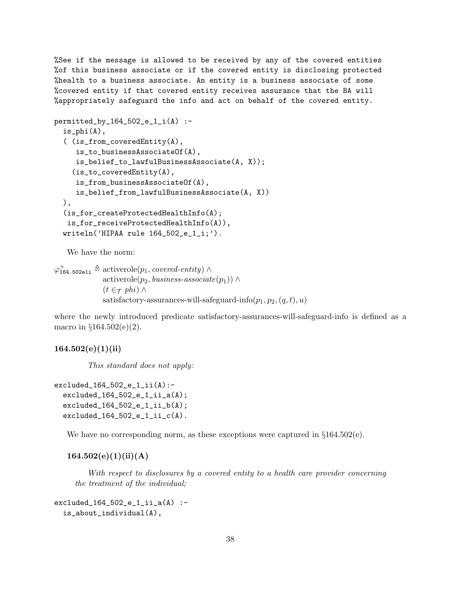%See if the message is allowed to be received by any of the covered entities %of this business associate or if the covered entity is disclosing protected %health to a business associate. An entity is a business associate of some %covered entity if that covered entity receives assurance that the BA will %appropriately safeguard the info and act on behalf of the covered entity.

```
permitted_by_164_502_e_1_i(A) :-
  is_phi(A),
  ( (is_from_coveredEntity(A),
     is_to_businessAssociateOf(A),
     is_belief_to_lawfulBusinessAssociate(A, X));
    (is_to-coveredEntity(A),is_from_businessAssociateOf(A),
     is_belief_from_lawfulBusinessAssociate(A, X))
  ),
  (is_for_createProtectedHealthInfo(A);
   is_for_receiveProtectedHealthInfo(A)),
  writeln('HIPAA rule 164_502_e_1_i;').
```
We have the norm:

```
\varphi_{164.502e1i}^{+} \triangleq activerole(p_1, covered\it-entity) \wedgeactiverole(p_2, business-associate(p_1)) ∧
                 (t \in \tau phi) \wedgesatisfactory-assurances-will-safeguard-info(p_1, p_2, (q, t), u)
```
where the newly introduced predicate satisfactory-assurances-will-safeguard-info is defined as a macro in  $§164.502(e)(2)$ .

# $164.502(e)(1)(ii)$

This standard does not apply:

```
excluded_164_502_e_1_ii(A):-
  excluded_164_502_e_1_ii_2(A);excluded_164_502_e_1_ii_b(A);
  excluded_164_502_e_1_ii_c(A).
```
We have no corresponding norm, as these exceptions were captured in  $\S 164.502(e)$ .

 $164.502(e)(1)(ii)(A)$ 

With respect to disclosures by a covered entity to a health care provider concerning the treatment of the individual;

 $excluded_164_502_e_1_ii_2(A)$  :is\_about\_individual(A),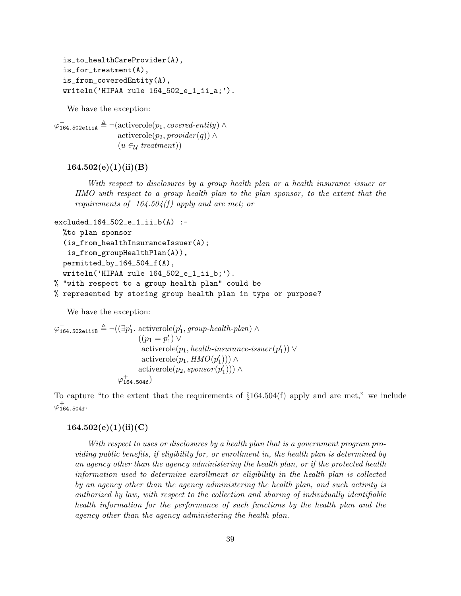```
is_to_healthCareProvider(A),
is_for_treatment(A),
is_from_coveredEntity(A),
writeln('HIPAA rule 164_502_e_1_ii_a;').
```
We have the exception:

 $\varphi_{\texttt{164.502eliiA}}^- \triangleq \neg(\text{activerole}(p_1, \textit{covered-entity}) \land$  $\text{activerole}(p_2, \text{provider}(q)) \wedge$  $(u \in_{\mathcal{U}} treatment)$ 

# $164.502(e)(1)(ii)(B)$

With respect to disclosures by a group health plan or a health insurance issuer or HMO with respect to a group health plan to the plan sponsor, to the extent that the requirements of  $164.504(f)$  apply and are met; or

```
excluded_164_502_e_1_ii_b(A) :-
  %to plan sponsor
  (is_from_healthInsuranceIssuer(A);
   is_from_groupHealthPlan(A)),
  permitted_by_164_504_f(A),
  writeln('HIPAA rule 164_502_e_1_ii_b;').
% "with respect to a group health plan" could be
% represented by storing group health plan in type or purpose?
```
We have the exception:

```
\varphi_{164.502 \text{ellib}}^{-} \triangleq \neg((\exists p'_1 \text{. activerole}(p'_1, group\text{-}health\text{-}plan) \land((p_1 = p'_1) \vee\text{activerole}(p_1, \textit{health-insurance-isuser}(p_1')) \vee\text{activerole}(p_1, HMO(p_1'))\text{activerole}(p_2, sponsor(p_1')) \wedge\varphi_{\mathtt{164.504f}}^{+})
```
To capture "to the extent that the requirements of §164.504(f) apply and are met," we include  $\varphi_{\mathtt{164.504f}}^{+}.$ 

# $164.502(e)(1)(ii)(C)$

With respect to uses or disclosures by a health plan that is a government program providing public benefits, if eligibility for, or enrollment in, the health plan is determined by an agency other than the agency administering the health plan, or if the protected health information used to determine enrollment or eligibility in the health plan is collected by an agency other than the agency administering the health plan, and such activity is authorized by law, with respect to the collection and sharing of individually identifiable health information for the performance of such functions by the health plan and the agency other than the agency administering the health plan.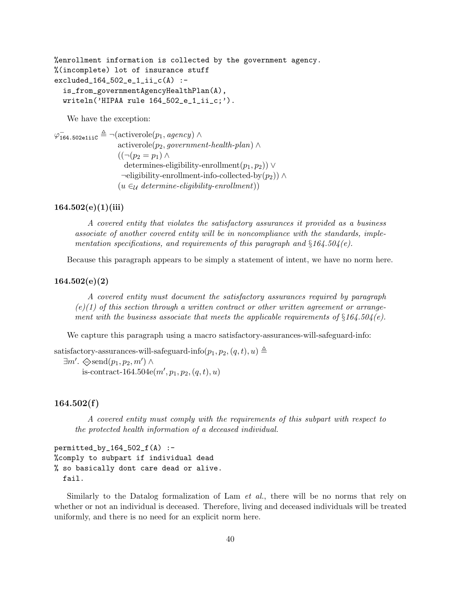%enrollment information is collected by the government agency. %(incomplete) lot of insurance stuff excluded\_164\_502\_e\_1\_ii\_c(A) : is\_from\_governmentAgencyHealthPlan(A), writeln('HIPAA rule 164\_502\_e\_1\_ii\_c;').

We have the exception:

 $\varphi^-_\mathtt{164.502$ e1ii $\mathfrak{c} \triangleq \neg(\text{activerole}(p_1, \textit{agency}) \land$ activerole( $p_2$ , government-health-plan) ∧  $((\neg (p_2 = p_1) \wedge$ determines-eligibility-enrollment $(p_1, p_2)$ ) ∨  $\neg$ eligibility-enrollment-info-collected-by $(p_2)$ ) ∧  $(u \in_{\mathcal{U}} \text{ determine-}eligibility-enrollment))$ 

# $164.502(e)(1)(iii)$

A covered entity that violates the satisfactory assurances it provided as a business associate of another covered entity will be in noncompliance with the standards, implementation specifications, and requirements of this paragraph and  $§164.504(e)$ .

Because this paragraph appears to be simply a statement of intent, we have no norm here.

# 164.502(e)(2)

A covered entity must document the satisfactory assurances required by paragraph  $(e)(1)$  of this section through a written contract or other written agreement or arrangement with the business associate that meets the applicable requirements of  $§164.504(e)$ .

We capture this paragraph using a macro satisfactory-assurances-will-safeguard-info:

```
satisfactory-assurances-will-safeguard-info(p_1, p_2, (q, t), u) \triangleq\exists m'. \diamondsuit \text{send}(p_1, p_2, m') \land
```
is-contract-164.504 $e(m', p_1, p_2, (q, t), u)$ 

# 164.502(f)

A covered entity must comply with the requirements of this subpart with respect to the protected health information of a deceased individual.

```
permitted_by_164_502_f(A) :-
%comply to subpart if individual dead
% so basically dont care dead or alive.
  fail.
```
Similarly to the Datalog formalization of Lam *et al.*, there will be no norms that rely on whether or not an individual is deceased. Therefore, living and deceased individuals will be treated uniformly, and there is no need for an explicit norm here.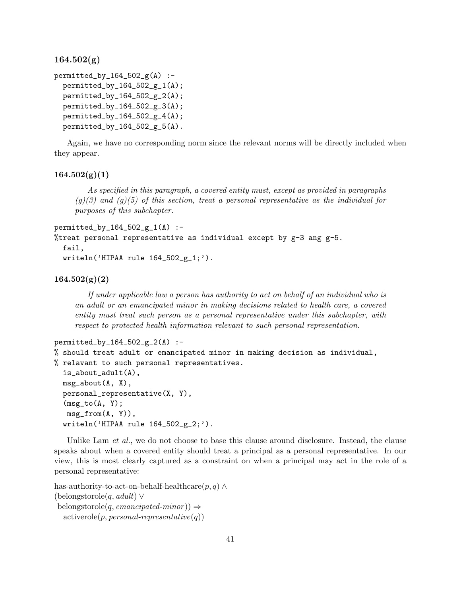$164.502(g)$ 

```
permitted_by_164\_502\_g(A) :-
  permitted_by_164_502_g_1(A);
  permitted_by_164_502_g_2(A);permitted_by_164_502_g_3(A);
  permitted_by_164_502_g_4(A);
 permitted_by_164_502_g_5(A).
```
Again, we have no corresponding norm since the relevant norms will be directly included when they appear.

## $164.502(g)(1)$

As specified in this paragraph, a covered entity must, except as provided in paragraphs  $(q)(3)$  and  $(q)(5)$  of this section, treat a personal representative as the individual for purposes of this subchapter.

```
permitted_by_164_502_g_1(A) :-
%treat personal representative as individual except by g-3 ang g-5.
  fail,
  written('HIPAA rule 164_502_g_1;').
```
# $164.502(g)(2)$

If under applicable law a person has authority to act on behalf of an individual who is an adult or an emancipated minor in making decisions related to health care, a covered entity must treat such person as a personal representative under this subchapter, with respect to protected health information relevant to such personal representation.

```
permitted_by_164_502_g_2(A) :-
```

```
% should treat adult or emancipated minor in making decision as individual,
% relavant to such personal representatives.
  is_about_adult(A),
 msg\_about(A, X),personal_representative(X, Y),
  (msg_to(A, Y);msg_from(A, Y)),
  writeln('HIPAA rule 164_502_g_2;').
```
Unlike Lam *et al.*, we do not choose to base this clause around disclosure. Instead, the clause speaks about when a covered entity should treat a principal as a personal representative. In our view, this is most clearly captured as a constraint on when a principal may act in the role of a personal representative:

```
has-authority-to-act-on-behalf-healthcare(p, q) \wedge(belongstorole(q, adult) ∨
belongstorole(q, emancipated-minor)) \Rightarrowactiverole(p, personal-representative(q))
```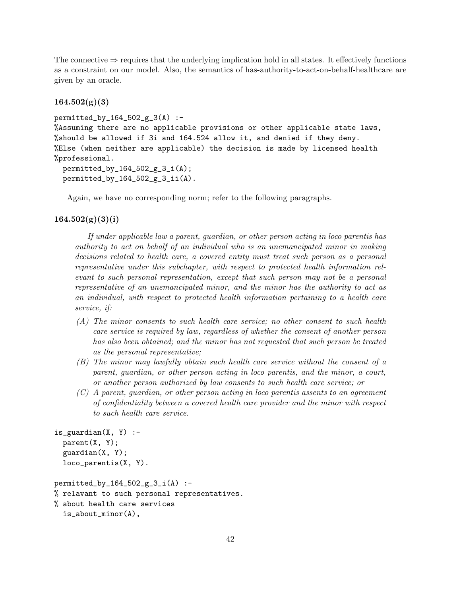The connective  $\Rightarrow$  requires that the underlying implication hold in all states. It effectively functions as a constraint on our model. Also, the semantics of has-authority-to-act-on-behalf-healthcare are given by an oracle.

# $164.502(g)(3)$

```
permitted_by_164_502_g_3(A) :-
%Assuming there are no applicable provisions or other applicable state laws,
%should be allowed if 3i and 164.524 allow it, and denied if they deny.
%Else (when neither are applicable) the decision is made by licensed health
%professional.
 permitted_by_164_502_g_3_i(A);
 permitted_by_164_502_g_3_ii(A).
```
Again, we have no corresponding norm; refer to the following paragraphs.

## $164.502(g)(3)(i)$

If under applicable law a parent, guardian, or other person acting in loco parentis has authority to act on behalf of an individual who is an unemancipated minor in making decisions related to health care, a covered entity must treat such person as a personal representative under this subchapter, with respect to protected health information relevant to such personal representation, except that such person may not be a personal representative of an unemancipated minor, and the minor has the authority to act as an individual, with respect to protected health information pertaining to a health care service, if:

- (A) The minor consents to such health care service; no other consent to such health care service is required by law, regardless of whether the consent of another person has also been obtained; and the minor has not requested that such person be treated as the personal representative;
- (B) The minor may lawfully obtain such health care service without the consent of a parent, guardian, or other person acting in loco parentis, and the minor, a court, or another person authorized by law consents to such health care service; or
- $(C)$  A parent, quardian, or other person acting in loco parentis assents to an agreement of confidentiality between a covered health care provider and the minor with respect to such health care service.

```
is_guardian(X, Y) :-
 parent(X, Y);
 guardian(X, Y);
 loco_parentis(X, Y).
```

```
permitted_by_164_502_g_3_i(A) :-
% relavant to such personal representatives.
% about health care services
  is_about_minor(A),
```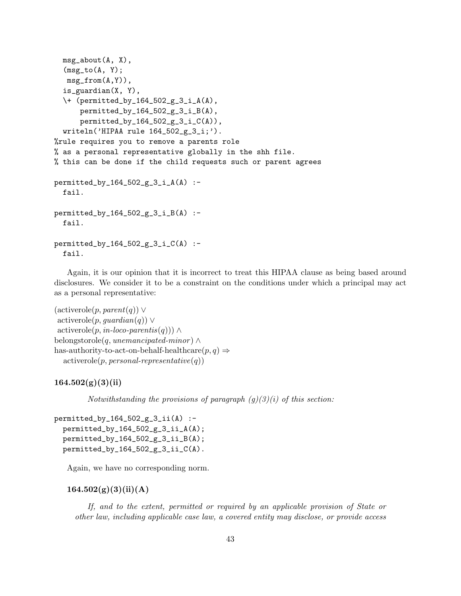```
msg_about(A, X),
  (msg_to(A, Y);msg_from(A,Y)),
  is_guardian(X, Y),
  \+ (permitted_by_164_502_g_3_i_A(A),
      permitted_by_164_502_g_3_i_B(A),
      permitted_by_164_502_g_3_i_C(A),
  writeln('HIPAA rule 164_502_g_3_i;').
%rule requires you to remove a parents role
% as a personal representative globally in the shh file.
% this can be done if the child requests such or parent agrees
permitted_by_164_502_g_3_i_A(A) :-
 fail.
permitted_by_164_502_g_3_i_B(A) :-
  fail.
permitted_by_164_502_g_3_i_C(A) :-
  fail.
```
Again, it is our opinion that it is incorrect to treat this HIPAA clause as being based around disclosures. We consider it to be a constraint on the conditions under which a principal may act as a personal representative:

```
(\text{activerole}(p, parent(q)) \vee\arctiverole(p, \textit{quardian}(q)) \vee\text{activerole}(p, in\text{-}loco\text{-}parents(q))\wedgebelongstorole(q, unemancipated-minor) \wedgehas-authority-to-act-on-behalf-healthcare(p, q) \Rightarrowactiverole(p, personal-representative(q))
```
# $164.502(g)(3)(ii)$

Notwithstanding the provisions of paragraph  $(g)(3)(i)$  of this section:

```
permitted_by_164_502_g_3_ii(A) :-
 permitted_by_164_502_g_3_ii_A(A);
 permitted_by_164_502_g_3_ii_B(A);
  permitted_by_164_502_g_3_ii_C(A).
```
Again, we have no corresponding norm.

## $164.502(g)(3)(ii)(A)$

If, and to the extent, permitted or required by an applicable provision of State or other law, including applicable case law, a covered entity may disclose, or provide access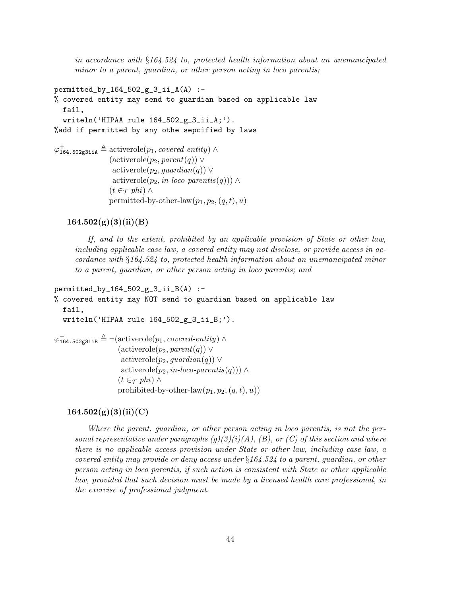in accordance with §164.524 to, protected health information about an unemancipated minor to a parent, guardian, or other person acting in loco parentis;

```
permitted_by_164_502_g_3_ii_A(A) :-
% covered entity may send to guardian based on applicable law
  fail,
  writeln('HIPAA rule 164_502_g_3_ii_A;').
%add if permitted by any othe sepcified by laws
\varphi_{164.502g3iiA}^{+} \triangleq activerole(p_1, covered\text{-}entity) \wedge(\text{activerole}(p_2, \text{parent}(q)) \vee\arctiverole(p_2, \textit{quardian}(q)) \veeactiverole(p_2, in-loco-parentis(q))) ∧
                 (t \in \tau phi) ∧
                 permitted-by-other-law(p_1, p_2, (q, t), u)
```
# $164.502(g)(3)(ii)(B)$

If, and to the extent, prohibited by an applicable provision of State or other law, including applicable case law, a covered entity may not disclose, or provide access in accordance with §164.524 to, protected health information about an unemancipated minor to a parent, guardian, or other person acting in loco parentis; and

```
permitted_by_164_502_g_3_ii_B(A) :-
% covered entity may NOT send to guardian based on applicable law
   fail,
  writeln('HIPAA rule 164_502_g_3_ii_B;').
\varphi_{164.502g3iiB}^{-} \triangleq \neg(\text{activerole}(p_1, \text{covered-entity}) \wedge(\text{activerole}(p_2, parent(q)) \vee\arctiverole(p_2, \textit{quardian}(q)) \veeactiverole(p_2, in-loco-parentis(q))) ∧
                     (t \in \tau phi) \wedge
```
prohibited-by-other-law $(p_1, p_2, (q, t), u)$ 

### $164.502(g)(3)(ii)(C)$

Where the parent, guardian, or other person acting in loco parentis, is not the personal representative under paragraphs  $(g)(3)(i)(A)$ ,  $(B)$ , or  $(C)$  of this section and where there is no applicable access provision under State or other law, including case law, a covered entity may provide or deny access under §164.524 to a parent, guardian, or other person acting in loco parentis, if such action is consistent with State or other applicable law, provided that such decision must be made by a licensed health care professional, in the exercise of professional judgment.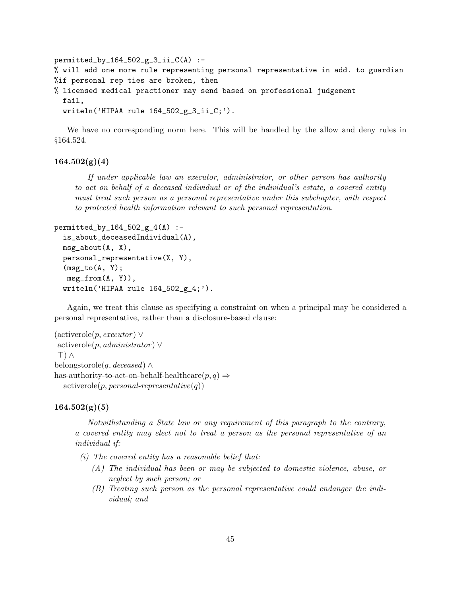```
permitted_by_164_502_g_3_ii_C(A) :-
% will add one more rule representing personal representative in add. to guardian
%if personal rep ties are broken, then
% licensed medical practioner may send based on professional judgement
  fail,
 writeln('HIPAA rule 164_502_g_3_ii_C;').
```
We have no corresponding norm here. This will be handled by the allow and deny rules in §164.524.

# $164.502(g)(4)$

If under applicable law an executor, administrator, or other person has authority to act on behalf of a deceased individual or of the individual's estate, a covered entity must treat such person as a personal representative under this subchapter, with respect to protected health information relevant to such personal representation.

```
permitted_by_164_502_g_4(A) :-
  is_about_deceasedIndividual(A),
  msg_about(A, X),
 personal_representative(X, Y),
  (msg_to(A, Y);msg\_from(A, Y)),writeln('HIPAA rule 164_502_g_4;').
```
Again, we treat this clause as specifying a constraint on when a principal may be considered a personal representative, rather than a disclosure-based clause:

```
(\text{activerole}(p, \text{execute}) \veeactiverole(p, \text{administrator}) \vee\top) \wedgebelongstorole(q, deceased) \wedgehas-authority-to-act-on-behalf-healthcare(p, q) \Rightarrowactiverole(p, personal-representative(q))
```
#### $164.502(g)(5)$

Notwithstanding a State law or any requirement of this paragraph to the contrary, a covered entity may elect not to treat a person as the personal representative of an individual if:

 $(i)$  The covered entity has a reasonable belief that:

- (A) The individual has been or may be subjected to domestic violence, abuse, or neglect by such person; or
- (B) Treating such person as the personal representative could endanger the individual; and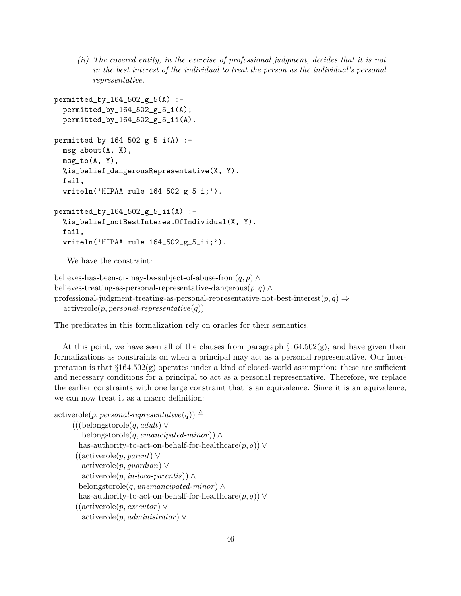(ii) The covered entity, in the exercise of professional judgment, decides that it is not in the best interest of the individual to treat the person as the individual's personal representative.

```
permitted_by_164_502_g_5(A) :-
  permitted_by_164_502_g_5_i(A);permitted_by_164_502_g_5_ii(A).
permitted_by_164_502_g_5_i(A) :-
 msg\_about(A, X),
 msg_to(A, Y),
 %is_belief_dangerousRepresentative(X, Y).
  fail,
  written('HIPAA rule 164_502_g_5_i; ).permitted_by_164_502_g_5_ii(A) :-
 %is_belief_notBestInterestOfIndividual(X, Y).
  fail,
  writeln('HIPAA rule 164_502_g_5_ii;').
```
We have the constraint:

```
believes-has-been-or-may-be-subject-of-abuse-from(q, p) \wedgebelieves-treating-as-personal-representative-dangerous(p, q) \wedgeprofessional-judgment-treating-as-personal-representative-not-best-interest(p, q) \Rightarrowactiverole(p, personal-representative(q))
```
The predicates in this formalization rely on oracles for their semantics.

At this point, we have seen all of the clauses from paragraph  $\S 164.502(g)$ , and have given their formalizations as constraints on when a principal may act as a personal representative. Our interpretation is that  $\S 164.502(g)$  operates under a kind of closed-world assumption: these are sufficient and necessary conditions for a principal to act as a personal representative. Therefore, we replace the earlier constraints with one large constraint that is an equivalence. Since it is an equivalence, we can now treat it as a macro definition:

```
\text{activerole}(p, \text{personal-representative}(q)) \triangleq
```

```
(((\text{belongstorole}(q, adult) \veebelongstorole(q, emancipated-minor)) \wedgehas-authority-to-act-on-behalf-for-healthcare(p, q)) ∨
((\text{activerole}(p, parent) \veeactiverole(p, guardian) ∨
   \text{activerole}(p, in\text{-}loco\text{-}parents)) ∧
  belongstorole(q, unemancipated-minor) \wedgehas-authority-to-act-on-behalf-for-healthcare(p, q)) ∨
((\text{activerole}(p, \text{execute}) \veeactiverole(p, \text{admin} is \text{trator}) \vee
```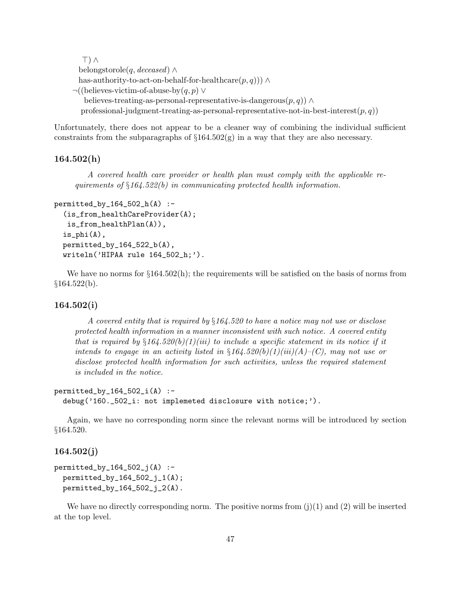```
>) ∧
 belongstorole(q, deceased) \wedgehas-authority-to-act-on-behalf-for-healthcare(p, q))) ∧
\neg((\text{believes-victim-of-abuse-by}(q, p) \veebelieves-treating-as-personal-representative-is-dangerous(p, q)) ∧
  professional-judgment-treating-as-personal-representative-not-in-best-interest(p, q))
```
Unfortunately, there does not appear to be a cleaner way of combining the individual sufficient constraints from the subparagraphs of  $\S 164.502(g)$  in a way that they are also necessary.

## $164.502(h)$

A covered health care provider or health plan must comply with the applicable requirements of  $§164.522(b)$  in communicating protected health information.

```
permitted_by_164_502_h(A) :-
  (is_from_healthCareProvider(A);
   is_from_healthPlan(A)),
  is_phi(A),
  permitted_by_164_522_b(A),
  writeln('HIPAA rule 164_502_h;').
```
We have no norms for  $\S 164.502(h)$ ; the requirements will be satisfied on the basis of norms from  $$164.522(b).$ 

#### 164.502(i)

A covered entity that is required by  $§164.520$  to have a notice may not use or disclose protected health information in a manner inconsistent with such notice. A covered entity that is required by  $\S164.520(b)(1)(iii)$  to include a specific statement in its notice if it intends to engage in an activity listed in  $\S164.520(b)(1)(iii)(A)$ –(C), may not use or disclose protected health information for such activities, unless the required statement is included in the notice.

## $permitted_by_164_502_i(A)$  :debug('160.\_502\_i: not implemeted disclosure with notice;').

Again, we have no corresponding norm since the relevant norms will be introduced by section §164.520.

# 164.502(j)

```
permitted_by_164_502_j(A) :-
 permitted_by_164_502_j_1(A);permitted_by_164_502_j_2(A).
```
We have no directly corresponding norm. The positive norms from  $(i)(1)$  and  $(2)$  will be inserted at the top level.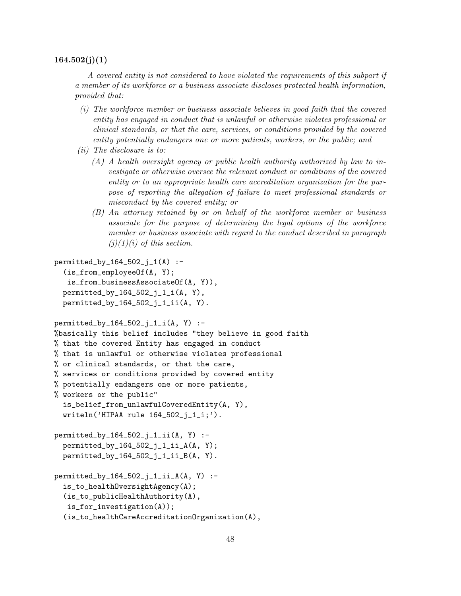#### $164.502(j)(1)$

A covered entity is not considered to have violated the requirements of this subpart if a member of its workforce or a business associate discloses protected health information, provided that:

- (i) The workforce member or business associate believes in good faith that the covered entity has engaged in conduct that is unlawful or otherwise violates professional or clinical standards, or that the care, services, or conditions provided by the covered entity potentially endangers one or more patients, workers, or the public; and
- (ii) The disclosure is to:
	- (A) A health oversight agency or public health authority authorized by law to investigate or otherwise oversee the relevant conduct or conditions of the covered entity or to an appropriate health care accreditation organization for the purpose of reporting the allegation of failure to meet professional standards or misconduct by the covered entity; or
	- (B) An attorney retained by or on behalf of the workforce member or business associate for the purpose of determining the legal options of the workforce member or business associate with regard to the conduct described in paragraph  $(j)(1)(i)$  of this section.

```
permitted_by_164_502_i_1(A) :-
  (is_from_employeeOf(A, Y);
   is_from_businessAssociateOf(A, Y)),
  permitted_by_164_502_j_1_i(A, Y),
  permitted_by_164_502_j_1_1_ii(A, Y).permitted_by_164_502_j_1_i(A, Y) :-
%basically this belief includes "they believe in good faith
% that the covered Entity has engaged in conduct
% that is unlawful or otherwise violates professional
% or clinical standards, or that the care,
% services or conditions provided by covered entity
% potentially endangers one or more patients,
% workers or the public"
  is_belief_from_unlawfulCoveredEntity(A, Y),
  written('HIPAA rule 164_502_i_1_1;').
permitted_by_164_502_j_1_ii(A, Y) :-
  permitted_by_164_502_j_1_ii_A(A, Y);permitted_by_164_502_j_1_ii_Bi(A, Y).permitted_by_164_502_j_1_1_ii_A(A, Y) :-
  is_to_healthOversightAgency(A);
  (is_to_publicHealthAuthority(A),
   is_for_investigation(A));
  (is_to_healthCareAccreditationOrganization(A),
```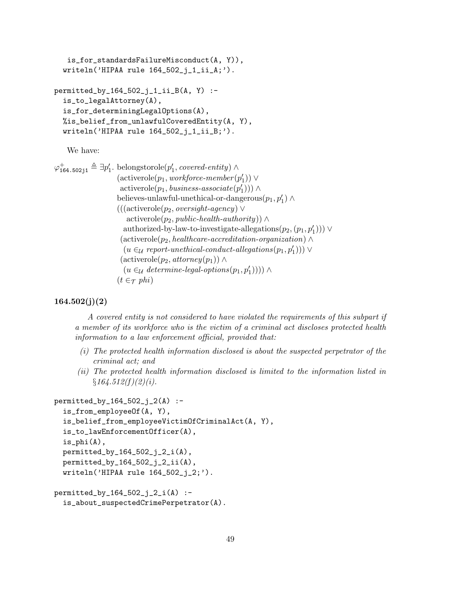```
is_for_standardsFailureMisconduct(A, Y)),
  writeln('HIPAA rule 164_502_j_1_ii_A;').
permitted_by_164_502_j_1_ii_B(A, Y) :-
  is_to_legalAttorney(A),
  is_for_determiningLegalOptions(A),
 %is_belief_from_unlawfulCoveredEntity(A, Y),
  writeln('HIPAA rule 164_502_j_1_ii_B;').
```
We have:

```
\varphi_{164.502j1}^+ \triangleq \exists p_1'. belongstorole(p_1', covered\text{-}entity) \wedge(\text{activerole}(p_1, \text{workforce-member}(p_1')) \vee\text{activerole}(p_1, \text{business-associate}(p_1')) \landbelieves-unlawful-unethical-or-dangerous(p_1, p_1') \wedge(((\text{activerole}(p_2, \text{oversight-aqency}) \veeactiverole(p_2, public-health-authority)) \wedgeauthorized-by-law-to-investigate-allegations(p_2,(p_1, p_1'))) ∨
                          (\text{activerole}(p_2, \text{healthcare-}accreditation-organization) \wedge(u \in \mathcal{U} report-unethical-conduct-allegations (p_1, p'_1))) \vee(\text{activerole}(p_2, \text{atomic}(p_1)) \wedge(u \in_{\mathcal{U}} \text{ determine-legal-options}(p_1, p'_1)))) \wedge(t \in \tau phi)
```
# $164.502(j)(2)$

A covered entity is not considered to have violated the requirements of this subpart if a member of its workforce who is the victim of a criminal act discloses protected health information to a law enforcement official, provided that:

- (i) The protected health information disclosed is about the suspected perpetrator of the criminal act; and
- (ii) The protected health information disclosed is limited to the information listed in  $§164.512(f)(2)(i).$

```
permitted_by_164_502_j_2(A) :-
  is_from_employeeOf(A, Y),
  is_belief_from_employeeVictimOfCriminalAct(A, Y),
  is_to_lawEnforcementOfficer(A),
  is_phi(A),
 permitted_by_164_502_j_2_i(A),
 permitted_by_164_502_j_2_ii(A),
  writeln('HIPAA rule 164_502_j_2;').
```

```
permitted_by_164_502_j_2_i(A) :-
  is_about_suspectedCrimePerpetrator(A).
```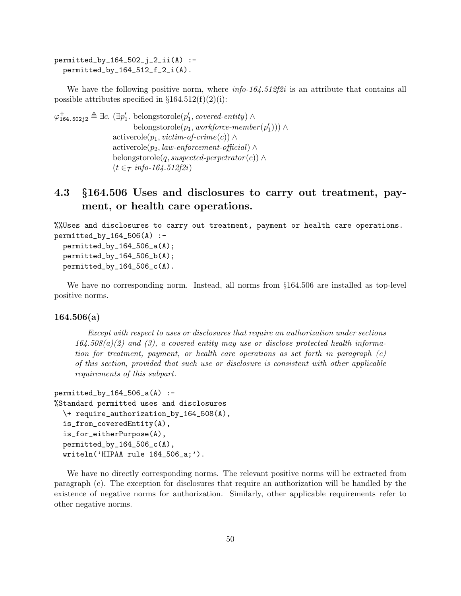```
permitted_by_164_502_j_2_ii(A) :-
 permitted_by_164_512_f_2_i(A).
```
We have the following positive norm, where  $info-164.512f2i$  is an attribute that contains all possible attributes specified in  $\S 164.512(f)(2)(i)$ :

```
\varphi_{164.502j2}^{+} \triangleq \exists c. (\exists p'_1. belongstorole(p'_1, covered-entity) \wedgebelongstorole(p_1, \textit{workforce-member}(p_1'))activerole(p_1, victim\text{-}of\text{-}crime(c)) ∧
                       \text{activerole}(p_2, law\text{-}enforcement\text{-}official) \wedgebelongstorole(q, suspected-perpetrator(c)) \wedge(t \in \tau \; info\text{-}164.512f2i)
```
# 4.3 §164.506 Uses and disclosures to carry out treatment, payment, or health care operations.

```
%%Uses and disclosures to carry out treatment, payment or health care operations.
permitted_by_164_506(A) :-
```

```
permitted_by_164_506_a(A);permitted_by_164_506_b(A);
permitted_by_164_506_c(A).
```
We have no corresponding norm. Instead, all norms from  $\S 164.506$  are installed as top-level positive norms.

# 164.506(a)

Except with respect to uses or disclosures that require an authorization under sections  $164.508(a)(2)$  and (3), a covered entity may use or disclose protected health information for treatment, payment, or health care operations as set forth in paragraph  $(c)$ of this section, provided that such use or disclosure is consistent with other applicable requirements of this subpart.

```
permitted_by_164_506_a(A) :-
%Standard permitted uses and disclosures
  \+ require_authorization_by_164_508(A),
  is_from_coveredEntity(A),
  is_for_eitherPurpose(A),
  permitted_by_164_506_c(A),
  writeln('HIPAA rule 164_506_a;').
```
We have no directly corresponding norms. The relevant positive norms will be extracted from paragraph (c). The exception for disclosures that require an authorization will be handled by the existence of negative norms for authorization. Similarly, other applicable requirements refer to other negative norms.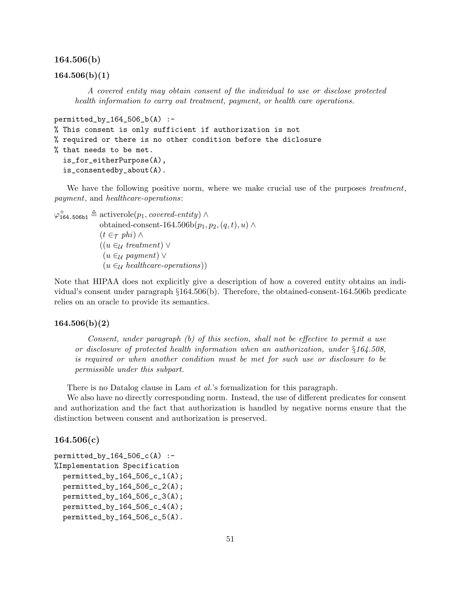#### 164.506(b)

#### $164.506(b)(1)$

A covered entity may obtain consent of the individual to use or disclose protected health information to carry out treatment, payment, or health care operations.

```
permitted_by_164_506_b(A) :-
% This consent is only sufficient if authorization is not
% required or there is no other condition before the diclosure
% that needs to be met.
  is_for_eitherPurpose(A),
  is_consentedby_about(A).
```
We have the following positive norm, where we make crucial use of the purposes treatment, payment, and healthcare-operations:

 $\varphi_{164.506b1}^{+} \triangleq$  activerole $(p_1, covered\it-entity)$ obtained-consent-164.506b $(p_1, p_2, (q, t), u) \wedge$  $(t \in \tau$  phi)  $\wedge$  $((u \in_{\mathcal{U}} treatment) \vee$  $(u \in \mathcal{U}$  payment)  $\vee$  $(u \in \mathcal{U}$  healthcare-operations)

Note that HIPAA does not explicitly give a description of how a covered entity obtains an individual's consent under paragraph §164.506(b). Therefore, the obtained-consent-164.506b predicate relies on an oracle to provide its semantics.

#### $164.506(b)(2)$

Consent, under paragraph (b) of this section, shall not be effective to permit a use or disclosure of protected health information when an authorization, under §164.508, is required or when another condition must be met for such use or disclosure to be permissible under this subpart.

There is no Datalog clause in Lam *et al.*'s formalization for this paragraph.

We also have no directly corresponding norm. Instead, the use of different predicates for consent and authorization and the fact that authorization is handled by negative norms ensure that the distinction between consent and authorization is preserved.

# 164.506(c)

```
permitted_by_164_506_c(A) :-
%Implementation Specification
  permitted_by_164_506_c_1(A);
 permitted_by_164_506_c_2(A);permitted_by_164_506_c_3(A);
  permitted_by_164_506_c_4(A);
  permitted_by_164_506_c_5(A).
```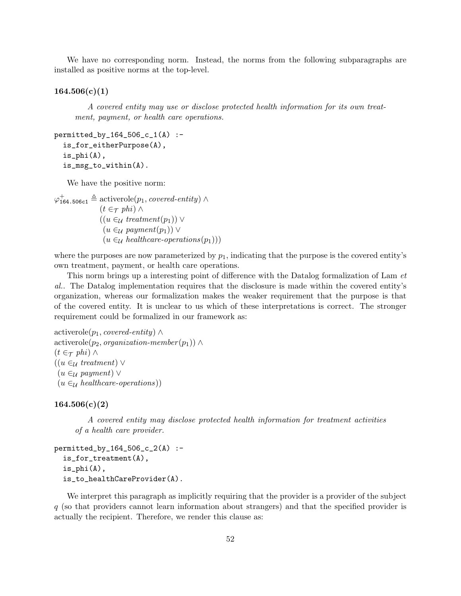We have no corresponding norm. Instead, the norms from the following subparagraphs are installed as positive norms at the top-level.

#### $164.506(c)(1)$

A covered entity may use or disclose protected health information for its own treatment, payment, or health care operations.

```
permitted_by_164_506_c_1(A) :-
  is_for_eitherPurpose(A),
  is_phi(A),
  is_msg_to_within(A).
```
We have the positive norm:

 $\varphi_{164.506c1}^{+} \triangleq$  activerole $(p_1, covered\it-entity)$  $(t \in \tau$  phi) ∧  $((u \in_{\mathcal{U}} treatment(p_1)) \vee$  $(u \in_{\mathcal{U}}$  payment $(p_1)) \vee$  $(u \in_{\mathcal{U}} \mathit{healthcare-operations}(p_1)))$ 

where the purposes are now parameterized by  $p_1$ , indicating that the purpose is the covered entity's own treatment, payment, or health care operations.

This norm brings up a interesting point of difference with the Datalog formalization of Lam et al.. The Datalog implementation requires that the disclosure is made within the covered entity's organization, whereas our formalization makes the weaker requirement that the purpose is that of the covered entity. It is unclear to us which of these interpretations is correct. The stronger requirement could be formalized in our framework as:

```
activerole(p_1, covered-entity) ∧
activerole(p_2, organization-member(p_1)) ∧
(t \in \tau phi) \wedge((u \in_{\mathcal{U}} treatment) \vee(u \in \mathcal{U} payment) \vee(u \in_{\mathcal{U}} \mathit{healthcare-operations}))
```
## $164.506(c)(2)$

A covered entity may disclose protected health information for treatment activities of a health care provider.

```
permitted_by_164_506_c_2(A) :-
  is_for_treatment(A),
  is_phi(A),
  is_to_healthCareProvider(A).
```
We interpret this paragraph as implicitly requiring that the provider is a provider of the subject q (so that providers cannot learn information about strangers) and that the specified provider is actually the recipient. Therefore, we render this clause as: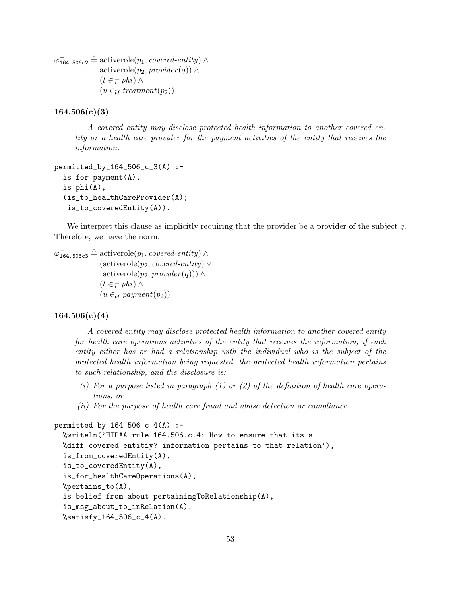$\varphi_{164.506c2}^{+} \triangleq$  activerole $(p_1, covered\it-entity)$ activerole( $p_2$ , provider(q)) ∧  $(t \in \tau$  phi)  $\wedge$  $(u \in_{\mathcal{U}} treatment(p_2))$ 

# $164.506(c)(3)$

A covered entity may disclose protected health information to another covered entity or a health care provider for the payment activities of the entity that receives the information.

```
permitted_by_164_506_c_3(A) :-
  is_for_payment(A),
  is\_phi(A),
  (is_to_healthCareProvider(A);
   is_to_coveredEntity(A)).
```
We interpret this clause as implicitly requiring that the provider be a provider of the subject  $q$ . Therefore, we have the norm:

 $\varphi_{164.506c3}^{+} \triangleq$  activerole $(p_1, covered\it-entity)$  $(\text{activerole}(p_2, covered\text{-}entity) \vee$ activerole( $p_2$ , provider(q))) ∧  $(t \in \tau$  phi)  $\wedge$  $(u \in_{\mathcal{U}}$  payment $(p_2))$ 

# $164.506(c)(4)$

A covered entity may disclose protected health information to another covered entity for health care operations activities of the entity that receives the information, if each entity either has or had a relationship with the individual who is the subject of the protected health information being requested, the protected health information pertains to such relationship, and the disclosure is:

- (i) For a purpose listed in paragraph  $(1)$  or  $(2)$  of the definition of health care operations; or
- (ii) For the purpose of health care fraud and abuse detection or compliance.

```
permitted_by_164_506_c_4(A) :-
  %writeln('HIPAA rule 164.506.c.4: How to ensure that its a
  %diff covered entitiy? information pertains to that relation'),
  is_from_coveredEntity(A),
  is_to_coveredEntity(A),
  is_for_healthCareOperations(A),
  %pertains_to(A),
  is_belief_from_about_pertainingToRelationship(A),
  is_msg_about_to_inRelation(A).
  %satisfy_164_506_c_4(A).
```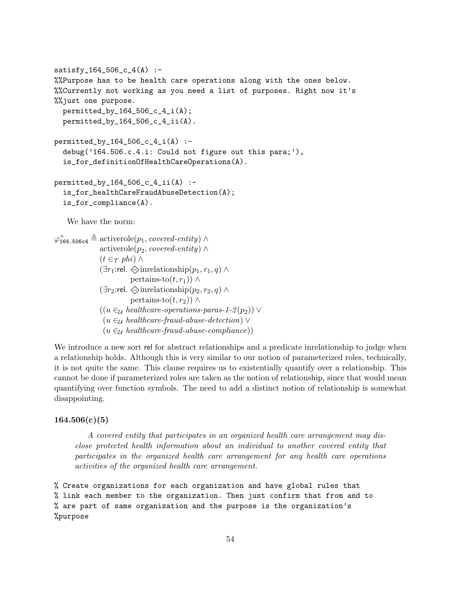```
satisfy_164_506_c_4(A) :-
%%Purpose has to be health care operations along with the ones below.
%%Currently not working as you need a list of purposes. Right now it's
%%just one purpose.
  permitted_by_164_506_c_4_i(A);
  permitted_by_164_506_c_4_ii(A).
permitted_by_164_506_c_4_i(A) :-
  debug('164.506.c.4.i: Could not figure out this para;'),
  is_for_definitionOfHealthCareOperations(A).
permitted_by_164_506_c_4_ii(A) :-
  is_for_healthCareFraudAbuseDetection(A);
  is_for_compliance(A).
   We have the norm:
\varphi_{164.506c4}^{+} \triangleq activerole(p_1, covered\it-entity)activerole(p_2, covered-entity) ∧
             (t \in \tau phi) \wedge(\exists r_1:rel. \Leftrightarrowinrelationship(p_1, r_1, q) \wedgepertains-to(t, r_1)) ∧
             (∃r_2:rel. \diamondsuit inrelationship(p_2, r_2, q) \wedgepertains-to(t, r_2)) ∧
             ((u \in_{\mathcal{U}} \mathit{healthcare-operations-paras-1-2(p_2)) \vee(u \in \mathcal{U}) healthcare-fraud-abuse-detection) \vee(u \in_{\mathcal{U}} \mathit{healthcare-fraud-abuse-compliance}))
```
We introduce a new sort rel for abstract relationships and a predicate inrelationship to judge when a relationship holds. Although this is very similar to our notion of parameterized roles, technically, it is not quite the same. This clause requires us to existentially quantify over a relationship. This cannot be done if parameterized roles are taken as the notion of relationship, since that would mean quantifying over function symbols. The need to add a distinct notion of relationship is somewhat disappointing.

# $164.506(c)(5)$

A covered entity that participates in an organized health care arrangement may disclose protected health information about an individual to another covered entity that participates in the organized health care arrangement for any health care operations activities of the organized health care arrangement.

% Create organizations for each organization and have global rules that % link each member to the organization. Then just confirm that from and to % are part of same organization and the purpose is the organization's %purpose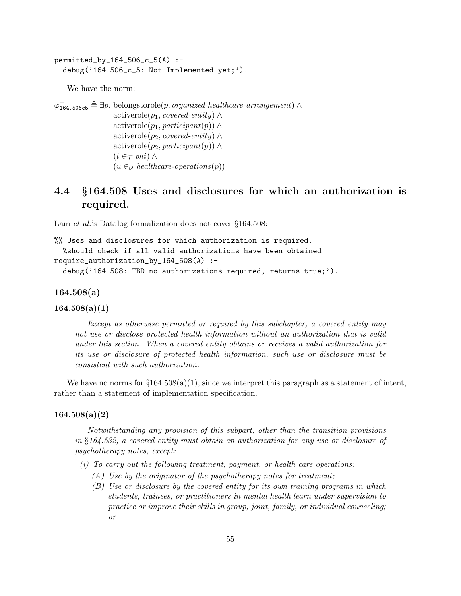permitted\_by\_164\_506\_c\_5(A) : debug('164.506\_c\_5: Not Implemented yet;').

We have the norm:

 $\varphi_{164.506c5}^{+} \triangleq \exists p.$  belongstorole $(p,$  *organized-healthcare-arrangement*) ∧ activerole( $p_1$ , *covered-entity*) ∧ activerole( $p_1$ , participant(p)) ∧ activerole( $p_2$ , *covered-entity*) ∧ activerole( $p_2$ , participant(p)) ∧  $(t \in \tau$  phi)  $\wedge$  $(u \in_{\mathcal{U}} \mathit{healthcare-operations}(p))$ 

# 4.4 §164.508 Uses and disclosures for which an authorization is required.

Lam *et al.*'s Datalog formalization does not cover §164.508:

```
%% Uses and disclosures for which authorization is required.
  %should check if all valid authorizations have been obtained
require_authorization_by_164_508(A) :-
  debug('164.508: TBD no authorizations required, returns true;').
```
164.508(a)

 $164.508(a)(1)$ 

Except as otherwise permitted or required by this subchapter, a covered entity may not use or disclose protected health information without an authorization that is valid under this section. When a covered entity obtains or receives a valid authorization for its use or disclosure of protected health information, such use or disclosure must be consistent with such authorization.

We have no norms for  $\S 164.508(a)(1)$ , since we interpret this paragraph as a statement of intent, rather than a statement of implementation specification.

## $164.508(a)(2)$

Notwithstanding any provision of this subpart, other than the transition provisions in §164.532, a covered entity must obtain an authorization for any use or disclosure of psychotherapy notes, except:

- (i) To carry out the following treatment, payment, or health care operations:
	- $(A)$  Use by the originator of the psychotherapy notes for treatment;
	- (B) Use or disclosure by the covered entity for its own training programs in which students, trainees, or practitioners in mental health learn under supervision to practice or improve their skills in group, joint, family, or individual counseling; or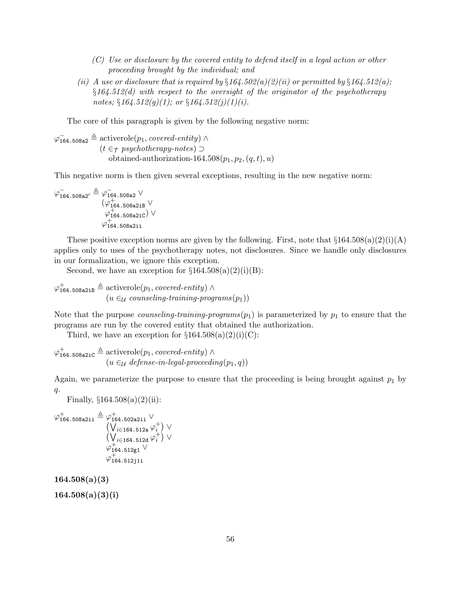- (C) Use or disclosure by the covered entity to defend itself in a legal action or other proceeding brought by the individual; and
- (ii) A use or disclosure that is required by  $\S164.502(a)(2)(ii)$  or permitted by  $\S164.512(a)$ ;  $§164.512(d)$  with respect to the oversight of the originator of the psychotherapy notes;  $§164.512(g)(1)$ ; or  $§164.512(j)(1)(i)$ .

The core of this paragraph is given by the following negative norm:

 $\varphi_{164.508a2}^{-} \triangleq$  activerole $(p_1, covered\text{-}entity)$   $\wedge$  $(t \in \tau$  psychotherapy-notes) ⊃ obtained-authorization-164.508 $(p_1, p_2, (q, t), u)$ 

This negative norm is then given several exceptions, resulting in the new negative norm:

$$
\begin{array}{r}\n\varphi_{164.508a2'}^{-} \triangleq \varphi_{164.508a2}^{-} \vee \\
(\varphi_{164.508a2iB}^{+} \vee \\
\varphi_{164.508a2iC}^{+}) \vee \\
\varphi_{164.508a2i}^{+}\n\end{array}
$$

These positive exception norms are given by the following. First, note that  $\S 164.508(a)(2)(i)(A)$ applies only to uses of the psychotherapy notes, not disclosures. Since we handle only disclosures in our formalization, we ignore this exception.

Second, we have an exception for  $\S 164.508(a)(2)(i)(B)$ :

 $\varphi_{164.508a2iB}^{+} \triangleq$  activerole $(p_1, covered\it-entity)$   $\wedge$  $(u \in_{\mathcal{U}} \text{counts}$  counseling-training-programs $(p_1))$ 

Note that the purpose *counseling-training-programs* $(p_1)$  is parameterized by  $p_1$  to ensure that the programs are run by the covered entity that obtained the authorization.

Third, we have an exception for  $\S 164.508(a)(2)(i)(C)$ :

 $\varphi_{164.508a2iC}^{+} \triangleq$  activerole $(p_1, covered\text{-}entity) \wedge$  $(u \in \mathcal{U} \text{ defense-in-legal-procedure}(\mathcal{p}_1, q))$ 

Again, we parameterize the purpose to ensure that the proceeding is being brought against  $p_1$  by  $q$ .

Finally,  $§164.508(a)(2)(ii)$ :

$$
\varphi_{164.508a2i1}^{+} \triangleq \varphi_{164.502a2i1}^{+} \vee \n(\bigvee_{i \in 164.512a} \varphi_i^{+}) \vee \n(\bigvee_{i \in 164.512d} \varphi_i^{+}) \vee \n\varphi_{164.512g1}^{+} \vee \n\varphi_{164.512j1i}^{+}
$$

 $164.508(a)(3)$ 

 $164.508(a)(3)(i)$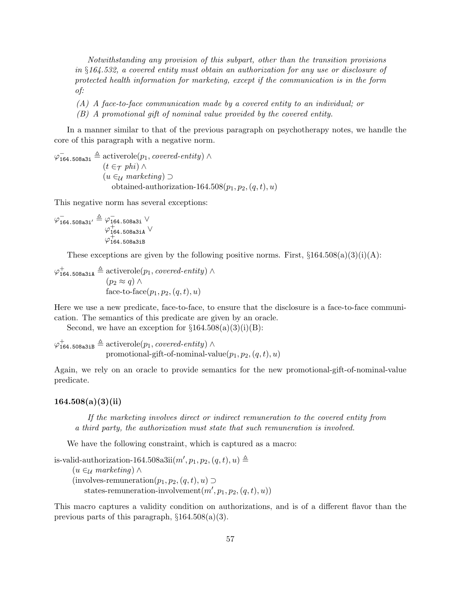Notwithstanding any provision of this subpart, other than the transition provisions in §164.532, a covered entity must obtain an authorization for any use or disclosure of protected health information for marketing, except if the communication is in the form of:

- (A) A face-to-face communication made by a covered entity to an individual; or
- (B) A promotional gift of nominal value provided by the covered entity.

In a manner similar to that of the previous paragraph on psychotherapy notes, we handle the core of this paragraph with a negative norm.

 $\varphi_{164.508a3i}^{-} \triangleq$  activerole $(p_1, covered\text{-}entity) \wedge$  $(t \in \tau$  phi) ∧  $(u ∈ U marketing) ⊇$ obtained-authorization-164.508 $(p_1, p_2, (q, t), u)$ 

This negative norm has several exceptions:

$$
\begin{array}{r}\varphi^-_{164.508a3i'}\triangleq\varphi^-_{164.508a3i}\vee\\\varphi^+_{164.508a3iA}\vee\\\varphi^+_{164.508a3iB}\end{array}
$$

These exceptions are given by the following positive norms. First,  $\S 164.508(a)(3)(i)(A)$ :

 $\varphi_{164.508a3iA}^{+} \triangleq$  activerole $(p_1, covered\text{-}entity) \wedge$  $(p_2 \approx q) \wedge$ face-to-face $(p_1, p_2, (q, t), u)$ 

Here we use a new predicate, face-to-face, to ensure that the disclosure is a face-to-face communication. The semantics of this predicate are given by an oracle.

Second, we have an exception for  $\S 164.508(a)(3)(i)(B)$ :

```
\varphi_{164.508a3iB}^{+} \triangleq activerole(p_1, covered\text{-}entity) \wedgepromotional-gift-of-nominal-value(p_1, p_2, (q, t), u)
```
Again, we rely on an oracle to provide semantics for the new promotional-gift-of-nominal-value predicate.

### $164.508(a)(3)(ii)$

If the marketing involves direct or indirect remuneration to the covered entity from a third party, the authorization must state that such remuneration is involved.

We have the following constraint, which is captured as a macro:

is-valid-authorization-164.508a3ii $(m', p_1, p_2, (q, t), u) \triangleq$  $(u \in_{\mathcal{U}}$  marketing)  $\wedge$ (involves-remuneration $(p_1, p_2, (q, t), u) \supset$ states-remuneration-involvement $(m', p_1, p_2, (q, t), u)$ 

This macro captures a validity condition on authorizations, and is of a different flavor than the previous parts of this paragraph,  $\S 164.508(a)(3)$ .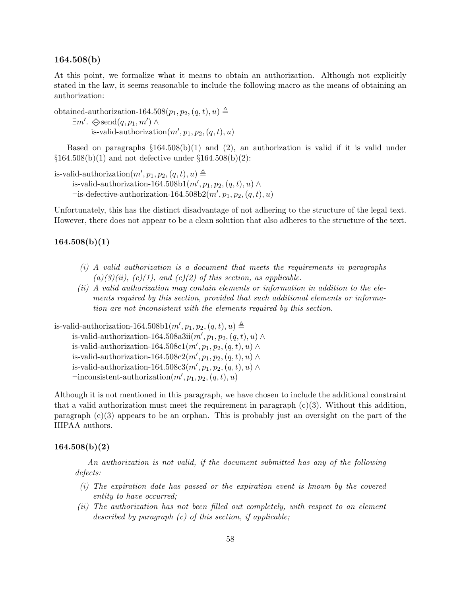# 164.508(b)

At this point, we formalize what it means to obtain an authorization. Although not explicitly stated in the law, it seems reasonable to include the following macro as the means of obtaining an authorization:

obtained-authorization-164.508 $(p_1, p_2, (q, t), u) \triangleq$  $\exists m'. \diamondsuit \text{send}(q, p_1, m') \land$ is-valid-authorization $(m', p_1, p_2, (q, t), u)$ 

Based on paragraphs  $\S164.508(b)(1)$  and (2), an authorization is valid if it is valid under  $\S 164.508(b)(1)$  and not defective under  $\S 164.508(b)(2)$ :

is-valid-authorization $(m', p_1, p_2, (q, t), u) \triangleq$ is-valid-authorization-164.508b1 $(m', p_1, p_2, (q, t), u) \wedge$  $\neg$ is-defective-authorization-164.508b2 $(m', p_1, p_2, (q, t), u)$ 

Unfortunately, this has the distinct disadvantage of not adhering to the structure of the legal text. However, there does not appear to be a clean solution that also adheres to the structure of the text.

### $164.508(b)(1)$

- (i) A valid authorization is a document that meets the requirements in paragraphs  $(a)(3)(ii)$ ,  $(c)(1)$ , and  $(c)(2)$  of this section, as applicable.
- (ii) A valid authorization may contain elements or information in addition to the elements required by this section, provided that such additional elements or information are not inconsistent with the elements required by this section.

is-valid-authorization-164.508b1 $(m', p_1, p_2, (q, t), u) \triangleq$ is-valid-authorization-164.508a3ii $(m', p_1, p_2, (q, t), u) \wedge$ is-valid-authorization-164.508c1 $(m', p_1, p_2, (q, t), u) \wedge$ is-valid-authorization-164.508c2 $(m', p_1, p_2, (q, t), u) \wedge$ is-valid-authorization-164.508c3 $(m', p_1, p_2, (q, t), u) \wedge$  $\lnot$ inconsistent-authorization $(m', p_1, p_2, (q, t), u)$ 

Although it is not mentioned in this paragraph, we have chosen to include the additional constraint that a valid authorization must meet the requirement in paragraph  $(c)(3)$ . Without this addition, paragraph  $(c)(3)$  appears to be an orphan. This is probably just an oversight on the part of the HIPAA authors.

# $164.508(b)(2)$

An authorization is not valid, if the document submitted has any of the following defects:

- (i) The expiration date has passed or the expiration event is known by the covered entity to have occurred;
- (ii) The authorization has not been filled out completely, with respect to an element described by paragraph  $(c)$  of this section, if applicable;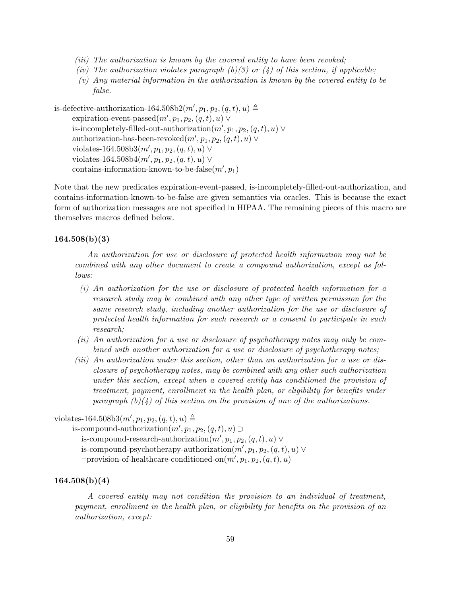- (iii) The authorization is known by the covered entity to have been revoked;
- (iv) The authorization violates paragraph (b)(3) or (4) of this section, if applicable;
- (v) Any material information in the authorization is known by the covered entity to be false.

is-defective-authorization-164.508b2 $(m', p_1, p_2, (q, t), u) \triangleq$ expiration-event-passed $(m', p_1, p_2, (q, t), u) \vee$ is-incompletely-filled-out-authorization $(m', p_1, p_2, (q, t), u)$ authorization-has-been-revoked $(m', p_1, p_2, (q, t), u) \vee$ violates-164.508b3 $(m', p_1, p_2, (q, t), u) \vee$ violates-164.508b4 $(m', p_1, p_2, (q, t), u) \vee$ contains-information-known-to-be-false $(m', p_1)$ 

Note that the new predicates expiration-event-passed, is-incompletely-filled-out-authorization, and contains-information-known-to-be-false are given semantics via oracles. This is because the exact form of authorization messages are not specified in HIPAA. The remaining pieces of this macro are themselves macros defined below.

# $164.508(b)(3)$

An authorization for use or disclosure of protected health information may not be combined with any other document to create a compound authorization, except as follows:

- (i) An authorization for the use or disclosure of protected health information for a research study may be combined with any other type of written permission for the same research study, including another authorization for the use or disclosure of protected health information for such research or a consent to participate in such research;
- (ii) An authorization for a use or disclosure of psychotherapy notes may only be combined with another authorization for a use or disclosure of psychotherapy notes;
- (iii) An authorization under this section, other than an authorization for a use or disclosure of psychotherapy notes, may be combined with any other such authorization under this section, except when a covered entity has conditioned the provision of treatment, payment, enrollment in the health plan, or eligibility for benefits under paragraph  $(b)(4)$  of this section on the provision of one of the authorizations.

# violates-164.508b3 $(m', p_1, p_2, (q, t), u) \triangleq$

```
is-compound-authorization(m', p_1, p_2, (q, t), u) \supsetis-compound-research-authorization(m', p_1, p_2, (q, t), u)is-compound-psychotherapy-authorization(m', p_1, p_2, (q, t), u)\negprovision-of-healthcare-conditioned-on(m', p_1, p_2, (q, t), u)
```
# $164.508(b)(4)$

A covered entity may not condition the provision to an individual of treatment, payment, enrollment in the health plan, or eligibility for benefits on the provision of an authorization, except: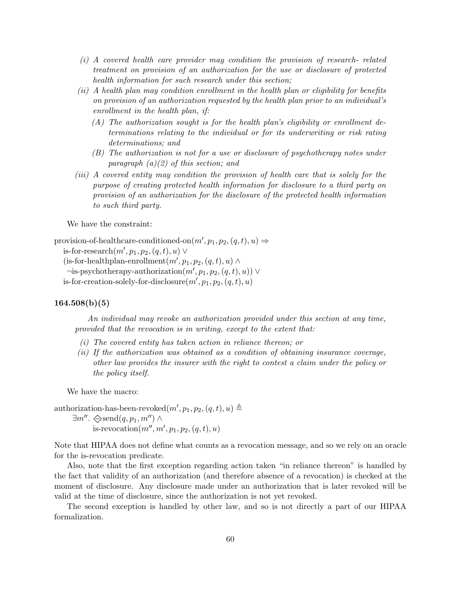- (i) A covered health care provider may condition the provision of research- related treatment on provision of an authorization for the use or disclosure of protected health information for such research under this section;
- (ii) A health plan may condition enrollment in the health plan or eligibility for benefits on provision of an authorization requested by the health plan prior to an individual's enrollment in the health plan, if:
	- (A) The authorization sought is for the health plan's eligibility or enrollment determinations relating to the individual or for its underwriting or risk rating determinations; and
	- (B) The authorization is not for a use or disclosure of psychotherapy notes under paragraph  $(a)(2)$  of this section; and
- (iii) A covered entity may condition the provision of health care that is solely for the purpose of creating protected health information for disclosure to a third party on provision of an authorization for the disclosure of the protected health information to such third party.

We have the constraint:

```
provision-of-healthcare-conditioned-on(m', p_1, p_2, (q, t), u) \Rightarrow
```

```
is-for-research(m', p_1, p_2, (q, t), u) \vee
```
(is-for-healthplan-enrollment $(m', p_1, p_2, (q, t), u) \wedge$  $\neg$ is-psychotherapy-authorization $(m', p_1, p_2, (q, t), u)) \vee$ is-for-creation-solely-for-disclosure $(m', p_1, p_2, (q, t), u)$ 

#### $164.508(b)(5)$

An individual may revoke an authorization provided under this section at any time, provided that the revocation is in writing, except to the extent that:

- (i) The covered entity has taken action in reliance thereon; or
- (ii) If the authorization was obtained as a condition of obtaining insurance coverage, other law provides the insurer with the right to contest a claim under the policy or the policy itself.

We have the macro:

authorization-has-been-revoked $(m', p_1, p_2, (q, t), u) \triangleq$ 

 $\exists m''$ .  $\diamondsuit \text{send}(q, p_1, m'') \land$ is-revocation $(m'', m', p_1, p_2, (q, t), u)$ 

Note that HIPAA does not define what counts as a revocation message, and so we rely on an oracle for the is-revocation predicate.

Also, note that the first exception regarding action taken "in reliance thereon" is handled by the fact that validity of an authorization (and therefore absence of a revocation) is checked at the moment of disclosure. Any disclosure made under an authorization that is later revoked will be valid at the time of disclosure, since the authorization is not yet revoked.

The second exception is handled by other law, and so is not directly a part of our HIPAA formalization.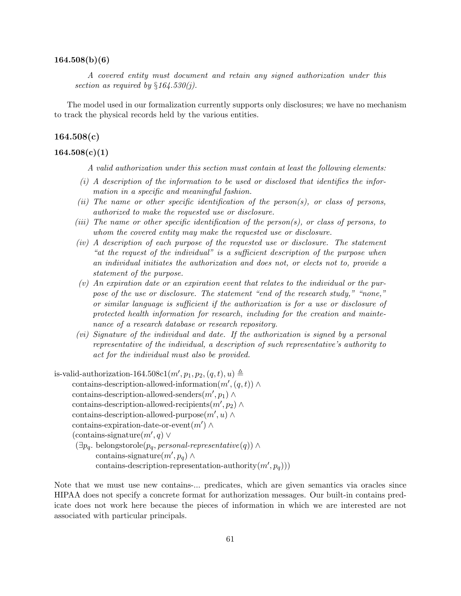#### $164.508(b)(6)$

A covered entity must document and retain any signed authorization under this section as required by  $§164.530(i)$ .

The model used in our formalization currently supports only disclosures; we have no mechanism to track the physical records held by the various entities.

# 164.508(c)

# $164.508(c)(1)$

A valid authorization under this section must contain at least the following elements:

- $(i)$  A description of the information to be used or disclosed that identifies the information in a specific and meaningful fashion.
- (ii) The name or other specific identification of the person(s), or class of persons, authorized to make the requested use or disclosure.
- (iii) The name or other specific identification of the person(s), or class of persons, to whom the covered entity may make the requested use or disclosure.
- (iv) A description of each purpose of the requested use or disclosure. The statement "at the request of the individual" is a sufficient description of the purpose when an individual initiates the authorization and does not, or elects not to, provide a statement of the purpose.
- (v) An expiration date or an expiration event that relates to the individual or the purpose of the use or disclosure. The statement "end of the research study," "none," or similar language is sufficient if the authorization is for a use or disclosure of protected health information for research, including for the creation and maintenance of a research database or research repository.
- (vi) Signature of the individual and date. If the authorization is signed by a personal representative of the individual, a description of such representative's authority to act for the individual must also be provided.
- is-valid-authorization-164.508c1 $(m', p_1, p_2, (q, t), u) \triangleq$ contains-description-allowed-information $(m', (q, t)) \wedge$ contains-description-allowed-senders $(m', p_1) \wedge$ contains-description-allowed-recipients $(m', p_2) \wedge$ contains-description-allowed-purpose $(m', u) \wedge$ contains-expiration-date-or-event $(m') \wedge$ (contains-signature $(m', q)$  ∨  $(\exists p_q. \begin{bmatrix} \text{belongstorole}(p_q, personal-representative(q) \end{bmatrix})$ contains-signature $(m', p_q) \wedge$

contains-description-representation-authority $(m', p_q))$ 

Note that we must use new contains-... predicates, which are given semantics via oracles since HIPAA does not specify a concrete format for authorization messages. Our built-in contains predicate does not work here because the pieces of information in which we are interested are not associated with particular principals.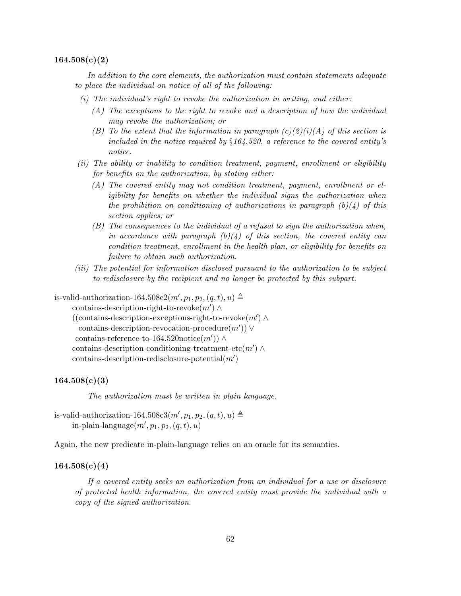#### $164.508(c)(2)$

In addition to the core elements, the authorization must contain statements adequate to place the individual on notice of all of the following:

- $(i)$  The individual's right to revoke the authorization in writing, and either:
	- (A) The exceptions to the right to revoke and a description of how the individual may revoke the authorization; or
	- (B) To the extent that the information in paragraph  $(c)(2)(i)(A)$  of this section is included in the notice required by  $\S164.520$ , a reference to the covered entity's notice.
- (ii) The ability or inability to condition treatment, payment, enrollment or eligibility for benefits on the authorization, by stating either:
	- (A) The covered entity may not condition treatment, payment, enrollment or eligibility for benefits on whether the individual signs the authorization when the prohibition on conditioning of authorizations in paragraph  $(b)(4)$  of this section applies; or
	- (B) The consequences to the individual of a refusal to sign the authorization when, in accordance with paragraph  $(b)(4)$  of this section, the covered entity can condition treatment, enrollment in the health plan, or eligibility for benefits on failure to obtain such authorization.
- (iii) The potential for information disclosed pursuant to the authorization to be subject to redisclosure by the recipient and no longer be protected by this subpart.

is-valid-authorization-164.508c2 $(m', p_1, p_2, (q, t), u) \triangleq$ 

contains-description-right-to-revoke $(m') \wedge$ 

```
((contains-description-exceptions-right-to-revoke(m') ∧
 contains-description-revocation-procedure(m')) ∨
contains-reference-to-164.520notice(m')) ∧
contains-description-conditioning-treatment-etc(m') \wedge\text{contains-descript ion-redisclosure-potential}(m')
```
### $164.508(c)(3)$

The authorization must be written in plain language.

is-valid-authorization-164.508c3 $(m', p_1, p_2, (q, t), u) \triangleq$ in-plain-language $(m', p_1, p_2, (q, t), u)$ 

Again, the new predicate in-plain-language relies on an oracle for its semantics.

#### $164.508(c)(4)$

If a covered entity seeks an authorization from an individual for a use or disclosure of protected health information, the covered entity must provide the individual with a copy of the signed authorization.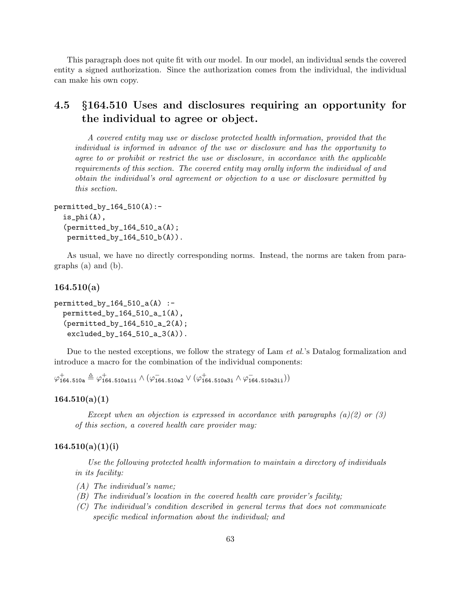This paragraph does not quite fit with our model. In our model, an individual sends the covered entity a signed authorization. Since the authorization comes from the individual, the individual can make his own copy.

# 4.5 §164.510 Uses and disclosures requiring an opportunity for the individual to agree or object.

A covered entity may use or disclose protected health information, provided that the individual is informed in advance of the use or disclosure and has the opportunity to agree to or prohibit or restrict the use or disclosure, in accordance with the applicable requirements of this section. The covered entity may orally inform the individual of and obtain the individual's oral agreement or objection to a use or disclosure permitted by this section.

```
permitted_by_164_510(A):-
  is_phi(A),
  (permitted_by_164_510_a(A);
   permitted_by_164_510_b(A)).
```
As usual, we have no directly corresponding norms. Instead, the norms are taken from paragraphs (a) and (b).

# $164.510(a)$

```
permitted_by_164_510_a(A) :-permitted_by_164_510_a_1(A),
  (permitted_by_164_510_a_2(A);
  excluded_by_164_510_a_3(A).
```
Due to the nested exceptions, we follow the strategy of Lam *et al.*'s Datalog formalization and introduce a macro for the combination of the individual components:

 $\varphi_{164.510a}^{+} \triangleq \varphi_{164.510a1i}^{+} \wedge (\varphi_{164.510a2}^{-} \vee (\varphi_{164.510a3i}^{+} \wedge \varphi_{164.510a3i}^{-})$ 

# $164.510(a)(1)$

Except when an objection is expressed in accordance with paragraphs  $(a)(2)$  or  $(3)$ of this section, a covered health care provider may:

# $164.510(a)(1)(i)$

Use the following protected health information to maintain a directory of individuals in its facility:

- (A) The individual's name;
- (B) The individual's location in the covered health care provider's facility;
- (C) The individual's condition described in general terms that does not communicate specific medical information about the individual; and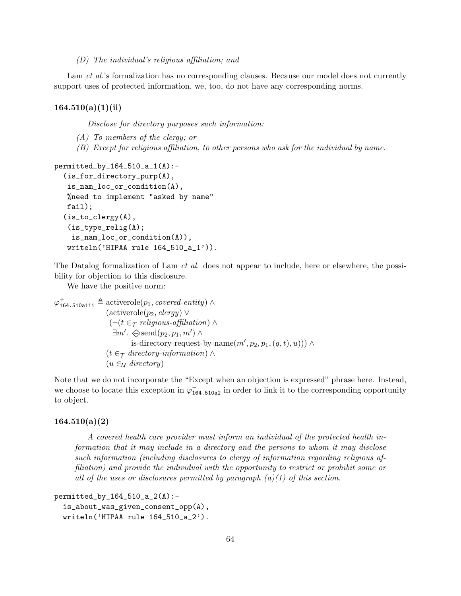(D) The individual's religious affiliation; and

Lam *et al.*'s formalization has no corresponding clauses. Because our model does not currently support uses of protected information, we, too, do not have any corresponding norms.

# $164.510(a)(1)(ii)$

Disclose for directory purposes such information:

- (A) To members of the clergy; or
- (B) Except for religious affiliation, to other persons who ask for the individual by name.

```
permitted_by_164_510_a_1(A):-
  (is_for_directory_purp(A),
   is_nam_loc_or_condition(A),
  %need to implement "asked by name"
  fail);
  (is_to_clergy(A),
   (is_type_relig(A);
    is_nam_loc_or_condition(A)),
  writeln('HIPAA rule 164_510_a_1')).
```
The Datalog formalization of Lam *et al.* does not appear to include, here or elsewhere, the possibility for objection to this disclosure.

We have the positive norm:

```
\varphi_{164.510a1ii}^{+} \triangleq activerole(p_1, covered\text{-}entity) \wedge(\text{activerole}(p_2, \text{clergy}) \vee(\neg(t \in \tau religious-affiliation) ∧
                          \exists m'. \diamondsuit \text{send}(p_2, p_1, m') \landis-directory-request-by-name(m', p_2, p_1, (q, t), u))) ∧
                      (t \in \tau directory-information) \wedge(u \in_{\mathcal{U}} \text{directory})
```
Note that we do not incorporate the "Except when an objection is expressed" phrase here. Instead, we choose to locate this exception in  $\varphi_{164.510a2}^{-1}$  in order to link it to the corresponding opportunity to object.

# $164.510(a)(2)$

A covered health care provider must inform an individual of the protected health information that it may include in a directory and the persons to whom it may disclose such information (including disclosures to clergy of information regarding religious affiliation) and provide the individual with the opportunity to restrict or prohibit some or all of the uses or disclosures permitted by paragraph  $(a)(1)$  of this section.

```
permitted_by_164_510_a_2(A):-
  is_about_was_given_consent_opp(A),
  writeln('HIPAA rule 164_510_a_2').
```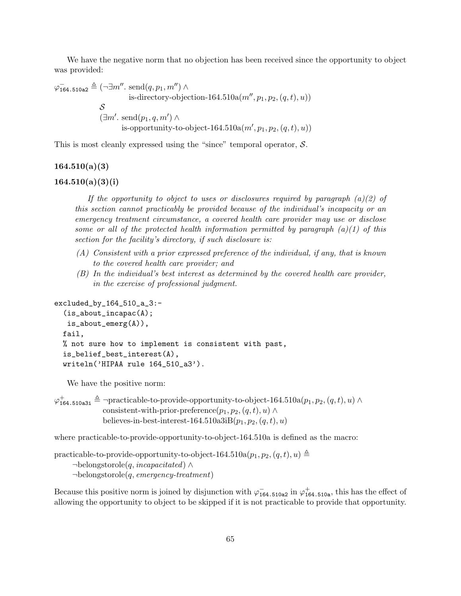We have the negative norm that no objection has been received since the opportunity to object was provided:

$$
\varphi_{164.510a2}^{-} \triangleq (\neg \exists m''. \text{ send}(q, p_1, m'') \land \text{is-direction-164.510a}(m'', p_1, p_2, (q, t), u))
$$
  

$$
\mathcal{S}
$$
  

$$
(\exists m'. \text{ send}(p_1, q, m') \land \text{is-op}ortunity-to-object-164.510a(m', p_1, p_2, (q, t), u))
$$

This is most cleanly expressed using the "since" temporal operator,  $S$ .

# $164.510(a)(3)$

# $164.510(a)(3)(i)$

If the opportunity to object to uses or disclosures required by paragraph  $(a)(2)$  of this section cannot practicably be provided because of the individual's incapacity or an emergency treatment circumstance, a covered health care provider may use or disclose some or all of the protected health information permitted by paragraph  $(a)(1)$  of this section for the facility's directory, if such disclosure is:

- (A) Consistent with a prior expressed preference of the individual, if any, that is known to the covered health care provider; and
- (B) In the individual's best interest as determined by the covered health care provider, in the exercise of professional judgment.

```
excluded_by_164_510_a_3:-
  (is_about_incapac(A);
   is_about_emerg(A)),
  fail,
  % not sure how to implement is consistent with past,
  is_belief_best_interest(A),
  writeln('HIPAA rule 164_510_a3').
```
We have the positive norm:

```
\varphi_{164.510a3i}^{+} \triangleq \negpracticable-to-provide-opportunity-to-object-164.510a(p_1, p_2, (q, t), u) \wedgeconsistent-with-prior-preference(p_1, p_2, (q, t), u) \wedgebelieves-in-best-interest-164.510a3iB(p_1, p_2, (q, t), u)
```
where practicable-to-provide-opportunity-to-object-164.510a is defined as the macro:

```
practicable-to-provide-opportunity-to-object-164.510a(p_1, p_2, (q, t), u) \triangleq¬belongstorole(q, incapacitated) ∧
     \negbelongstorole(q, emergency-treatment)
```
Because this positive norm is joined by disjunction with  $\varphi^-_{164.510a2}$  in  $\varphi^+_{164.510a}$ , this has the effect of allowing the opportunity to object to be skipped if it is not practicable to provide that opportunity.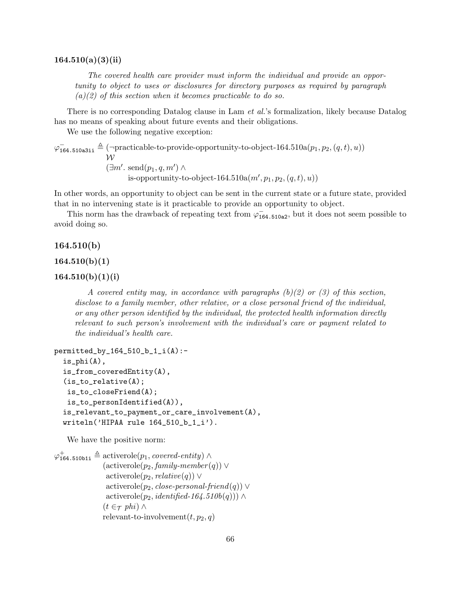The covered health care provider must inform the individual and provide an opportunity to object to uses or disclosures for directory purposes as required by paragraph  $(a)(2)$  of this section when it becomes practicable to do so.

There is no corresponding Datalog clause in Lam et al.'s formalization, likely because Datalog has no means of speaking about future events and their obligations.

We use the following negative exception:

 $\varphi_{164.510a3ii}^{-} \triangleq (\neg \text{practicalble-to-provide-opportunity-to-object-164.510a}(p_1, p_2, (q, t), u))$  $\mathcal W$  $(\exists m'. \text{ send}(p_1, q, m') \land$ is-opportunity-to-object-164.510a $(m', p_1, p_2, (q, t), u)$ 

In other words, an opportunity to object can be sent in the current state or a future state, provided that in no intervening state is it practicable to provide an opportunity to object.

This norm has the drawback of repeating text from  $\varphi_{164.510a2}^{-}$ , but it does not seem possible to avoid doing so.

## 164.510(b)

### $164.510(b)(1)$

## $164.510(b)(1)(i)$

A covered entity may, in accordance with paragraphs  $(b)(2)$  or (3) of this section, disclose to a family member, other relative, or a close personal friend of the individual, or any other person identified by the individual, the protected health information directly relevant to such person's involvement with the individual's care or payment related to the individual's health care.

```
permitted_by_164_510_b_1_i(A):-
  is_phi(A),
  is_from_coveredEntity(A),
  (is_to_relative(A);
  is_to_closeFriend(A);
  is_to_personIdentified(A)),
  is_relevant_to_payment_or_care_involvement(A),
  writeln('HIPAA rule 164_510_b_1_i').
```
We have the positive norm:

```
\varphi_{164.510b1i}^{+} \triangleq activerole(p_1, covered\text{-}entity) \wedge(\text{activerole}(p_2, \text{family-member}(q)) \veeactiverole(p_2, relative(q)) ∨
                    \text{activerole}(p_2, close\text{-}personal\text{-}friend(q)) \veeactiverole(p_2, identified-164.510b(q))) ∧
                   (t \in \tau phi) \wedgerelevant-to-involvement(t, p_2, q)
```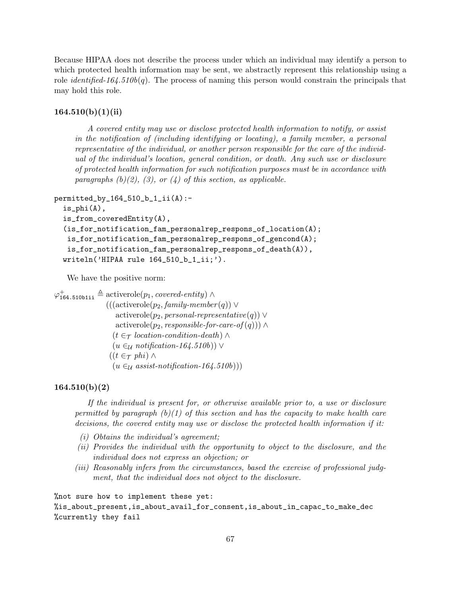Because HIPAA does not describe the process under which an individual may identify a person to which protected health information may be sent, we abstractly represent this relationship using a role *identified-164.510b(q)*. The process of naming this person would constrain the principals that may hold this role.

# $164.510(b)(1)(ii)$

A covered entity may use or disclose protected health information to notify, or assist in the notification of (including identifying or locating), a family member, a personal representative of the individual, or another person responsible for the care of the individual of the individual's location, general condition, or death. Any such use or disclosure of protected health information for such notification purposes must be in accordance with paragraphs  $(b)(2)$ ,  $(3)$ , or  $(4)$  of this section, as applicable.

```
permitted_by_164_510_b_1_ii(A):-
```

```
is_phi(A),
is_from_coveredEntity(A),
(is_for_notification_fam_personalrep_respons_of_location(A);
is_for_notification_fam_personalrep_respons_of_gencond(A);
 is_for_notification_fam_personalrep_respons_of_death(A)),
writeln('HIPAA rule 164_510_b_1_ii;').
```
We have the positive norm:

 $\varphi_{164.510blii}^{+} \triangleq$  activerole $(p_1, covered\text{-}entity) \wedge$  $(((\text{activerole}(p_2, \text{family-member}(q)) \vee$  $activerole(p_2, personal-representative(q)) \vee$ activerole( $p_2$ , responsible-for-care-of  $(q)$ )) ∧  $(t \in \tau$  location-condition-death) ∧  $(u \in_{\mathcal{U}} \text{notification-164.510b})) \vee$  $((t \in \tau \phi h_i) \wedge$  $(u \in \mathcal{U} \text{ assist-} \text{notification-164.510b})))$ 

#### $164.510(b)(2)$

If the individual is present for, or otherwise available prior to, a use or disclosure permitted by paragraph  $(b)(1)$  of this section and has the capacity to make health care decisions, the covered entity may use or disclose the protected health information if it:

- (i) Obtains the individual's agreement;
- (ii) Provides the individual with the opportunity to object to the disclosure, and the individual does not express an objection; or
- (iii) Reasonably infers from the circumstances, based the exercise of professional judgment, that the individual does not object to the disclosure.

%not sure how to implement these yet: %is\_about\_present,is\_about\_avail\_for\_consent,is\_about\_in\_capac\_to\_make\_dec %currently they fail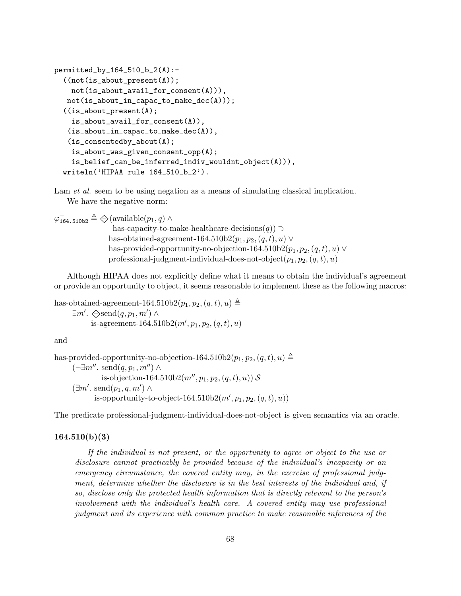```
permitted_by_164_510_b_2(A):-
  ((not(is_about_present(A));not(is_about_avail_for_consent(A))),
  not(is_about_in_capac_to_make_dec(A)));
  ((is_about_present(A);
    is_about_avail_for_consent(A)),
   (is_about_in_capac_to_make_dec(A)),
   (is_consentedby_about(A);
    is_about_was_given_consent_opp(A);
    is_belief_can_be_inferred_indiv_wouldnt_object(A))),
  writeln('HIPAA rule 164_510_b_2').
```
Lam *et al.* seem to be using negation as a means of simulating classical implication. We have the negative norm:

 $\varphi^-_{\texttt{164.510b2}} \triangleq \diamondsuit(\text{available}(p_1, q) \land$ has-capacity-to-make-healthcare-decisions $(q)$ ) ⊃ has-obtained-agreement-164.510b2 $(p_1, p_2, (q, t), u) \vee$ has-provided-opportunity-no-objection-164.510b2( $p_1, p_2, (q, t), u$ ) ∨ professional-judgment-individual-does-not-object $(p_1, p_2, (q, t), u)$ 

Although HIPAA does not explicitly define what it means to obtain the individual's agreement or provide an opportunity to object, it seems reasonable to implement these as the following macros:

```
has-obtained-agreement-164.510b2(p_1, p_2, (q, t), u) \triangleq\exists m'. \diamondsuit \text{send}(q, p_1, m') \landis-agreement-164.510b2(m', p_1, p_2, (q, t), u)
```
and

has-provided-opportunity-no-objection-164.510b2( $p_1, p_2, (q, t), u$ )  $\triangleq$  $(\neg \exists m'' \ldotp \text{send}(q, p_1, m'') \land$ is-objection-164.510b2( $m'', p_1, p_2, (q, t), u$ )) S  $(\exists m'. \text{ send}(p_1, q, m') \wedge$ is-opportunity-to-object-164.510b2 $(m', p_1, p_2, (q, t), u)$ 

The predicate professional-judgment-individual-does-not-object is given semantics via an oracle.

### $164.510(b)(3)$

If the individual is not present, or the opportunity to agree or object to the use or disclosure cannot practicably be provided because of the individual's incapacity or an emergency circumstance, the covered entity may, in the exercise of professional judgment, determine whether the disclosure is in the best interests of the individual and, if so, disclose only the protected health information that is directly relevant to the person's involvement with the individual's health care. A covered entity may use professional judgment and its experience with common practice to make reasonable inferences of the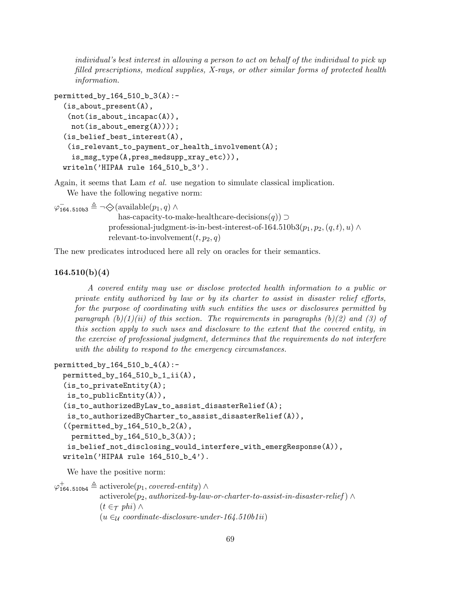individual's best interest in allowing a person to act on behalf of the individual to pick up filled prescriptions, medical supplies, X-rays, or other similar forms of protected health information.

```
permitted_by_164_510_b_3(A):-
  (is_about_present(A),
   (not(is_about_incapac(A)),
    not(is_about_emerg(A))));
  (is_belief_best_interest(A),
   (is_relevant_to_payment_or_health_involvement(A);
    is_msg_type(A,pres_medsupp_xray_etc))),
  writeln('HIPAA rule 164_510_b_3').
```
relevant-to-involvement $(t, p_2, q)$ 

Again, it seems that Lam et al. use negation to simulate classical implication. We have the following negative norm:

 $\varphi^-$ <sub>164.510b3</sub>  $\triangleq \neg \diamondsuit$ (available $(p_1, q) \wedge$ has-capacity-to-make-healthcare-decisions $(q)$ ) ⊃ professional-judgment-is-in-best-interest-of-164.510b3 $(p_1, p_2, (q, t), u) \wedge$ 

The new predicates introduced here all rely on oracles for their semantics.

# $164.510(b)(4)$

A covered entity may use or disclose protected health information to a public or private entity authorized by law or by its charter to assist in disaster relief efforts, for the purpose of coordinating with such entities the uses or disclosures permitted by paragraph  $(b)(1)(ii)$  of this section. The requirements in paragraphs  $(b)(2)$  and  $(3)$  of this section apply to such uses and disclosure to the extent that the covered entity, in the exercise of professional judgment, determines that the requirements do not interfere with the ability to respond to the emergency circumstances.

```
permitted_by_164_510_b_4(A):-
  permitted_by_164_510_b_1_ii(A),(is_to_privateEntity(A);
  is_to_publicEntity(A)),
  (is_to_authorizedByLaw_to_assist_disasterRelief(A);
   is_to_authorizedByCharter_to_assist_disasterRelief(A)),
  ((permitted_by_164_510_b_2(A),
    permitted_by_164_510_b_3(A));
   is_belief_not_disclosing_would_interfere_with_emergResponse(A)),
  writeln('HIPAA rule 164_510_b_4').
```
We have the positive norm:

 $\varphi_{164.510b4}^{+} \triangleq$  activerole $(p_1, covered\text{-}entity)$   $\wedge$  $activerole(p_2, authorized-by-law-or-character-to-assist-in-disaster-relief) \wedge$  $(t \in \tau$  phi)  $\wedge$  $(u \in_{\mathcal{U}} coordinate\text{-}disclosure\text{-}under\text{-}164.510b1ii)$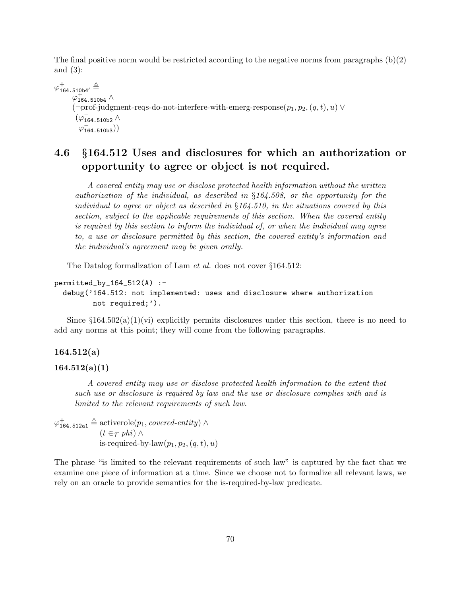The final positive norm would be restricted according to the negative norms from paragraphs  $(b)(2)$ and (3):

 $\varphi_{\texttt{164.510b4}'}^{+} \triangleq$  $\varphi_{164.510b4}^{+} \wedge$  $(\neg \text{prof-judgment-regs-do-not-interfere-with-emerg-response}(p_1, p_2, (q, t), u) \vee$  $(\varphi^-_{164.510b2}$  ∧  $\varphi$ <sub>164.510b3</sub>))

# 4.6 §164.512 Uses and disclosures for which an authorization or opportunity to agree or object is not required.

A covered entity may use or disclose protected health information without the written authorization of the individual, as described in §164.508, or the opportunity for the individual to agree or object as described in  $\S164.510$ , in the situations covered by this section, subject to the applicable requirements of this section. When the covered entity is required by this section to inform the individual of, or when the individual may agree to, a use or disclosure permitted by this section, the covered entity's information and the individual's agreement may be given orally.

The Datalog formalization of Lam et al. does not cover §164.512:

```
permitted_by_164_512(A) :-
```

```
debug('164.512: not implemented: uses and disclosure where authorization
      not required;').
```
Since  $\S 164.502(a)(1)(vi)$  explicitly permits disclosures under this section, there is no need to add any norms at this point; they will come from the following paragraphs.

# 164.512(a)

# $164.512(a)(1)$

A covered entity may use or disclose protected health information to the extent that such use or disclosure is required by law and the use or disclosure complies with and is limited to the relevant requirements of such law.

 $\varphi_{164.512a1}^{+} \triangleq$  activerole $(p_1, covered\text{-}entity) \wedge$  $(t \in \tau$  phi)  $\wedge$ is-required-by-law $(p_1, p_2, (q, t), u)$ 

The phrase "is limited to the relevant requirements of such law" is captured by the fact that we examine one piece of information at a time. Since we choose not to formalize all relevant laws, we rely on an oracle to provide semantics for the is-required-by-law predicate.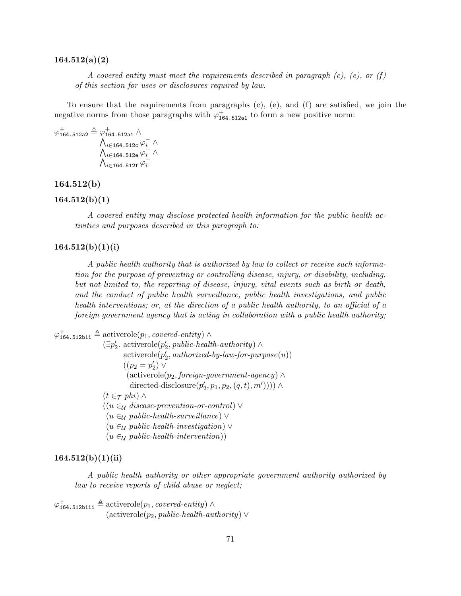#### 164.512(a)(2)

A covered entity must meet the requirements described in paragraph  $(c)$ ,  $(e)$ , or  $(f)$ of this section for uses or disclosures required by law.

To ensure that the requirements from paragraphs (c), (e), and (f) are satisfied, we join the negative norms from those paragraphs with  $\varphi^+_{164.512a1}$  to form a new positive norm:

$$
\varphi_{164.512a2}^{+} \triangleq \varphi_{164.512a1}^{+} \wedge \newline \wedge_{i \in 164.512c} \varphi_i^{-} \wedge \newline \wedge_{i \in 164.512e} \varphi_i^{-} \wedge \newline \wedge_{i \in 164.512f} \varphi_i^{-}
$$

# 164.512(b)

#### $164.512(b)(1)$

A covered entity may disclose protected health information for the public health activities and purposes described in this paragraph to:

# $164.512(b)(1)(i)$

A public health authority that is authorized by law to collect or receive such information for the purpose of preventing or controlling disease, injury, or disability, including, but not limited to, the reporting of disease, injury, vital events such as birth or death, and the conduct of public health surveillance, public health investigations, and public health interventions; or, at the direction of a public health authority, to an official of a foreign government agency that is acting in collaboration with a public health authority;

 $\varphi_{164.512b1i}^{+} \triangleq$  activerole $(p_1, covered\text{-}entity) \wedge$ 

 $(\exists p'_2$ . activerole $(p'_2, public\text{-}health\text{-}authority) \wedge$  $\text{activerole}(p_2', \text{authorized-by-law-for-purpose}(u))$  $((p_2 = p'_2) \vee$  $(\text{activerole}(p_2, \text{foreign-government-agency}) \wedge$ directed-disclosure $(p'_2, p_1, p_2, (q, t), m'))$ )  $\wedge$  $(t \in \tau$  phi)  $\wedge$  $((u \in_{\mathcal{U}} \mathit{disease-prevention-or-control}) \vee$  $(u \in_{\mathcal{U}} public\text{-}health\text{-}surveillance) \vee$  $(u \in_{\mathcal{U}} public\text{-}health\text{-}investigation)$  $(u \in_{\mathcal{U}} public\text{-}health\text{-}intervention))$ 

# $164.512(b)(1)(ii)$

A public health authority or other appropriate government authority authorized by law to receive reports of child abuse or neglect;

 $\varphi_{\mathtt{164.512b1ii}}^{+} \triangleq \mathrm{activerole}(p_1, covered\text{-}entity) \wedge$  $(\text{activerole}(p_2, \text{public-health-authority}) \vee$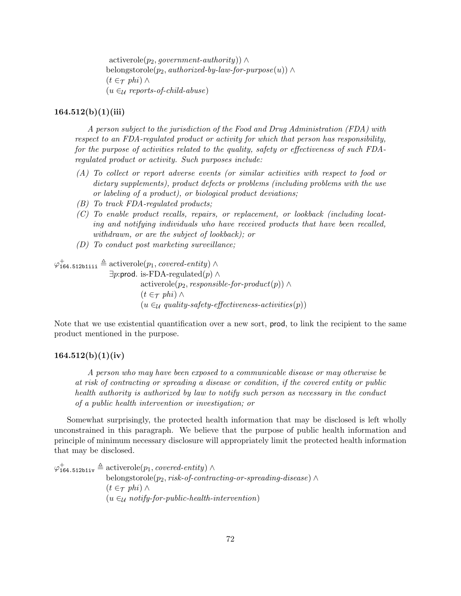$activerole(p_2, government-authority)) \wedge$ belongstorole( $p_2$ , authorized-by-law-for-purpose(u)) ∧  $(t \in \tau$  phi)  $\wedge$  $(u \in \mathcal{U}$  reports-of-child-abuse)

# $164.512(b)(1)(iii)$

A person subject to the jurisdiction of the Food and Drug Administration (FDA) with respect to an FDA-regulated product or activity for which that person has responsibility, for the purpose of activities related to the quality, safety or effectiveness of such FDAregulated product or activity. Such purposes include:

- (A) To collect or report adverse events (or similar activities with respect to food or dietary supplements), product defects or problems (including problems with the use or labeling of a product), or biological product deviations;
- (B) To track FDA-regulated products;
- (C) To enable product recalls, repairs, or replacement, or lookback (including locating and notifying individuals who have received products that have been recalled, withdrawn, or are the subject of lookback); or
- (D) To conduct post marketing surveillance;

 $\varphi_{\mathtt{164.512b1iii}}^{+} \triangleq \mathrm{activerole}(p_1, \textit{covered-entity}) \land$ 

 $\exists p$ :prod. is-FDA-regulated(p) ∧ activerole( $p_2$ , responsible-for-product(p)) ∧  $(t \in \tau$  phi) ∧  $(u \in_{\mathcal{U}} \text{quality-safety-effectiveness-activities}(p))$ 

Note that we use existential quantification over a new sort, prod, to link the recipient to the same product mentioned in the purpose.

# $164.512(b)(1)(iv)$

A person who may have been exposed to a communicable disease or may otherwise be at risk of contracting or spreading a disease or condition, if the covered entity or public health authority is authorized by law to notify such person as necessary in the conduct of a public health intervention or investigation; or

Somewhat surprisingly, the protected health information that may be disclosed is left wholly unconstrained in this paragraph. We believe that the purpose of public health information and principle of minimum necessary disclosure will appropriately limit the protected health information that may be disclosed.

 $\varphi_{\mathtt{164.512b1iv}}^{+} \triangleq \mathrm{activerole}(p_1, covered\text{-}entity) \wedge$ belongstorole(p<sub>2</sub>, risk-of-contracting-or-spreading-disease)  $\wedge$  $(t \in \tau$  phi) ∧  $(u \in \mathcal{U}$  notify-for-public-health-intervention)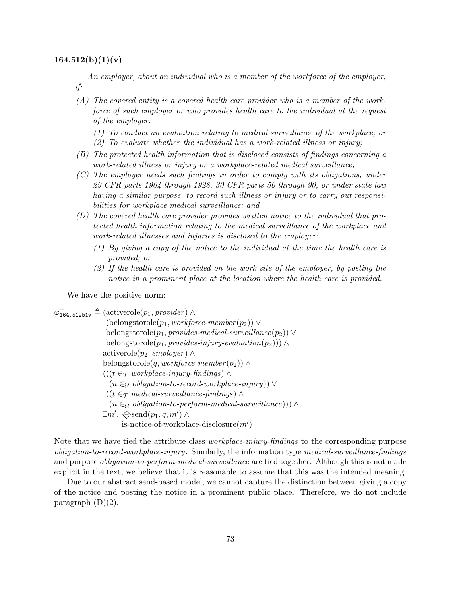#### $164.512(b)(1)(v)$

An employer, about an individual who is a member of the workforce of the employer, if:

(A) The covered entity is a covered health care provider who is a member of the workforce of such employer or who provides health care to the individual at the request of the employer:

(1) To conduct an evaluation relating to medical surveillance of the workplace; or (2) To evaluate whether the individual has a work-related illness or injury;

- (B) The protected health information that is disclosed consists of findings concerning a work-related illness or injury or a workplace-related medical surveillance;
- (C) The employer needs such findings in order to comply with its obligations, under 29 CFR parts 1904 through 1928, 30 CFR parts 50 through 90, or under state law having a similar purpose, to record such illness or injury or to carry out responsibilities for workplace medical surveillance; and
- (D) The covered health care provider provides written notice to the individual that protected health information relating to the medical surveillance of the workplace and work-related illnesses and injuries is disclosed to the employer:
	- (1) By giving a copy of the notice to the individual at the time the health care is provided; or
	- (2) If the health care is provided on the work site of the employer, by posting the notice in a prominent place at the location where the health care is provided.

We have the positive norm:

 $\varphi_{164.512\text{b1v}}^+ \triangleq (\text{activerole}(p_1, provider) \wedge$  $($ belongstorole $(p_1, \textit{workforce-member}(p_2)) \vee$ belongstorole( $p_1$ , provides-medical-surveillance( $p_2$ )) ∨ belongstorole( $p_1$ , provides-injury-evaluation( $p_2$ ))) ∧ activerole( $p_2$ , employer) ∧ belongstorole(q, workforce-member  $(p_2)$ ) ∧  $(((t \in \tau \text{ workplace-injury-finding}) \wedge$  $(u \in \mathcal{U}$  obligation-to-record-workplace-injury))  $\vee$  $((t \in \tau \text{ medical-surveillance-finding}) \wedge$  $(u \in \mathcal{U}$  obligation-to-perform-medical-surveillance))) ∧  $\exists m'. \diamondsuit \text{send}(p_1, q, m') \land$ is-notice-of-workplace-disclosure $(m')$ 

Note that we have tied the attribute class *workplace-injury-findings* to the corresponding purpose obligation-to-record-workplace-injury. Similarly, the information type medical-surveillance-findings and purpose *obligation-to-perform-medical-surveillance* are tied together. Although this is not made explicit in the text, we believe that it is reasonable to assume that this was the intended meaning.

Due to our abstract send-based model, we cannot capture the distinction between giving a copy of the notice and posting the notice in a prominent public place. Therefore, we do not include paragraph  $(D)(2)$ .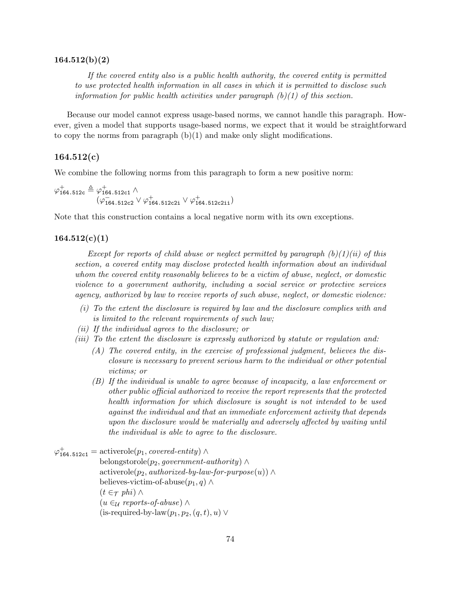#### 164.512(b)(2)

If the covered entity also is a public health authority, the covered entity is permitted to use protected health information in all cases in which it is permitted to disclose such information for public health activities under paragraph  $(b)(1)$  of this section.

Because our model cannot express usage-based norms, we cannot handle this paragraph. However, given a model that supports usage-based norms, we expect that it would be straightforward to copy the norms from paragraph  $(b)(1)$  and make only slight modifications.

# $164.512(c)$

We combine the following norms from this paragraph to form a new positive norm:

$$
\varphi_{164.512c}^{+} \triangleq \varphi_{164.512c1}^{+} \wedge (\varphi_{164.512c2}^{-} \vee \varphi_{164.512c2i}^{+} \vee \varphi_{164.512c2i}^{+})
$$

Note that this construction contains a local negative norm with its own exceptions.

#### $164.512(c)(1)$

Except for reports of child abuse or neglect permitted by paragraph  $(b)(1)(ii)$  of this section, a covered entity may disclose protected health information about an individual whom the covered entity reasonably believes to be a victim of abuse, neglect, or domestic violence to a government authority, including a social service or protective services agency, authorized by law to receive reports of such abuse, neglect, or domestic violence:

- (i) To the extent the disclosure is required by law and the disclosure complies with and is limited to the relevant requirements of such law;
- (ii) If the individual agrees to the disclosure; or
- (iii) To the extent the disclosure is expressly authorized by statute or regulation and:
	- (A) The covered entity, in the exercise of professional judgment, believes the disclosure is necessary to prevent serious harm to the individual or other potential victims; or
	- (B) If the individual is unable to agree because of incapacity, a law enforcement or other public official authorized to receive the report represents that the protected health information for which disclosure is sought is not intended to be used against the individual and that an immediate enforcement activity that depends upon the disclosure would be materially and adversely affected by waiting until the individual is able to agree to the disclosure.

```
\varphi_{164.512c1}^{+} = \text{activerole}(p_1, covered\text{-}entity) \wedgebelongstorole(p_2, government-authority) ∧
                 \text{activerole}(p_2, \text{authorized-by-law-for-purpose}(u)) \wedgebelieves-victim-of-abuse(p_1, q) \wedge(t \in \tau phi) \wedge(u \in \mathcal{U} reports-of-abuse) \wedge(is-required-by-law(p_1, p_2, (q, t), u) \vee
```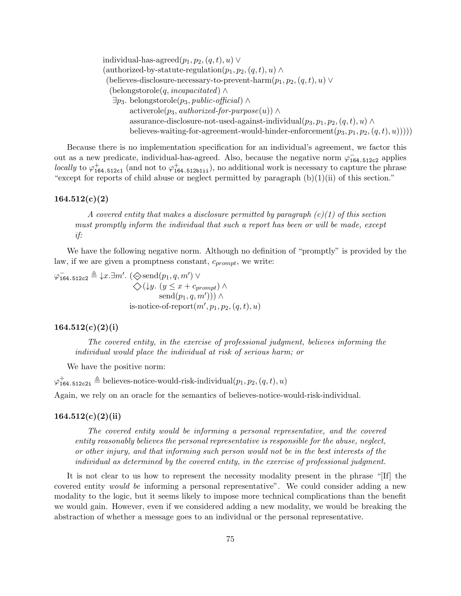individual-has-agreed $(p_1, p_2, (q, t), u) \vee$ (authorized-by-statute-regulation $(p_1, p_2, (q, t), u) \wedge$ (believes-disclosure-necessary-to-prevent-harm $(p_1, p_2, (q, t), u)$  ∨ (belongstorole(q, incapacitated)  $\wedge$  $\exists p_3$ . belongstorole( $p_3$ , public-official) ∧ activerole( $p_3$ , authorized-for-purpose(u)) ∧ assurance-disclosure-not-used-against-individual $(p_3, p_1, p_2, (q, t), u) \wedge$ believes-waiting-for-agreement-would-hinder-enforcement $(p_3, p_1, p_2, (q, t), u))$ ))

Because there is no implementation specification for an individual's agreement, we factor this out as a new predicate, individual-has-agreed. Also, because the negative norm  $\varphi_{164.512c2}^{-}$  applies locally to  $\varphi_{164.512c1}^+$  (and not to  $\varphi_{164.512b11i}^+$ ), no additional work is necessary to capture the phrase "except for reports of child abuse or neglect permitted by paragraph  $(b)(1)(ii)$  of this section."

# $164.512(c)(2)$

A covered entity that makes a disclosure permitted by paragraph  $(c)(1)$  of this section must promptly inform the individual that such a report has been or will be made, except if:

We have the following negative norm. Although no definition of "promptly" is provided by the law, if we are given a promptness constant,  $c_{prompt}$ , we write:

 $\varphi_{164.512c2} \triangleq \downarrow x. \exists m'. (\diamondsuit \text{send}(p_1, q, m') \vee \emptyset)$  $\Diamond (\downarrow y. (y \leq x + c_{prompt}) \land$  $\mathrm{send}(p_1, q, m'))$   $\wedge$ is-notice-of-report $(m', p_1, p_2, (q, t), u)$ 

#### $164.512(c)(2)(i)$

The covered entity, in the exercise of professional judgment, believes informing the individual would place the individual at risk of serious harm; or

We have the positive norm:

 $\varphi^+_{164.512c2i} \triangleq$  believes-notice-would-risk-individual $(p_1, p_2, (q, t), u)$ 

Again, we rely on an oracle for the semantics of believes-notice-would-risk-individual.

#### $164.512(c)(2(ii)$

The covered entity would be informing a personal representative, and the covered entity reasonably believes the personal representative is responsible for the abuse, neglect, or other injury, and that informing such person would not be in the best interests of the individual as determined by the covered entity, in the exercise of professional judgment.

It is not clear to us how to represent the necessity modality present in the phrase "[If] the covered entity would be informing a personal representative". We could consider adding a new modality to the logic, but it seems likely to impose more technical complications than the benefit we would gain. However, even if we considered adding a new modality, we would be breaking the abstraction of whether a message goes to an individual or the personal representative.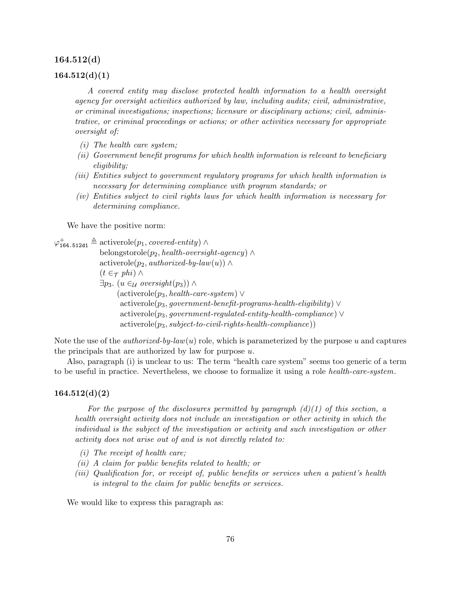#### 164.512(d)

#### $164.512(d)(1)$

A covered entity may disclose protected health information to a health oversight agency for oversight activities authorized by law, including audits; civil, administrative, or criminal investigations; inspections; licensure or disciplinary actions; civil, administrative, or criminal proceedings or actions; or other activities necessary for appropriate oversight of:

- (i) The health care system;
- (ii) Government benefit programs for which health information is relevant to beneficiary eligibility;
- (iii) Entities subject to government regulatory programs for which health information is necessary for determining compliance with program standards; or
- (iv) Entities subject to civil rights laws for which health information is necessary for determining compliance.

We have the positive norm:

 $\varphi_{164.512d1}^{+} \triangleq$  activerole $(p_1, covered\text{-}entity) \wedge$ belongstorole( $p_2$ , health-oversight-agency) ∧ activerole( $p_2$ , authorized-by-law(u)) ∧  $(t \in \tau$  phi) ∧ ∃p<sub>3</sub>. (u ∈<sub>U</sub> oversight(p<sub>3</sub>)) ∧  $(\text{activerole}(p_3, \text{health-care-system}) \vee$  $activerole(p_3, government\text{-}beneft\text{-}programs\text{-}health\text{-}eliqibility) \vee$  $activerole(p_3, government-regulated-entity-health-compliance) \vee$  $activerole(p_3, subject-to-civil-right-health-compliance)$ 

Note the use of the *authorized-by-law(u)* role, which is parameterized by the purpose u and captures the principals that are authorized by law for purpose u.

Also, paragraph (i) is unclear to us: The term "health care system" seems too generic of a term to be useful in practice. Nevertheless, we choose to formalize it using a role health-care-system.

# $164.512(d)(2)$

For the purpose of the disclosures permitted by paragraph  $(d)(1)$  of this section, a health oversight activity does not include an investigation or other activity in which the individual is the subject of the investigation or activity and such investigation or other activity does not arise out of and is not directly related to:

- (i) The receipt of health care;
- (ii) A claim for public benefits related to health; or
- (iii) Qualification for, or receipt of, public benefits or services when a patient's health is integral to the claim for public benefits or services.

We would like to express this paragraph as: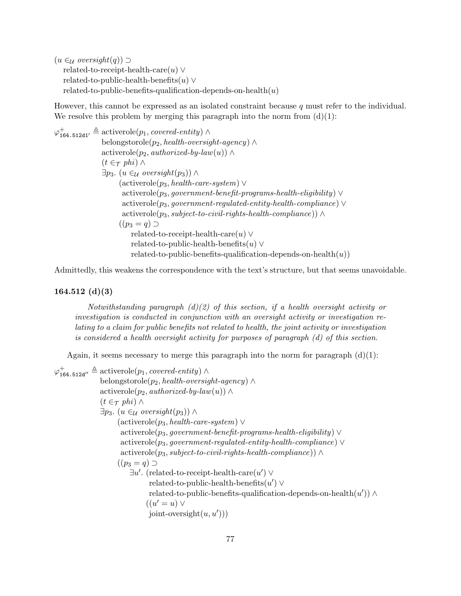$(u \in_{\mathcal{U}} \text{oversight}(q)) \supset$ related-to-receipt-health-care $(u) \vee$ related-to-public-health-benefits $(u) \vee$ related-to-public-benefits-qualification-depends-on-health $(u)$ 

However, this cannot be expressed as an isolated constraint because q must refer to the individual. We resolve this problem by merging this paragraph into the norm from  $(d)(1)$ :

 $\varphi^+_{164.512 \text{d}1'} \triangleq \text{activerole}(p_1, covered\text{-}entity) \wedge$ belongstorole( $p_2$ , health-oversight-agency) ∧ activerole( $p_2$ , authorized-by-law(u)) ∧  $(t \in \tau$  phi)  $\wedge$ ∃p<sub>3</sub>. (u ∈<sub>U</sub> oversight(p<sub>3</sub>)) ∧  $(\text{activerole}(p_3, \text{health-care-system}) \vee$  $activerole(p_3, government\text{-}beneft\text{-}programs\text{-}health\text{-}elightly) \vee$ activerole( $p_3$ , government-regulated-entity-health-compliance)  $\vee$  $activerole(p_3, subject-to-civil- rights-health-compliance)) \wedge$  $((p_3 = q) \supset$ related-to-receipt-health-care $(u) \vee$ related-to-public-health-benefits $(u) \vee$ related-to-public-benefits-qualification-depends-on-health $(u)$ )

Admittedly, this weakens the correspondence with the text's structure, but that seems unavoidable.

#### 164.512 (d)(3)

Notwithstanding paragraph  $(d)(2)$  of this section, if a health oversight activity or investigation is conducted in conjunction with an oversight activity or investigation relating to a claim for public benefits not related to health, the joint activity or investigation is considered a health oversight activity for purposes of paragraph (d) of this section.

Again, it seems necessary to merge this paragraph into the norm for paragraph  $(d)(1)$ :

 $\varphi_{164.512d''}^+ \triangleq$  activerole $(p_1, covered\text{-}entity) \wedge$ belongstorole( $p_2$ , health-oversight-agency) ∧ activerole( $p_2$ , authorized-by-law(u)) ∧  $(t \in \tau$  phi)  $\wedge$ ∃p<sub>3</sub>. (u ∈<sub>U</sub> oversight(p<sub>3</sub>)) ∧  $(\text{activerole}(p_3, \text{health-care-system}) \vee$  $active role(p_3, government\text{-}bene\text{fit-}programs\text{-}health\text{-}eliqibility) \vee$  $activerole(p_3, government-regulated-entity-health-compliance) \vee$  $activerole(p_3, subject-to-civil-right-health-compliance)$  ∧  $((p_3 = q) \supset$  $\exists u'.$  (related-to-receipt-health-care $(u') \vee$  $related-to-public-health-benefits(u') \vee$ related-to-public-benefits-qualification-depends-on-health $(u')$ ) ∧  $((u' = u) \vee$ joint-oversight $(u, u'))$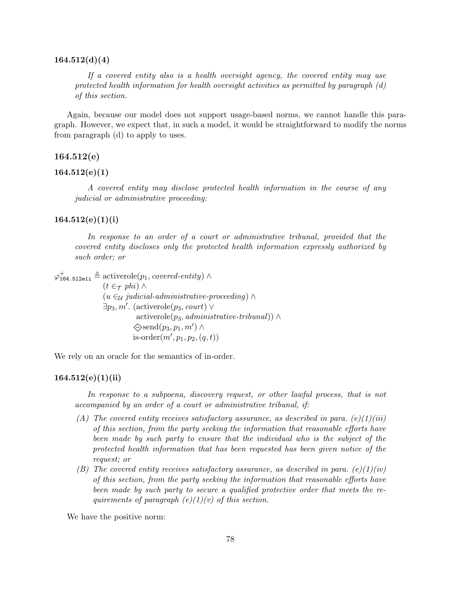#### $164.512(d)(4)$

If a covered entity also is a health oversight agency, the covered entity may use protected health information for health oversight activities as permitted by paragraph  $(d)$ of this section.

Again, because our model does not support usage-based norms, we cannot handle this paragraph. However, we expect that, in such a model, it would be straightforward to modify the norms from paragraph (d) to apply to uses.

# 164.512(e)

#### $164.512(e)(1)$

A covered entity may disclose protected health information in the course of any judicial or administrative proceeding:

# $164.512(e)(1)(i)$

In response to an order of a court or administrative tribunal, provided that the covered entity discloses only the protected health information expressly authorized by such order; or

 $\varphi_{164.512e1i}^{+} \triangleq$  activerole $(p_1, covered\text{-}entity) \wedge$  $(t \in \tau$  phi)  $\wedge$  $(u \in \mathcal{U})$  judicial-administrative-proceeding) ∧  $\exists p_3, m'.$  (activerole $(p_3, court)$ ) activerole( $p_3$ , administrative-tribunal)) ∧  $\diamondsuit$ send $(p_3, p_1, m') \wedge$ is-order $(m', p_1, p_2, (q, t))$ 

We rely on an oracle for the semantics of in-order.

#### $164.512(e)(1)(ii)$

In response to a subpoena, discovery request, or other lawful process, that is not accompanied by an order of a court or administrative tribunal, if:

- (A) The covered entity receives satisfactory assurance, as described in para. (e)(1)(iii) of this section, from the party seeking the information that reasonable efforts have been made by such party to ensure that the individual who is the subject of the protected health information that has been requested has been given notice of the request; or
- (B) The covered entity receives satisfactory assurance, as described in para.  $(e)(1)(iv)$ of this section, from the party seeking the information that reasonable efforts have been made by such party to secure a qualified protective order that meets the requirements of paragraph  $(e)(1)(v)$  of this section.

We have the positive norm: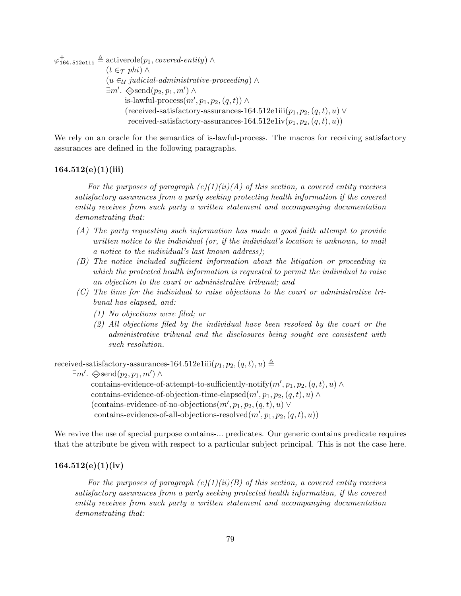$\varphi_{\mathtt{164.512e1ii}}^{+} \triangleq \mathrm{activerole}(p_1, \textit{covered-entity}) \land$  $(t \in \tau$  phi)  $\wedge$  $(u \in_{\mathcal{U}} \textit{judicial-administrative-proceeding}) \wedge$  $\exists m'. \diamondsuit \text{send}(p_2, p_1, m') \land$ is-lawful-process $(m', p_1, p_2, (q, t)) \wedge$ (received-satisfactory-assurances-164.512e1iii $(p_1, p_2, (q, t), u)$   $\vee$ received-satisfactory-assurances-164.512e1iv $(p_1, p_2, (q, t), u)$ 

We rely on an oracle for the semantics of is-lawful-process. The macros for receiving satisfactory assurances are defined in the following paragraphs.

# $164.512(e)(1)(iii)$

For the purposes of paragraph  $(e)(1)(ii)(A)$  of this section, a covered entity receives satisfactory assurances from a party seeking protecting health information if the covered entity receives from such party a written statement and accompanying documentation demonstrating that:

- (A) The party requesting such information has made a good faith attempt to provide written notice to the individual (or, if the individual's location is unknown, to mail a notice to the individual's last known address);
- (B) The notice included sufficient information about the litigation or proceeding in which the protected health information is requested to permit the individual to raise an objection to the court or administrative tribunal; and
- (C) The time for the individual to raise objections to the court or administrative tribunal has elapsed, and:
	- (1) No objections were filed; or
	- (2) All objections filed by the individual have been resolved by the court or the administrative tribunal and the disclosures being sought are consistent with such resolution.

received-satisfactory-assurances-164.512e1iii $(p_1, p_2, (q, t), u) \triangleq$ 

 $\exists m'. \diamondsuit \text{send}(p_2, p_1, m') \land$ contains-evidence-of-attempt-to-sufficiently-notify $(m', p_1, p_2, (q, t), u) \wedge$ contains-evidence-of-objection-time-elapsed $(m', p_1, p_2, (q, t), u) \wedge$ (contains-evidence-of-no-objections $(m', p_1, p_2, (q, t), u)$   $\vee$ contains-evidence-of-all-objections-resolved $(m', p_1, p_2, (q, t), u)$ 

We revive the use of special purpose contains-... predicates. Our generic contains predicate requires that the attribute be given with respect to a particular subject principal. This is not the case here.

#### $164.512(e)(1)(iv)$

For the purposes of paragraph  $(e)(1)(ii)(B)$  of this section, a covered entity receives satisfactory assurances from a party seeking protected health information, if the covered entity receives from such party a written statement and accompanying documentation demonstrating that: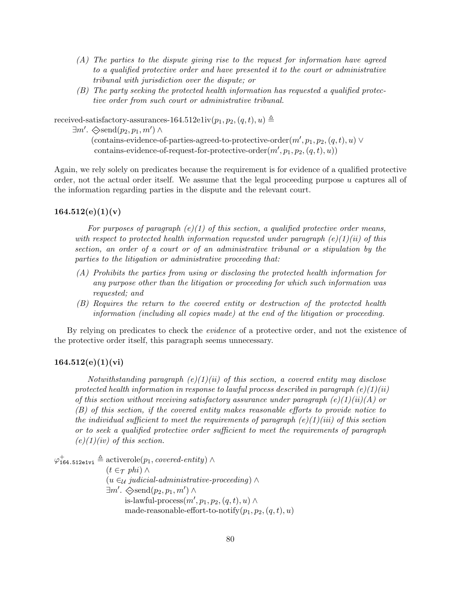- (A) The parties to the dispute giving rise to the request for information have agreed to a qualified protective order and have presented it to the court or administrative tribunal with jurisdiction over the dispute; or
- (B) The party seeking the protected health information has requested a qualified protective order from such court or administrative tribunal.

received-satisfactory-assurances-164.512e1iv $(p_1, p_2, (q, t), u) \triangleq$ 

 $\exists m'. \diamondsuit \text{send}(p_2, p_1, m') \land$ 

(contains-evidence-of-parties-agreed-to-protective-order $(m', p_1, p_2, (q, t), u) \vee$  $\text{contains-evidence-of-request-for-protective-order}(m', p_1, p_2, (q, t), u))$ 

Again, we rely solely on predicates because the requirement is for evidence of a qualified protective order, not the actual order itself. We assume that the legal proceeding purpose  $u$  captures all of the information regarding parties in the dispute and the relevant court.

# $164.512(e)(1)(v)$

For purposes of paragraph  $(e)(1)$  of this section, a qualified protective order means, with respect to protected health information requested under paragraph  $(e)(1)(ii)$  of this section, an order of a court or of an administrative tribunal or a stipulation by the parties to the litigation or administrative proceeding that:

- (A) Prohibits the parties from using or disclosing the protected health information for any purpose other than the litigation or proceeding for which such information was requested; and
- (B) Requires the return to the covered entity or destruction of the protected health information (including all copies made) at the end of the litigation or proceeding.

By relying on predicates to check the *evidence* of a protective order, and not the existence of the protective order itself, this paragraph seems unnecessary.

# $164.512(e)(1)(vi)$

Notwithstanding paragraph  $(e)(1)(ii)$  of this section, a covered entity may disclose protected health information in response to lawful process described in paragraph  $(e)(1)(ii)$ of this section without receiving satisfactory assurance under paragraph  $(e)(1)(ii)(A)$  or (B) of this section, if the covered entity makes reasonable efforts to provide notice to the individual sufficient to meet the requirements of paragraph  $(e)(1)(iii)$  of this section or to seek a qualified protective order sufficient to meet the requirements of paragraph  $(e)(1)(iv)$  of this section.

 $\varphi_{\mathtt{164.512e1vi}}^{+} \triangleq \mathrm{activerole}(p_1, covered\text{-}entity) \wedge$  $(t \in \tau$  phi)  $\wedge$  $(u \in_{\mathcal{U}} \mathit{judicial-dmin}$ istrative-proceeding) ∧  $\exists m'. \diamondsuit \text{send}(p_2, p_1, m') \land$ is-lawful-process $(m', p_1, p_2, (q, t), u) \wedge$ made-reasonable-effort-to-notify $(p_1, p_2, (q, t), u)$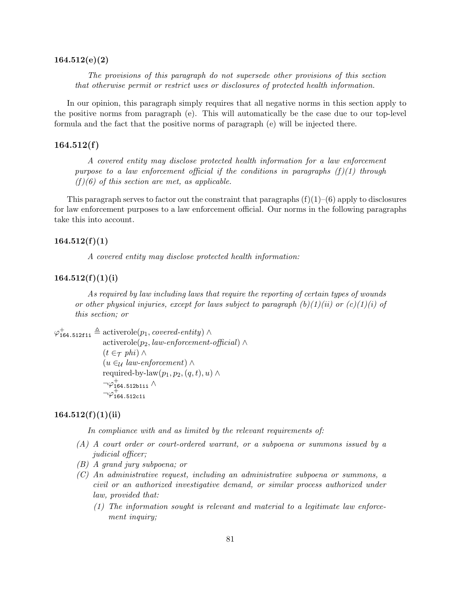#### 164.512(e)(2)

The provisions of this paragraph do not supersede other provisions of this section that otherwise permit or restrict uses or disclosures of protected health information.

In our opinion, this paragraph simply requires that all negative norms in this section apply to the positive norms from paragraph (e). This will automatically be the case due to our top-level formula and the fact that the positive norms of paragraph (e) will be injected there.

## $164.512(f)$

A covered entity may disclose protected health information for a law enforcement purpose to a law enforcement official if the conditions in paragraphs  $(f)(1)$  through  $(f)(6)$  of this section are met, as applicable.

This paragraph serves to factor out the constraint that paragraphs  $(f)(1)$ – $(6)$  apply to disclosures for law enforcement purposes to a law enforcement official. Our norms in the following paragraphs take this into account.

# $164.512(f)(1)$

A covered entity may disclose protected health information:

#### $164.512(f)(1)(i)$

As required by law including laws that require the reporting of certain types of wounds or other physical injuries, except for laws subject to paragraph  $(b)(1)(ii)$  or  $(c)(1)(i)$  of this section; or

```
\varphi_{164.512f1i}^{+} \triangleq activerole(p_1, covered\text{-}entity) \wedge
```

```
activerole(p_2, law-enforcement-official) ∧
(t \in \tau phi) \wedge(u \in_{\mathcal{U}} law\text{-}enforcement) \wedgerequired-by-law(p_1, p_2, (q, t), u) \wedge\neg \varphi_{\texttt{164.512b1ii}}^{+} \land\neg \varphi_{164.512c1i}^{+}
```
## $164.512(f)(1)(ii)$

In compliance with and as limited by the relevant requirements of:

- (A) A court order or court-ordered warrant, or a subpoena or summons issued by a judicial officer;
- (B) A grand jury subpoena; or
- (C) An administrative request, including an administrative subpoena or summons, a civil or an authorized investigative demand, or similar process authorized under law, provided that:
	- (1) The information sought is relevant and material to a legitimate law enforcement inquiry;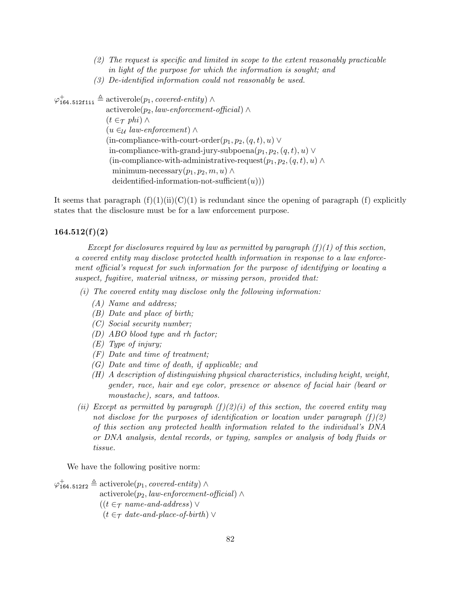- (2) The request is specific and limited in scope to the extent reasonably practicable in light of the purpose for which the information is sought; and
- (3) De-identified information could not reasonably be used.

 $\varphi_{164.512\texttt{f1ii}}^+ \triangleq \text{activerole}(p_1, covered\text{-}entity) \wedge$ activerole( $p_2$ , law-enforcement-official) ∧  $(t \in \tau$  phi)  $\wedge$  $(u \in \mathcal{U} \text{ law-enforcement})$  ∧ (in-compliance-with-court-order $(p_1, p_2, (q, t), u) \vee$ in-compliance-with-grand-jury-subpoena $(p_1, p_2, (q, t), u) \vee$ (in-compliance-with-administrative-request( $p_1, p_2, (q, t), u$ ) ∧ minimum-necessary $(p_1, p_2, m, u) \wedge$ deidentified-information-not-sufficient $(u)$ )

It seems that paragraph  $(f)(1)(ii)(C)(1)$  is redundant since the opening of paragraph (f) explicitly states that the disclosure must be for a law enforcement purpose.

### $164.512(f)(2)$

Except for disclosures required by law as permitted by paragraph  $(f)(1)$  of this section, a covered entity may disclose protected health information in response to a law enforcement official's request for such information for the purpose of identifying or locating a suspect, fugitive, material witness, or missing person, provided that:

- (i) The covered entity may disclose only the following information:
	- (A) Name and address;
	- (B) Date and place of birth;
	- (C) Social security number;
	- (D) ABO blood type and rh factor;
	- (E) Type of injury;
	- (F) Date and time of treatment;
	- (G) Date and time of death, if applicable; and
	- (H) A description of distinguishing physical characteristics, including height, weight, gender, race, hair and eye color, presence or absence of facial hair (beard or moustache), scars, and tattoos.
- (ii) Except as permitted by paragraph  $(f)(2)(i)$  of this section, the covered entity may not disclose for the purposes of identification or location under paragraph  $(f)(2)$ of this section any protected health information related to the individual's DNA or DNA analysis, dental records, or typing, samples or analysis of body fluids or tissue.

We have the following positive norm:

 $\varphi_{164.512f2}^{+} \triangleq$  activerole $(p_1, covered\text{-}entity) \wedge$ activerole( $p_2$ , law-enforcement-official) ∧  $((t \in \tau \text{ name-and-address}) \vee$  $(t \in \tau$  date-and-place-of-birth)  $\vee$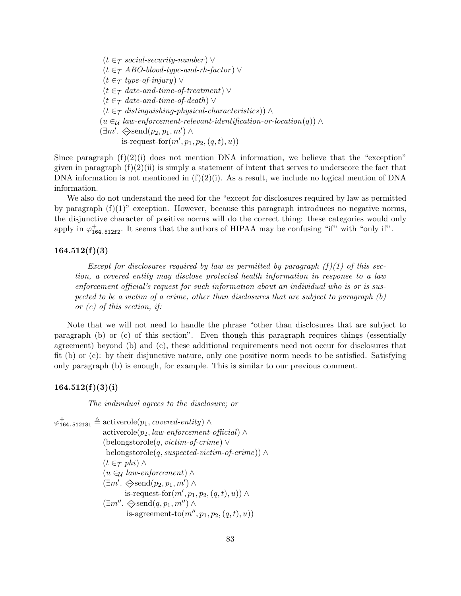$(t \in \tau \text{ social-security-number}) \vee$  $(t \in \tau$  ABO-blood-type-and-rh-factor)  $\vee$  $(t \in \tau$  type-of-injury)  $\vee$  $(t \in \tau$  date-and-time-of-treatment)  $\vee$  $(t \in \tau$  date-and-time-of-death)  $\vee$  $(t \in \tau$  distinguishing-physical-characteristics)) ∧  $(u \in \mathcal{U} \text{ law-enforcement-relevant-identification-or-location}(q))$  $(\exists m'. \diamondsuit \text{send}(p_2, p_1, m') \wedge$ is-request-for $(m', p_1, p_2, (q, t), u))$ 

Since paragraph  $(f)(2)(i)$  does not mention DNA information, we believe that the "exception" given in paragraph  $(f)(2)(ii)$  is simply a statement of intent that serves to underscore the fact that DNA information is not mentioned in  $(f)(2)(i)$ . As a result, we include no logical mention of DNA information.

We also do not understand the need for the "except for disclosures required by law as permitted by paragraph  $(f)(1)$ " exception. However, because this paragraph introduces no negative norms, the disjunctive character of positive norms will do the correct thing: these categories would only apply in  $\varphi_{164.512f2}^+$ . It seems that the authors of HIPAA may be confusing "if" with "only if".

## $164.512(f)(3)$

Except for disclosures required by law as permitted by paragraph  $(f)(1)$  of this section, a covered entity may disclose protected health information in response to a law enforcement official's request for such information about an individual who is or is suspected to be a victim of a crime, other than disclosures that are subject to paragraph  $(b)$ or (c) of this section, if:

Note that we will not need to handle the phrase "other than disclosures that are subject to paragraph (b) or (c) of this section". Even though this paragraph requires things (essentially agreement) beyond (b) and (c), these additional requirements need not occur for disclosures that fit (b) or (c): by their disjunctive nature, only one positive norm needs to be satisfied. Satisfying only paragraph (b) is enough, for example. This is similar to our previous comment.

#### $164.512(f)(3)(i)$

The individual agrees to the disclosure; or

 $\varphi_{164.512f3i}^{+} \triangleq$  activerole $(p_1, covered\text{-}entity) \wedge$ activerole( $p_2$ , law-enforcement-official) ∧ (belongstorole(q, victim-of-crime) ∨ belongstorole(q, suspected-victim-of-crime))  $\wedge$  $(t \in \tau$  phi)  $\wedge$  $(u \in \mathcal{U} law-enforcement) \wedge$  $(\exists m'. \diamondsuit \text{send}(p_2, p_1, m') \wedge$ is-request-for $(m', p_1, p_2, (q, t), u)) \wedge$  $(\exists m'' \ldots \diamondsuit \text{send}(q, p_1, m'') \land$ is-agreement-to $(m'', p_1, p_2, (q, t), u)$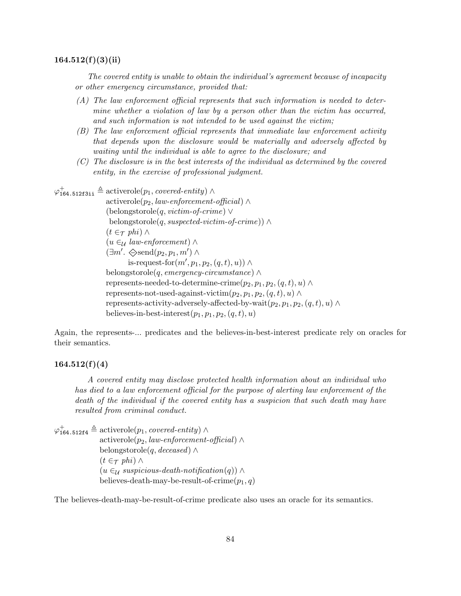#### $164.512(f)(3)(ii)$

The covered entity is unable to obtain the individual's agreement because of incapacity or other emergency circumstance, provided that:

- (A) The law enforcement official represents that such information is needed to determine whether a violation of law by a person other than the victim has occurred, and such information is not intended to be used against the victim;
- (B) The law enforcement official represents that immediate law enforcement activity that depends upon the disclosure would be materially and adversely affected by waiting until the individual is able to agree to the disclosure; and
- (C) The disclosure is in the best interests of the individual as determined by the covered entity, in the exercise of professional judgment.

 $\varphi_{\mathtt{164.512f3ii}}^{+} \triangleq \mathrm{activerole}(p_1, \textit{covered-entity}) \land$ 

activerole( $p_2$ , law-enforcement-official)  $\wedge$ (belongstorole(q, victim-of-crime) ∨ belongstorole(q, suspected-victim-of-crime))  $\wedge$  $(t \in \tau$  phi)  $\wedge$  $(u \in_{\mathcal{U}} \mathit{law-enforcement}) \wedge$  $(\exists m'. \diamondsuit \text{send}(p_2, p_1, m') \wedge$ is-request-for $(m', p_1, p_2, (q, t), u)) \wedge$ belongstorole(q, emergency-circumstance)  $\wedge$ represents-needed-to-determine-crime $(p_2, p_1, p_2, (q, t), u) \wedge$ represents-not-used-against-victim $(p_2, p_1, p_2, (q, t), u) \wedge$ represents-activity-adversely-affected-by-wait $(p_2, p_1, p_2, (q, t), u) \wedge$ believes-in-best-interest $(p_1, p_1, p_2, (q, t), u)$ 

Again, the represents-... predicates and the believes-in-best-interest predicate rely on oracles for their semantics.

# $164.512(f)(4)$

A covered entity may disclose protected health information about an individual who has died to a law enforcement official for the purpose of alerting law enforcement of the death of the individual if the covered entity has a suspicion that such death may have resulted from criminal conduct.

 $\varphi_{164.512\texttt{f4}}^+ \triangleq \text{activerole}(p_1, covered\text{-}entity) \wedge$ activerole( $p_2$ , law-enforcement-official) ∧ belongstorole(q, deceased)  $\wedge$  $(t \in \tau$  phi)  $\wedge$  $(u \in \mathcal{U}$  suspicious-death-notification $(q)$ ) ∧ believes-death-may-be-result-of-crime $(p_1, q)$ 

The believes-death-may-be-result-of-crime predicate also uses an oracle for its semantics.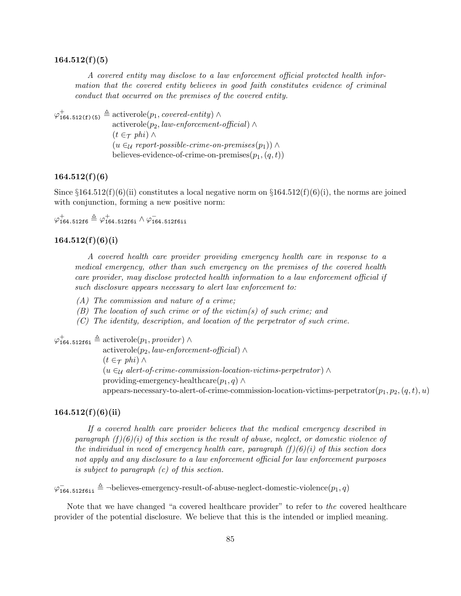#### $164.512(f)(5)$

A covered entity may disclose to a law enforcement official protected health information that the covered entity believes in good faith constitutes evidence of criminal conduct that occurred on the premises of the covered entity.

 $\varphi^+_{164.512(f)(5)} \triangleq$  activerole $(p_1, covered\text{-}entity) \wedge$ activerole( $p_2$ , law-enforcement-official) ∧  $(t \in \tau$  phi) ∧  $(u \in \mathcal{U}$  report-possible-crime-on-premises $(p_1)$ ) ∧ believes-evidence-of-crime-on-premises $(p_1,(q,t))$ 

# $164.512(f)(6)$

Since  $\S 164.512(f)(6)(ii)$  constitutes a local negative norm on  $\S 164.512(f)(6)(i)$ , the norms are joined with conjunction, forming a new positive norm:

 $\varphi_{\mathtt{164.512f6}}^{+} \triangleq \varphi_{\mathtt{164.512f6i}}^{+} \wedge \varphi_{\mathtt{164.512f6ii}}^{-}$ 

# $164.512(f)(6)(i)$

A covered health care provider providing emergency health care in response to a medical emergency, other than such emergency on the premises of the covered health care provider, may disclose protected health information to a law enforcement official if such disclosure appears necessary to alert law enforcement to:

(A) The commission and nature of a crime;

- (B) The location of such crime or of the victim(s) of such crime; and
- (C) The identity, description, and location of the perpetrator of such crime.

 $\varphi_{164.51216i}^{+} \triangleq$  activerole $(p_1, \text{provider})$   $\wedge$ 

activerole( $p_2$ , law-enforcement-official) ∧  $(t \in \tau$  phi)  $\wedge$  $(u \in \mathcal{U}$  alert-of-crime-commission-location-victims-perpetrator)  $\wedge$ providing-emergency-healthcare $(p_1, q) \wedge$ appears-necessary-to-alert-of-crime-commission-location-victims-perpetrator $(p_1, p_2, (q, t), u)$ 

# $164.512(f)(6)(ii)$

If a covered health care provider believes that the medical emergency described in paragraph  $(f)(6)(i)$  of this section is the result of abuse, neglect, or domestic violence of the individual in need of emergency health care, paragraph  $(f)(\theta)(i)$  of this section does not apply and any disclosure to a law enforcement official for law enforcement purposes is subject to paragraph (c) of this section.

 $\varphi$ <sub>164.512f6ii</sub>  $\triangleq$  ¬believes-emergency-result-of-abuse-neglect-domestic-violence $(p_1, q)$ 

Note that we have changed "a covered healthcare provider" to refer to the covered healthcare provider of the potential disclosure. We believe that this is the intended or implied meaning.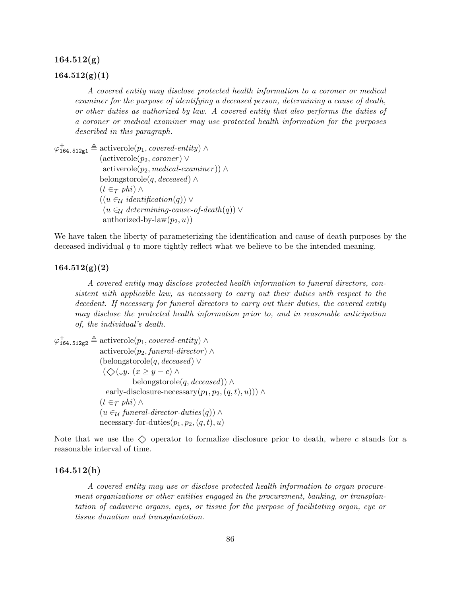#### $164.512(g)$

# $164.512(g)(1)$

A covered entity may disclose protected health information to a coroner or medical examiner for the purpose of identifying a deceased person, determining a cause of death, or other duties as authorized by law. A covered entity that also performs the duties of a coroner or medical examiner may use protected health information for the purposes described in this paragraph.

 $\varphi_{164.512g1}^{+} \triangleq$  activerole $(p_1, covered\text{-}entity) \wedge$  $(\text{activerole}(p_2, \text{corner}) \vee$  $\text{activerole}(p_2, \text{ medical-examiner})\ \wedge$ belongstorole(q, deceased)  $\wedge$  $(t \in \tau$  phi)  $\wedge$  $((u \in_{\mathcal{U}} \text{identification}(q)) \vee$  $(u \in_{\mathcal{U}} \text{determining-}cause-of-death(q))$  ∨ authorized-by-law $(p_2, u)$ 

We have taken the liberty of parameterizing the identification and cause of death purposes by the deceased individual  $q$  to more tightly reflect what we believe to be the intended meaning.

#### $164.512(g)(2)$

A covered entity may disclose protected health information to funeral directors, consistent with applicable law, as necessary to carry out their duties with respect to the decedent. If necessary for funeral directors to carry out their duties, the covered entity may disclose the protected health information prior to, and in reasonable anticipation of, the individual's death.

 $\varphi_{164.512g2}^{+} \triangleq$  activerole $(p_1, covered\text{-}entity)$   $\wedge$  $\text{activerole}(p_2, {\text{functional}}\text{-}director) \wedge$ (belongstorole(q, deceased) ∨  $(\diamondsuit(\downarrow y. (x \geq y - c) \wedge$ belongstorole(q, deceased))  $\wedge$ early-disclosure-necessary $(p_1, p_2, (q, t), u))$ ) ∧  $(t \in \tau$  phi)  $\wedge$  $(u \in_{\mathcal{U}} \text{funeral-direction-duties}(q)) \wedge$ necessary-for-duties $(p_1, p_2, (q, t), u)$ 

Note that we use the  $\Diamond$  operator to formalize disclosure prior to death, where c stands for a reasonable interval of time.

#### 164.512(h)

A covered entity may use or disclose protected health information to organ procurement organizations or other entities engaged in the procurement, banking, or transplantation of cadaveric organs, eyes, or tissue for the purpose of facilitating organ, eye or tissue donation and transplantation.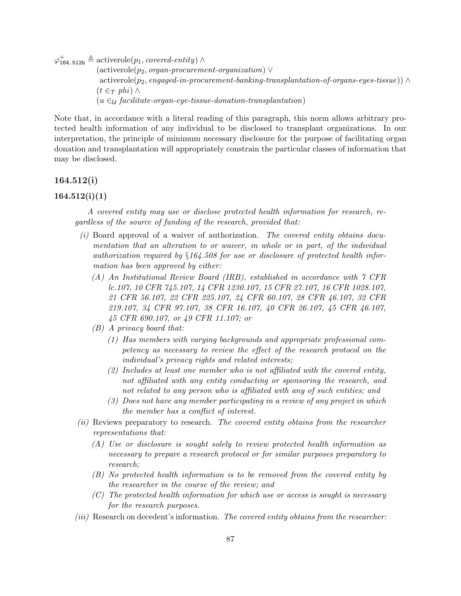$\varphi_{164.512h}^{+} \triangleq$  activerole $(p_1, covered\text{-}entity) \wedge$  $(\text{activerole}(p_2, organ-procurrent-organization) \vee$  $activerole(p_2, engaged-in-procurrent-banking-transplantation-of-organs-eyes-tissue)) \wedge$  $(t \in \tau$  phi)  $\wedge$  $(u \in \mathcal{U}$  facilitate-organ-eye-tissue-donation-transplantation)

Note that, in accordance with a literal reading of this paragraph, this norm allows arbitrary protected health information of any individual to be disclosed to transplant organizations. In our interpretation, the principle of minimum necessary disclosure for the purpose of facilitating organ donation and transplantation will appropriately constrain the particular classes of information that may be disclosed.

#### 164.512(i)

# $164.512(i)(1)$

A covered entity may use or disclose protected health information for research, regardless of the source of funding of the research, provided that:

- $(i)$  Board approval of a waiver of authorization. The covered entity obtains documentation that an alteration to or waiver, in whole or in part, of the individual authorization required by §164.508 for use or disclosure of protected health information has been approved by either:
	- (A) An Institutional Review Board (IRB), established in accordance with 7 CFR lc.107, 10 CFR 745.107, 14 CFR 1230.107, 15 CFR 27.107, 16 CFR 1028.107, 21 CFR 56.107, 22 CFR 225.107, 24 CFR 60.107, 28 CFR 46.107, 32 CFR 219.107, 34 CFR 97.107, 38 CFR 16.107, 40 CFR 26.107, 45 CFR 46.107, 45 CFR 690.107, or 49 CFR 11.107; or
	- (B) A privacy board that:
		- (1) Has members with varying backgrounds and appropriate professional competency as necessary to review the effect of the research protocol on the individual's privacy rights and related interests;
		- (2) Includes at least one member who is not affiliated with the covered entity, not affiliated with any entity conducting or sponsoring the research, and not related to any person who is affiliated with any of such entities; and
		- (3) Does not have any member participating in a review of any project in which the member has a conflict of interest.
- (ii) Reviews preparatory to research. The covered entity obtains from the researcher representations that:
	- (A) Use or disclosure is sought solely to review protected health information as necessary to prepare a research protocol or for similar purposes preparatory to research;
	- (B) No protected health information is to be removed from the covered entity by the researcher in the course of the review; and
	- (C) The protected health information for which use or access is sought is necessary for the research purposes.
- (iii) Research on decedent's information. The covered entity obtains from the researcher: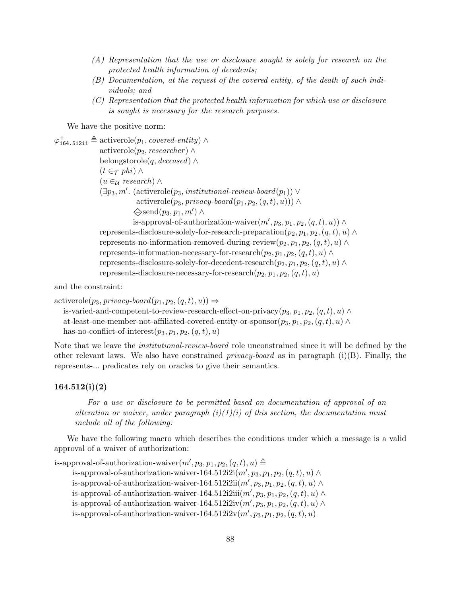- (A) Representation that the use or disclosure sought is solely for research on the protected health information of decedents;
- (B) Documentation, at the request of the covered entity, of the death of such individuals; and
- (C) Representation that the protected health information for which use or disclosure is sought is necessary for the research purposes.

We have the positive norm:

 $\varphi_{164.512 \text{ i}1}^{\text{+}} \triangleq \text{activerole}(p_1, covered\text{-}entity) \land$ activerole( $p_2$ , researcher) ∧ belongstorole(q, deceased)  $\wedge$  $(t \in \tau$  phi)  $\wedge$  $(u \in_{\mathcal{U}} \mathit{research}) \wedge$  $(\exists p_3, m'.$  (activerole $(p_3,$  institutional-review-board $(p_1)) \vee$ activerole( $p_3$ , privacy-board( $p_1, p_2, (q, t), u$ ))) ∧  $\diamondsuit$ send $(p_3, p_1, m') \wedge$ is-approval-of-authorization-waiver $(m', p_3, p_1, p_2, (q, t), u)) \wedge$ represents-disclosure-solely-for-research-preparation $(p_2, p_1, p_2, (q, t), u) \wedge$ represents-no-information-removed-during-review $(p_2, p_1, p_2, (q, t), u) \wedge$ represents-information-necessary-for-research $(p_2, p_1, p_2, (q, t), u) \wedge$ represents-disclosure-solely-for-decedent-research $(p_2, p_1, p_2, (q, t), u) \wedge$ represents-disclosure-necessary-for-research $(p_2, p_1, p_2, (q, t), u)$ 

and the constraint:

```
\text{activerole}(p_3, \text{ privacy-board}(p_1, p_2, (q, t), u)) \Rightarrowis-varied-and-competent-to-review-research-effect-on-privacy(p_3, p_1, p_2, (q, t), u) \wedge
```

```
at-least-one-member-not-affiliated-covered-entity-or-sponsor(p_3, p_1, p_2, (q, t), u) \wedgehas-no-conflict-of-interest(p_3, p_1, p_2, (q, t), u)
```
Note that we leave the institutional-review-board role unconstrained since it will be defined by the other relevant laws. We also have constrained *privacy-board* as in paragraph (i)(B). Finally, the represents-... predicates rely on oracles to give their semantics.

## 164.512(i)(2)

For a use or disclosure to be permitted based on documentation of approval of an alteration or waiver, under paragraph  $(i)(1)(i)$  of this section, the documentation must include all of the following:

We have the following macro which describes the conditions under which a message is a valid approval of a waiver of authorization:

is-approval-of-authorization-waiver $(m', p_3, p_1, p_2, (q, t), u) \triangleq$ is-approval-of-authorization-waiver-164.512i2i $(m', p_3, p_1, p_2, (q, t), u) \wedge$ is-approval-of-authorization-waiver-164.512i2ii $(m', p_3, p_1, p_2, (q, t), u) \wedge$ is-approval-of-authorization-waiver-164.512i2iii $(m', p_3, p_1, p_2, (q, t), u) \wedge$ is-approval-of-authorization-waiver-164.512i2iv $(m', p_3, p_1, p_2, (q, t), u) \wedge$ is-approval-of-authorization-waiver- $164.512\mathrm{i}2\mathrm{v}(m', p_3, p_1, p_2, (q, t), u)$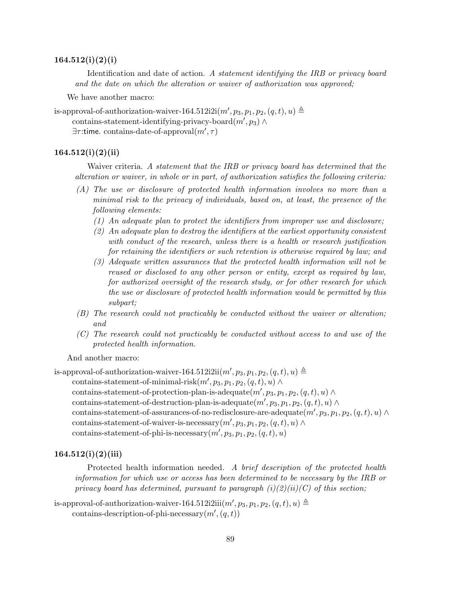#### $164.512(i)(2)(i)$

Identification and date of action. A statement identifying the IRB or privacy board and the date on which the alteration or waiver of authorization was approved;

We have another macro:

is-approval-of-authorization-waiver-164.512i2i $(m', p_3, p_1, p_2, (q, t), u) \triangleq$ 

contains-statement-identifying-privacy-board $(m', p_3) \wedge$ 

 $\exists \tau :$ time. contains-date-of-approval $(m', \tau)$ 

# $164.512(i)(2)(ii)$

Waiver criteria. A statement that the IRB or privacy board has determined that the alteration or waiver, in whole or in part, of authorization satisfies the following criteria:

- (A) The use or disclosure of protected health information involves no more than a minimal risk to the privacy of individuals, based on, at least, the presence of the following elements:
	- (1) An adequate plan to protect the identifiers from improper use and disclosure;
	- (2) An adequate plan to destroy the identifiers at the earliest opportunity consistent with conduct of the research, unless there is a health or research justification for retaining the identifiers or such retention is otherwise required by law; and
	- (3) Adequate written assurances that the protected health information will not be reused or disclosed to any other person or entity, except as required by law, for authorized oversight of the research study, or for other research for which the use or disclosure of protected health information would be permitted by this subpart;
- (B) The research could not practicably be conducted without the waiver or alteration; and
- (C) The research could not practicably be conducted without access to and use of the protected health information.

And another macro:

is-approval-of-authorization-waiver-164.512i2ii $(m', p_3, p_1, p_2, (q, t), u) \triangleq$ 

contains-statement-of-minimal-risk $(m', p_3, p_1, p_2, (q, t), u) \wedge$ 

contains-statement-of-protection-plan-is-adequate $(m', p_3, p_1, p_2, (q, t), u) \wedge$ 

contains-statement-of-destruction-plan-is-adequate $(m', p_3, p_1, p_2, (q, t), u) \wedge$ 

contains-statement-of-assurances-of-no-redisclosure-are-adequate $(m', p_3, p_1, p_2, (q, t), u) \wedge$ contains-statement-of-waiver-is-necessary $(m', p_3, p_1, p_2, (q, t), u) \wedge$ 

contains-statement-of-phi-is-necessary $(m', p_3, p_1, p_2, (q, t), u)$ 

#### $164.512(i)(2)(iii)$

Protected health information needed. A brief description of the protected health information for which use or access has been determined to be necessary by the IRB or privacy board has determined, pursuant to paragraph  $(i)(2)(ii)(C)$  of this section;

is-approval-of-authorization-waiver-164.512i2iii $(m', p_3, p_1, p_2, (q, t), u) \triangleq$ contains-description-of-phi-necessary $(m', (q, t))$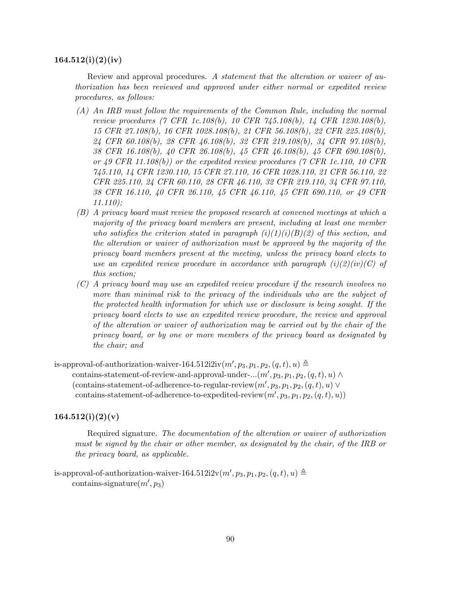#### $164.512(i)(2)(iv)$

Review and approval procedures. A statement that the alteration or waiver of authorization has been reviewed and approved under either normal or expedited review procedures, as follows:

- (A) An IRB must follow the requirements of the Common Rule, including the normal review procedures (7 CFR 1c.108(b), 10 CFR 745.108(b), 14 CFR 1230.108(b), 15 CFR 27.108(b), 16 CFR 1028.108(b), 21 CFR 56.108(b), 22 CFR 225.108(b), 24 CFR 60.108(b), 28 CFR 46.108(b), 32 CFR 219.108(b), 34 CFR 97.108(b), 38 CFR 16.108(b), 40 CFR 26.108(b), 45 CFR 46.108(b), 45 CFR 690.108(b), or 49 CFR 11.108(b)) or the expedited review procedures (7 CFR 1c.110, 10 CFR 745.110, 14 CFR 1230.110, 15 CFR 27.110, 16 CFR 1028.110, 21 CFR 56.110, 22 CFR 225.110, 24 CFR 60.110, 28 CFR 46.110, 32 CFR 219.110, 34 CFR 97.110, 38 CFR 16.110, 40 CFR 26.110, 45 CFR 46.110, 45 CFR 690.110, or 49 CFR 11.110);
- (B) A privacy board must review the proposed research at convened meetings at which a majority of the privacy board members are present, including at least one member who satisfies the criterion stated in paragraph  $(i)(1)(i)(B)(2)$  of this section, and the alteration or waiver of authorization must be approved by the majority of the privacy board members present at the meeting, unless the privacy board elects to use an expedited review procedure in accordance with paragraph  $(i)(2)(iv)(C)$  of this section;
- (C) A privacy board may use an expedited review procedure if the research involves no more than minimal risk to the privacy of the individuals who are the subject of the protected health information for which use or disclosure is being sought. If the privacy board elects to use an expedited review procedure, the review and approval of the alteration or waiver of authorization may be carried out by the chair of the privacy board, or by one or more members of the privacy board as designated by the chair; and

is-approval-of-authorization-waiver-164.512i2iv $(m', p_3, p_1, p_2, (q, t), u) \triangleq$ contains-statement-of-review-and-approval-under- $...(m', p_3, p_1, p_2, (q, t), u) \wedge$ (contains-statement-of-adherence-to-regular-review $(m', p_3, p_1, p_2, (q, t), u) \vee$  $\text{contains-state}$  meth-of-adherence-to-expedited-review $(m', p_3, p_1, p_2, (q, t), u)$ 

#### $164.512(i)(2)(v)$

Required signature. The documentation of the alteration or waiver of authorization must be signed by the chair or other member, as designated by the chair, of the IRB or the privacy board, as applicable.

is-approval-of-authorization-waiver-164.512i2v $(m', p_3, p_1, p_2, (q, t), u) \triangleq$  $contains\text{-}signature(m', p_3)$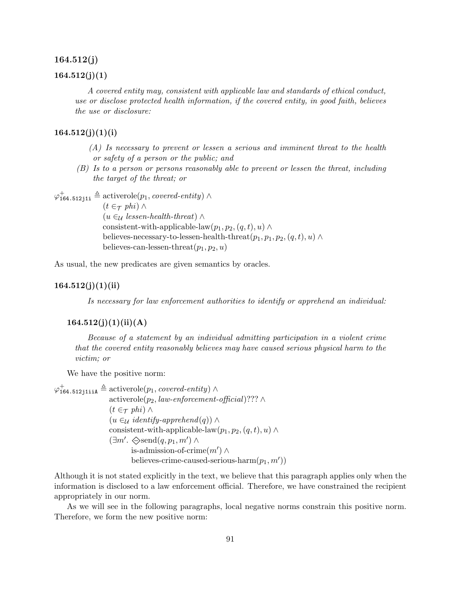#### 164.512(j)

#### $164.512(j)(1)$

A covered entity may, consistent with applicable law and standards of ethical conduct, use or disclose protected health information, if the covered entity, in good faith, believes the use or disclosure:

# $164.512(j)(1)(i)$

- (A) Is necessary to prevent or lessen a serious and imminent threat to the health or safety of a person or the public; and
- (B) Is to a person or persons reasonably able to prevent or lessen the threat, including the target of the threat; or

 $\varphi_{164.512j11}^{+} \triangleq$  activerole $(p_1, \textit{covered-entity}) \wedge$ 

 $(t \in \tau$  phi)  $\wedge$  $(u \in \mathcal{U} \text{ lessen-health-thread}) \wedge$ consistent-with-applicable-law $(p_1, p_2, (q, t), u) \wedge$ believes-necessary-to-lessen-health-threat $(p_1, p_1, p_2, (q, t), u) \wedge$ believes-can-lessen-threat $(p_1, p_2, u)$ 

As usual, the new predicates are given semantics by oracles.

### $164.512(j)(1)(ii)$

Is necessary for law enforcement authorities to identify or apprehend an individual:

# $164.512(j)(1)(ii)(A)$

Because of a statement by an individual admitting participation in a violent crime that the covered entity reasonably believes may have caused serious physical harm to the victim; or

We have the positive norm:

 $\varphi^+_{164.512 \text{j}111} \triangleq \text{activerole}(p_1, covered\text{-}entity) \wedge$ activerole( $p_2$ , law-enforcement-official)??? ∧  $(t \in \tau$  phi) ∧  $(u \in \mathcal{U} \text{ identity-}append(q)) \wedge$ consistent-with-applicable-law $(p_1, p_2, (q, t), u) \wedge$  $(\exists m'. \diamondsuit \text{send}(q, p_1, m') \land$ is-admission-of-crime $(m') \wedge$ believes-crime-caused-serious-harm $(p_1, m')$ 

Although it is not stated explicitly in the text, we believe that this paragraph applies only when the information is disclosed to a law enforcement official. Therefore, we have constrained the recipient appropriately in our norm.

As we will see in the following paragraphs, local negative norms constrain this positive norm. Therefore, we form the new positive norm: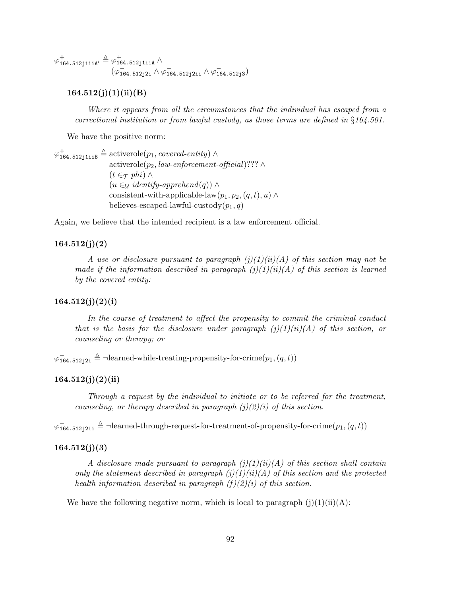$\varphi_{\texttt{164.512j1iiA}^{\texttt{+}}}\triangleq \varphi_{\texttt{164.512j1iiA}}^{+}\wedge$  $(\varphi^-_{164.512j2i}$  ∧  $\varphi^-_{164.512j2i}$  ∧  $\varphi^-_{164.512j3})$ 

# $164.512(j)(1)(ii)(B)$

Where it appears from all the circumstances that the individual has escaped from a correctional institution or from lawful custody, as those terms are defined in §164.501.

We have the positive norm:

 $\varphi^+_{\texttt{164.512j1iiB}} \triangleq \text{activerole}(p_1, covered\text{-}entity) \wedge$ activerole( $p_2$ , law-enforcement-official)??? ∧  $(t \in \tau$  phi)  $\wedge$  $(u \in_{\mathcal{U}} \text{identity-}append(q)) \wedge$ consistent-with-applicable-law $(p_1, p_2, (q, t), u) \wedge$ believes-escaped-lawful-custody $(p_1, q)$ 

Again, we believe that the intended recipient is a law enforcement official.

# 164.512(j)(2)

A use or disclosure pursuant to paragraph  $(j)(1)(ii)(A)$  of this section may not be made if the information described in paragraph  $(j)(1)(ii)(A)$  of this section is learned by the covered entity:

# 164.512(j)(2)(i)

In the course of treatment to affect the propensity to commit the criminal conduct that is the basis for the disclosure under paragraph  $(j)(1)(ii)(A)$  of this section, or counseling or therapy; or

 $\varphi_{164.512j2i} \triangleq \neg$ learned-while-treating-propensity-for-crime $(p_1,(q,t))$ 

#### $164.512(j)(2)(ii)$

Through a request by the individual to initiate or to be referred for the treatment, counseling, or therapy described in paragraph  $(i)(2)(i)$  of this section.

 $\varphi_{164.512j21i}^{-} \triangleq$  -learned-through-request-for-treatment-of-propensity-for-crime $(p_1,(q,t))$ 

#### $164.512(j)(3)$

A disclosure made pursuant to paragraph  $(j)(1)(ii)(A)$  of this section shall contain only the statement described in paragraph  $(j)(1)(ii)(A)$  of this section and the protected health information described in paragraph  $(f)(2)(i)$  of this section.

We have the following negative norm, which is local to paragraph  $(i)(1)(ii)(A)$ :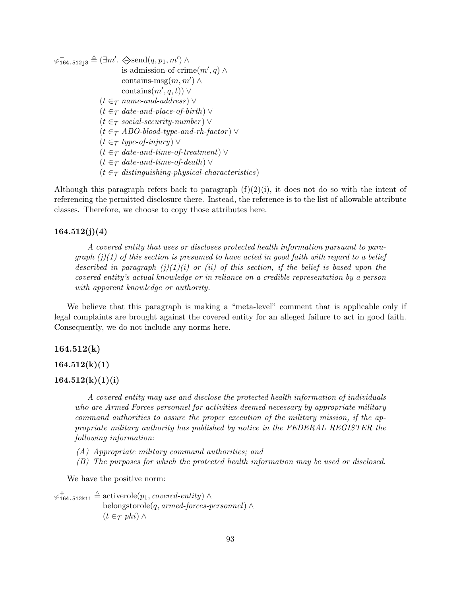$\varphi^-_{164.512j3} \triangleq (\exists m'. \diamondsuit \text{send}(q, p_1, m') \land$ is-admission-of-crime $(m', q) \wedge$ contains- $\text{msg}(m, m') \wedge$ contains $(m', q, t)$ ) ∨  $(t \in \tau$  name-and-address)  $\vee$  $(t \in \tau$  date-and-place-of-birth)  $\vee$  $(t \in \tau \text{ social-}security-number)$   $\vee$  $(t \in \tau$  ABO-blood-type-and-rh-factor)  $\vee$  $(t \in \tau$  type-of-injury)  $\vee$  $(t \in \tau$  date-and-time-of-treatment)  $\vee$  $(t \in \tau$  date-and-time-of-death)  $\vee$  $(t \in \tau$  distinguishing-physical-characteristics)

Although this paragraph refers back to paragraph  $(f)(2)(i)$ , it does not do so with the intent of referencing the permitted disclosure there. Instead, the reference is to the list of allowable attribute classes. Therefore, we choose to copy those attributes here.

# $164.512(j)(4)$

A covered entity that uses or discloses protected health information pursuant to paragraph  $(j)(1)$  of this section is presumed to have acted in good faith with regard to a belief described in paragraph  $(j)(1)(i)$  or  $(ii)$  of this section, if the belief is based upon the covered entity's actual knowledge or in reliance on a credible representation by a person with apparent knowledge or authority.

We believe that this paragraph is making a "meta-level" comment that is applicable only if legal complaints are brought against the covered entity for an alleged failure to act in good faith. Consequently, we do not include any norms here.

### $164.512(k)$

 $164.512(k)(1)$ 

## $164.512(k)(1)(i)$

A covered entity may use and disclose the protected health information of individuals who are Armed Forces personnel for activities deemed necessary by appropriate military command authorities to assure the proper execution of the military mission, if the appropriate military authority has published by notice in the FEDERAL REGISTER the following information:

- (A) Appropriate military command authorities; and
- (B) The purposes for which the protected health information may be used or disclosed.

We have the positive norm:

 $\varphi_{164.512k1i}^{+} \triangleq$  activerole $(p_1, covered\text{-}entity) \wedge$ belongstorole(q, armed-forces-personnel)  $\wedge$  $(t \in \tau$  phi)  $\wedge$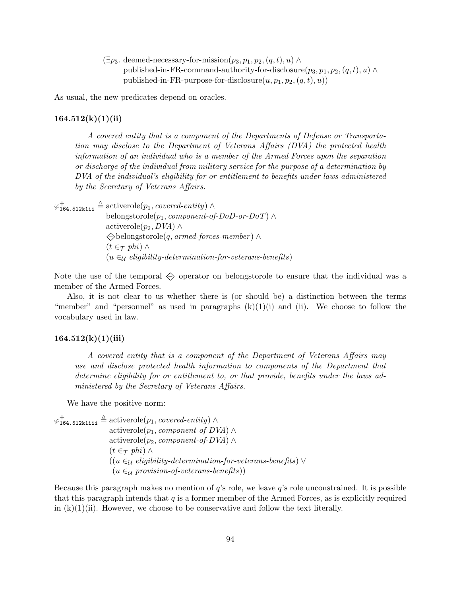$(\exists p_3.$  deemed-necessary-for-mission $(p_3, p_1, p_2, (q, t), u) \wedge$ published-in-FR-command-authority-for-disclosure $(p_3, p_1, p_2, (q, t), u) \wedge$ published-in-FR-purpose-for-disclosure $(u, p_1, p_2, (q, t), u)$ 

As usual, the new predicates depend on oracles.

#### $164.512(k)(1)(ii)$

A covered entity that is a component of the Departments of Defense or Transportation may disclose to the Department of Veterans Affairs (DVA) the protected health information of an individual who is a member of the Armed Forces upon the separation or discharge of the individual from military service for the purpose of a determination by DVA of the individual's eligibility for or entitlement to benefits under laws administered by the Secretary of Veterans Affairs.

 $\varphi_{164.512k1ii}^{+} \triangleq$  activerole $(p_1, covered\text{-}entity) \wedge$ belongstorole( $p_1$ , *component-of-DoD-or-DoT*) ∧ activerole $(p_2, DVA)$  ∧  $\Diamond$ belongstorole(q, armed-forces-member)  $\land$  $(t \in \tau$  phi)  $\wedge$  $(u \in \mathcal{U})$  eligibility-determination-for-veterans-benefits)

Note the use of the temporal  $\Diamond$  operator on belongstorole to ensure that the individual was a member of the Armed Forces.

Also, it is not clear to us whether there is (or should be) a distinction between the terms "member" and "personnel" as used in paragraphs  $(k)(1)(i)$  and (ii). We choose to follow the vocabulary used in law.

# $164.512(k)(1)(iii)$

A covered entity that is a component of the Department of Veterans Affairs may use and disclose protected health information to components of the Department that determine eligibility for or entitlement to, or that provide, benefits under the laws administered by the Secretary of Veterans Affairs.

We have the positive norm:

 $\varphi_{164.512k1111}^{+} \triangleq$  activerole $(p_1, covered\text{-}entity) \wedge$ activerole( $p_1$ , *component-of-DVA*) ∧ activerole( $p_2$ , *component-of-DVA*) ∧  $(t \in \tau$  phi) ∧  $((u \in_{\mathcal{U}} \mathit{eligibility-determination-for-veterns-benefits}) \vee$  $(u \in \mathcal{U} \text{ provision-of-veterans-benefits})$ 

Because this paragraph makes no mention of q's role, we leave q's role unconstrained. It is possible that this paragraph intends that  $q$  is a former member of the Armed Forces, as is explicitly required in  $(k)(1)(ii)$ . However, we choose to be conservative and follow the text literally.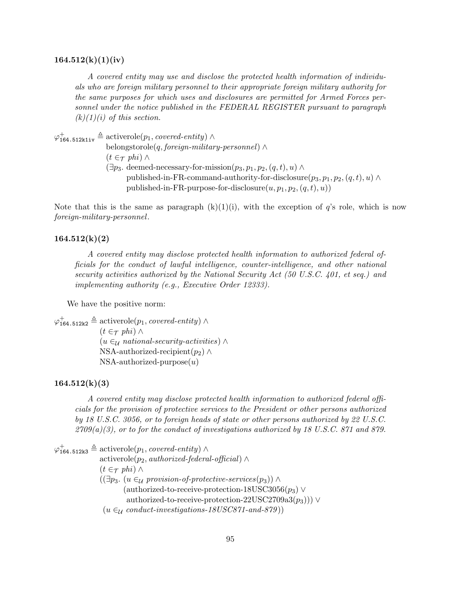#### $164.512(k)(1)(iv)$

A covered entity may use and disclose the protected health information of individuals who are foreign military personnel to their appropriate foreign military authority for the same purposes for which uses and disclosures are permitted for Armed Forces personnel under the notice published in the FEDERAL REGISTER pursuant to paragraph  $(k)(1)(i)$  of this section.

 $\varphi_{164.512k1iv}^{+} \triangleq$  activerole $(p_1, covered\text{-}entity) \wedge$ 

belongstorole(q, foreign-military-personnel)  $\wedge$  $(t \in \tau$  phi)  $\wedge$  $(\exists p_3.$  deemed-necessary-for-mission $(p_3, p_1, p_2, (q, t), u) \wedge$ published-in-FR-command-authority-for-disclosure $(p_3, p_1, p_2, (q, t), u) \wedge$ published-in-FR-purpose-for-disclosure $(u, p_1, p_2, (q, t), u)$ 

Note that this is the same as paragraph  $(k)(1)(i)$ , with the exception of q's role, which is now foreign-military-personnel.

#### $164.512(k)(2)$

A covered entity may disclose protected health information to authorized federal officials for the conduct of lawful intelligence, counter-intelligence, and other national security activities authorized by the National Security Act (50 U.S.C. 401, et seq.) and implementing authority (e.g., Executive Order 12333).

We have the positive norm:

 $\varphi_{164.512k2}^{+} \triangleq$  activerole $(p_1, covered\text{-}entity) \wedge$  $(t \in \tau$  phi)  $\wedge$  $(u \in \mathcal{U}$  national-security-activities) ∧ NSA-authorized-recipient $(p_2) \wedge$  $NSA$ -authorized-purpose $(u)$ 

#### $164.512(k)(3)$

A covered entity may disclose protected health information to authorized federal officials for the provision of protective services to the President or other persons authorized by 18 U.S.C. 3056, or to foreign heads of state or other persons authorized by 22 U.S.C.  $2709(a)(3)$ , or to for the conduct of investigations authorized by 18 U.S.C. 871 and 879.

 $\varphi_{164.512k3}^{+} \triangleq$  activerole $(p_1, covered\text{-}entity)$   $\wedge$ activerole( $p_2$ , authorized-federal-official) ∧  $(t \in \tau$  phi)  $\wedge$  $((\exists p_3. (u \in \mathcal{U} provision-of-protective-service (p_3))) \wedge$ (authorized-to-receive-protection-18USC3056 $(p_3)$ ) authorized-to-receive-protection-22USC2709a3 $(p_3)$ ) $\vee$  $(u \in_{\mathcal{U}} \text{conduct-investigations-18USC871-and-879})$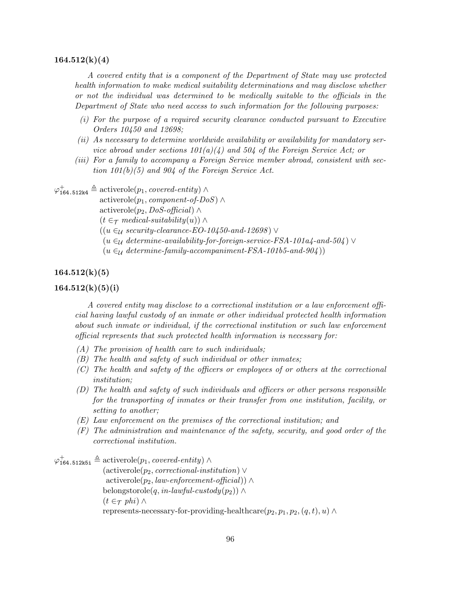#### $164.512(k)(4)$

A covered entity that is a component of the Department of State may use protected health information to make medical suitability determinations and may disclose whether or not the individual was determined to be medically suitable to the officials in the Department of State who need access to such information for the following purposes:

- (i) For the purpose of a required security clearance conducted pursuant to Executive Orders 10450 and 12698;
- (ii) As necessary to determine worldwide availability or availability for mandatory service abroad under sections  $101(a)/4$  and  $504$  of the Foreign Service Act; or
- (iii) For a family to accompany a Foreign Service member abroad, consistent with section  $101(b)(5)$  and  $904$  of the Foreign Service Act.

 $\varphi_{164.512k4}^{+} \triangleq$  activerole $(p_1, covered\text{-}entity) \wedge$ 

activerole( $p_1$ , *component-of-DoS*) ∧

activerole( $p_2$ , DoS-official) ∧

 $(t \in \tau$  medical-suitability $(u)$ ) ∧

 $((u \in \mathcal{U} \text{ security-}cleanance-EO-10450-and-12698) \vee$ 

- $(u \in \mathcal{U} \text{ determine-availability-for-foreign-service-FSA-101a4-and-504})$
- $(u \in_{\mathcal{U}} \text{ determine-family-accompaniment-FSA-101b5-and-904}))$

# $164.512(k)(5)$

## $164.512(k)(5)(i)$

A covered entity may disclose to a correctional institution or a law enforcement official having lawful custody of an inmate or other individual protected health information about such inmate or individual, if the correctional institution or such law enforcement official represents that such protected health information is necessary for:

- (A) The provision of health care to such individuals;
- (B) The health and safety of such individual or other inmates;
- (C) The health and safety of the officers or employees of or others at the correctional institution;
- (D) The health and safety of such individuals and officers or other persons responsible for the transporting of inmates or their transfer from one institution, facility, or setting to another;
- (E) Law enforcement on the premises of the correctional institution; and
- (F) The administration and maintenance of the safety, security, and good order of the correctional institution.

 $\varphi_{164.512k5i}^{+} \triangleq$  activerole $(p_1, covered\text{-}entity) \wedge$ 

 $(\text{activerole}(p_2, \text{correctional-institution}) \vee$  $activerole(p_2, law-enforcement-official)) \wedge$ belongstorole(q, in-lawful-custody(p<sub>2</sub>)) ∧  $(t \in \tau$  phi)  $\wedge$ represents-necessary-for-providing-healthcare $(p_2, p_1, p_2, (q, t), u) \wedge$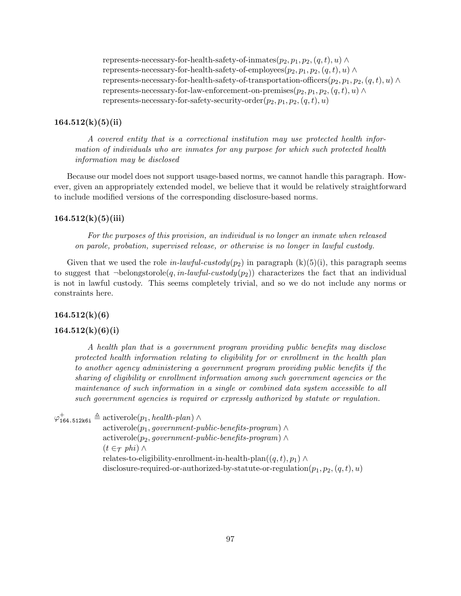represents-necessary-for-health-safety-of-inmates $(p_2, p_1, p_2, (q, t), u) \wedge$ represents-necessary-for-health-safety-of-employees $(p_2, p_1, p_2, (q, t), u) \wedge$ represents-necessary-for-health-safety-of-transportation-officers $(p_2, p_1, p_2, (q, t), u) \wedge$ represents-necessary-for-law-enforcement-on-premises $(p_2, p_1, p_2, (q, t), u) \wedge$ represents-necessary-for-safety-security-order $(p_2, p_1, p_2, (q, t), u)$ 

# $164.512(k)(5)(ii)$

A covered entity that is a correctional institution may use protected health information of individuals who are inmates for any purpose for which such protected health information may be disclosed

Because our model does not support usage-based norms, we cannot handle this paragraph. However, given an appropriately extended model, we believe that it would be relatively straightforward to include modified versions of the corresponding disclosure-based norms.

# $164.512(k)(5)(iii)$

For the purposes of this provision, an individual is no longer an inmate when released on parole, probation, supervised release, or otherwise is no longer in lawful custody.

Given that we used the role in-lawful-custody( $p_2$ ) in paragraph (k)(5)(i), this paragraph seems to suggest that  $\neg$ belongstorole(q, in-lawful-custody(p<sub>2</sub>)) characterizes the fact that an individual is not in lawful custody. This seems completely trivial, and so we do not include any norms or constraints here.

 $164.512(k)(6)$ 

# $164.512(k)(6)(i)$

A health plan that is a government program providing public benefits may disclose protected health information relating to eligibility for or enrollment in the health plan to another agency administering a government program providing public benefits if the sharing of eligibility or enrollment information among such government agencies or the maintenance of such information in a single or combined data system accessible to all such government agencies is required or expressly authorized by statute or regulation.

 $\varphi_{164.512k6i}^{+} \triangleq$  activerole $(p_1, \text{health-plan}) \wedge$ 

 $\text{activerole}(p_1, government-public-benefits-program) \wedge$  $\text{activerole}(p_2, government-public-benefits-program) \wedge$  $(t \in \tau$  phi)  $\wedge$ relates-to-eligibility-enrollment-in-health-plan $((q, t), p_1) \wedge$ disclosure-required-or-authorized-by-statute-or-regulation $(p_1, p_2, (q, t), u)$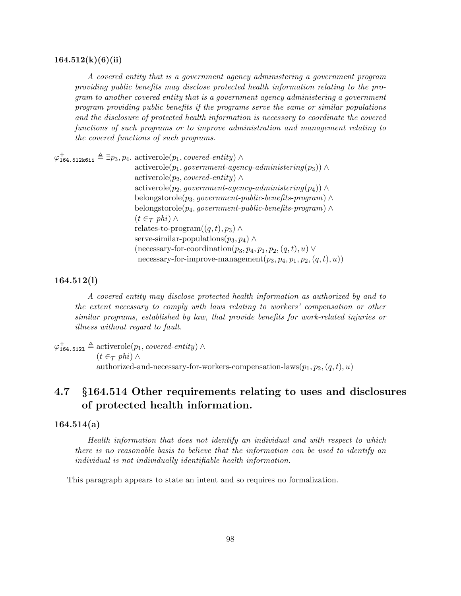#### $164.512(k)(6)(ii)$

A covered entity that is a government agency administering a government program providing public benefits may disclose protected health information relating to the program to another covered entity that is a government agency administering a government program providing public benefits if the programs serve the same or similar populations and the disclosure of protected health information is necessary to coordinate the covered functions of such programs or to improve administration and management relating to the covered functions of such programs.

 $\varphi_{164.512k6ii}^{+} \triangleq \exists p_3, p_4$ . activerole $(p_1, covered\text{-}entity)$   $\wedge$  $activerole(p_1, government\text{-}agent\text{-}agency\text{-}administering(p_3)) \wedge$ activerole( $p_2$ , *covered-entity*) ∧  $\text{activerole}(p_2, government\text{-}agent\text{-}agency\text{-}administering(p_4)) \wedge$ belongstorole( $p_3$ , government-public-benefits-program)  $\wedge$ belongstorole( $p_4$ , government-public-benefits-program)  $\wedge$  $(t \in \tau$  phi)  $\wedge$ relates-to-program $((q, t), p_3) \wedge$ serve-similar-populations $(p_3, p_4) \wedge$ (necessary-for-coordination $(p_3, p_4, p_1, p_2, (q, t), u) \vee$ necessary-for-improve-management $(p_3, p_4, p_1, p_2, (q, t), u)$ 

# 164.512(l)

A covered entity may disclose protected health information as authorized by and to the extent necessary to comply with laws relating to workers' compensation or other similar programs, established by law, that provide benefits for work-related injuries or illness without regard to fault.

 $\varphi_{164.5121}^{+} \triangleq$  activerole $(p_1, covered\text{-}entity) \wedge$  $(t \in \tau$  phi)  $\wedge$ authorized-and-necessary-for-workers-compensation-laws $(p_1, p_2, (q, t), u)$ 

# 4.7 §164.514 Other requirements relating to uses and disclosures of protected health information.

## 164.514(a)

Health information that does not identify an individual and with respect to which there is no reasonable basis to believe that the information can be used to identify an individual is not individually identifiable health information.

This paragraph appears to state an intent and so requires no formalization.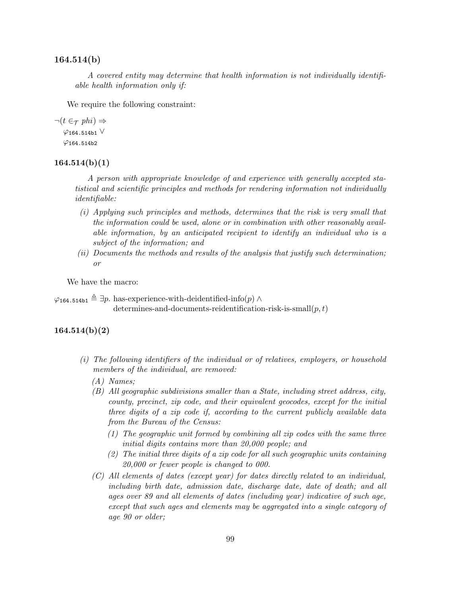# 164.514(b)

A covered entity may determine that health information is not individually identifiable health information only if:

We require the following constraint:

```
\neg(t \in \tau \phi h_i) \Rightarrow\varphi164.514b1 \vee\varphi164.514b2
```
#### $164.514(b)(1)$

A person with appropriate knowledge of and experience with generally accepted statistical and scientific principles and methods for rendering information not individually identifiable:

- (i) Applying such principles and methods, determines that the risk is very small that the information could be used, alone or in combination with other reasonably available information, by an anticipated recipient to identify an individual who is a subject of the information; and
- (ii) Documents the methods and results of the analysis that justify such determination; or

We have the macro:

 $\varphi_{164.514\mathrm{b1}} \triangleq \exists p.$  has-experience-with-deidentified-info(p)  $\wedge$ determines-and-documents-reidentification-risk-is-small $(p, t)$ 

# 164.514(b)(2)

- (i) The following identifiers of the individual or of relatives, employers, or household members of the individual, are removed:
	- (A) Names;
	- (B) All geographic subdivisions smaller than a State, including street address, city, county, precinct, zip code, and their equivalent geocodes, except for the initial three digits of a zip code if, according to the current publicly available data from the Bureau of the Census:
		- (1) The geographic unit formed by combining all zip codes with the same three initial digits contains more than 20,000 people; and
		- (2) The initial three digits of a zip code for all such geographic units containing 20,000 or fewer people is changed to 000.
	- (C) All elements of dates (except year) for dates directly related to an individual, including birth date, admission date, discharge date, date of death; and all ages over 89 and all elements of dates (including year) indicative of such age, except that such ages and elements may be aggregated into a single category of age 90 or older;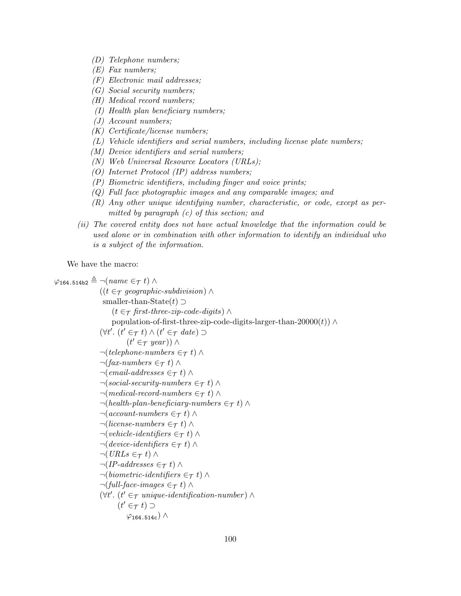- (D) Telephone numbers;
- (E) Fax numbers;
- (F) Electronic mail addresses;
- (G) Social security numbers;
- (H) Medical record numbers;
- (I) Health plan beneficiary numbers;
- (J) Account numbers;
- (K) Certificate/license numbers;
- (L) Vehicle identifiers and serial numbers, including license plate numbers;
- (M) Device identifiers and serial numbers;
- (N) Web Universal Resource Locators (URLs);
- (O) Internet Protocol (IP) address numbers;
- (P) Biometric identifiers, including finger and voice prints;
- (Q) Full face photographic images and any comparable images; and
- (R) Any other unique identifying number, characteristic, or code, except as permitted by paragraph (c) of this section; and
- (ii) The covered entity does not have actual knowledge that the information could be used alone or in combination with other information to identify an individual who is a subject of the information.

We have the macro:

```
\varphi_{164.514b2} \triangleq \neg(name \in \tau t) \wedge((t \in \tau \text{ geographic-subdivision}) \wedgesmaller-than-State(t) ⊃
                          (t \in \tau first-three-zip-code-digits) ∧
                          population-of-first-three-zip-code-digits-larger-than-20000(t)) ∧
                     (\forall t'. (t' \in \tau t) \land (t' \in \tau date) \supset(t' \in \tau \text{ year})) \wedge\neg (telephone-numbers \in \tau t) \wedge\neg(fax-numbers \in_{\mathcal{T}} t) \wedge\neg(email-addresses \in_{\mathcal{T}} t) \wedge\neg (social\text{-}security\text{-}numbers \in \tau t) \land\neg(medical-record-numbers \in\taut) \land\neg(health\text{-}plan\text{-}beneficiency\text{-}numbers \in \tau t) \wedge\neg (account-numbers \in_{\mathcal{T}} t) \land\neg( \textit{license-numbers} \in \tau t) \land\neg (wehicle-identifiers \in_{\mathcal{T}} t) \wedge\neg(device-identifiers \in_{\mathcal{T}} t) \wedge\neg(URLs \in \tau t) \wedge\neg (IP-addresses \in_{\mathcal{T}} t) \land\neg(biometric-identifiers \in_{\mathcal{T}} t) \wedge\neg(full-face-images \in \tau t) \wedge(\forall t'. (t' \in \tau \text{ unique-identification-number}) \land(t' \in \tau t) \supset\varphi<sub>164.514c</sub>) ∧
```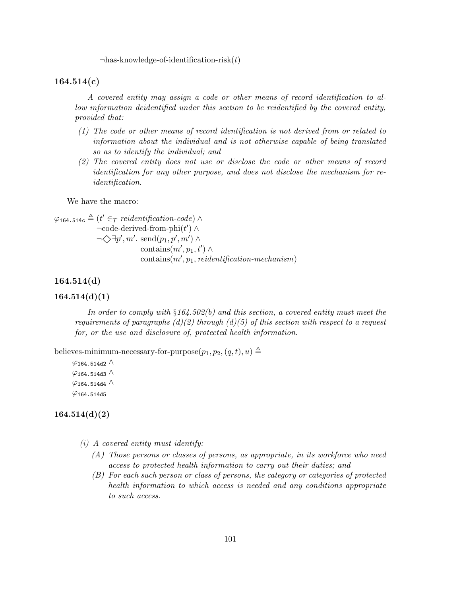$\neg$ has-knowledge-of-identification-risk $(t)$ 

#### 164.514(c)

A covered entity may assign a code or other means of record identification to allow information deidentified under this section to be reidentified by the covered entity, provided that:

- (1) The code or other means of record identification is not derived from or related to information about the individual and is not otherwise capable of being translated so as to identify the individual; and
- (2) The covered entity does not use or disclose the code or other means of record identification for any other purpose, and does not disclose the mechanism for reidentification.

We have the macro:

$$
\varphi_{164.514c} \triangleq (t' \in \tau \text{ reidentification-code}) \land \neg code-derived-from-phi(t') \land \n\neg \Diamond \exists p', m'. send(p_1, p', m') \land \n\text{contains}(m', p_1, t') \land \n\text{contains}(m', p_1, \text{reidentification-mechanism})
$$

# 164.514(d)

#### $164.514(d)(1)$

In order to comply with  $\S164.502(b)$  and this section, a covered entity must meet the requirements of paragraphs  $(d)(2)$  through  $(d)(5)$  of this section with respect to a request for, or the use and disclosure of, protected health information.

believes-minimum-necessary-for-purpose $(p_1, p_2, (q, t), u) \triangleq$ 

 $\varphi$ 164.514d2 ∧  $\varphi$ 164.514d3  $\wedge$  $\varphi$ 164.514d4  $\wedge$  $\varphi$ 164.514d5

# $164.514(d)(2)$

- $(i)$  A covered entity must identify:
	- (A) Those persons or classes of persons, as appropriate, in its workforce who need access to protected health information to carry out their duties; and
	- (B) For each such person or class of persons, the category or categories of protected health information to which access is needed and any conditions appropriate to such access.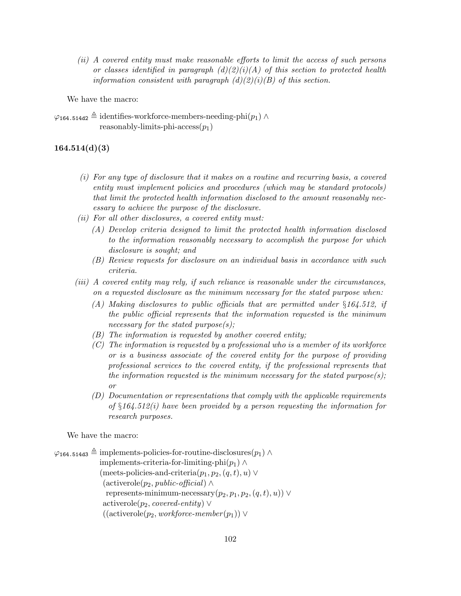(ii) A covered entity must make reasonable efforts to limit the access of such persons or classes identified in paragraph  $(d)(2)(i)(A)$  of this section to protected health information consistent with paragraph  $(d)(2)(i)(B)$  of this section.

We have the macro:

 $\varphi$ <sub>164.514d2</sub>  $\triangleq$  identifies-workforce-members-needing-phi(p<sub>1</sub>) ∧ reasonably-limits-phi-access $(p_1)$ 

# $164.514(d)(3)$

- (i) For any type of disclosure that it makes on a routine and recurring basis, a covered entity must implement policies and procedures (which may be standard protocols) that limit the protected health information disclosed to the amount reasonably necessary to achieve the purpose of the disclosure.
- (ii) For all other disclosures, a covered entity must:
	- (A) Develop criteria designed to limit the protected health information disclosed to the information reasonably necessary to accomplish the purpose for which disclosure is sought; and
	- (B) Review requests for disclosure on an individual basis in accordance with such criteria.
- (iii) A covered entity may rely, if such reliance is reasonable under the circumstances, on a requested disclosure as the minimum necessary for the stated purpose when:
	- (A) Making disclosures to public officials that are permitted under §164.512, if the public official represents that the information requested is the minimum necessary for the stated purpose $(s)$ ;
	- (B) The information is requested by another covered entity;
	- $(C)$  The information is requested by a professional who is a member of its workforce or is a business associate of the covered entity for the purpose of providing professional services to the covered entity, if the professional represents that the information requested is the minimum necessary for the stated purpose $(s)$ ; or
	- (D) Documentation or representations that comply with the applicable requirements of  $§164.512(i)$  have been provided by a person requesting the information for research purposes.

We have the macro:

 $\varphi_{164.514d3} \triangleq$  implements-policies-for-routine-disclosures( $p_1$ ) ∧ implements-criteria-for-limiting-phi( $p_1$ ) ∧ (meets-policies-and-criteria $(p_1, p_2, (q, t), u) \vee$  $(\text{activerole}(p_2, \text{public-official}) \wedge$ represents-minimum-necessary $(p_2, p_1, p_2, (q, t), u)$ ) ∨ activerole( $p_2$ , *covered-entity*)  $\vee$  $((\text{activerole}(p_2, \text{workforce-member}(p_1)) \vee$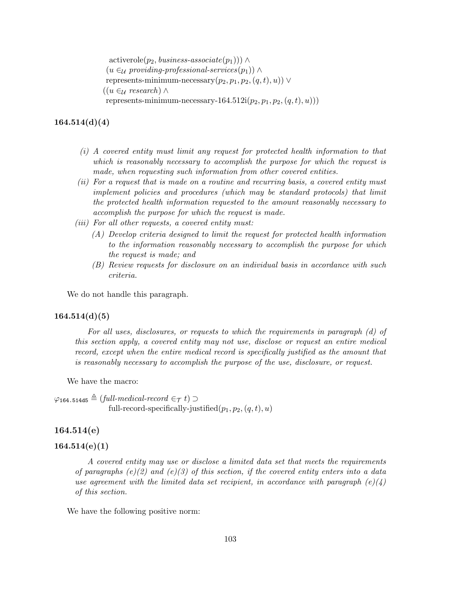$\text{activerole}(p_2, business\text{-}associate(p_1))\land$  $(u \in_{\mathcal{U}} \text{providing-professional-services}(p_1))$  ∧ represents-minimum-necessary $(p_2, p_1, p_2, (q, t), u)$ ) ∨  $((u \in \mathcal{U} \, research) \wedge$ represents-minimum-necessary-164.512i $(p_2, p_1, p_2, (q, t), u))$ 

# $164.514(d)(4)$

- (i) A covered entity must limit any request for protected health information to that which is reasonably necessary to accomplish the purpose for which the request is made, when requesting such information from other covered entities.
- (ii) For a request that is made on a routine and recurring basis, a covered entity must implement policies and procedures (which may be standard protocols) that limit the protected health information requested to the amount reasonably necessary to accomplish the purpose for which the request is made.
- (iii) For all other requests, a covered entity must:
	- (A) Develop criteria designed to limit the request for protected health information to the information reasonably necessary to accomplish the purpose for which the request is made; and
	- (B) Review requests for disclosure on an individual basis in accordance with such criteria.

We do not handle this paragraph.

## $164.514(d)(5)$

For all uses, disclosures, or requests to which the requirements in paragraph (d) of this section apply, a covered entity may not use, disclose or request an entire medical record, except when the entire medical record is specifically justified as the amount that is reasonably necessary to accomplish the purpose of the use, disclosure, or request.

We have the macro:

 $\varphi$ 164.514d5  $\triangleq$  (full-medical-record ∈ $\tau$  t) ⊃ full-record-specifically-justified $(p_1, p_2, (q, t), u)$ 

# 164.514(e)

# 164.514(e)(1)

A covered entity may use or disclose a limited data set that meets the requirements of paragraphs  $(e)(2)$  and  $(e)(3)$  of this section, if the covered entity enters into a data use agreement with the limited data set recipient, in accordance with paragraph  $(e)(4)$ of this section.

We have the following positive norm: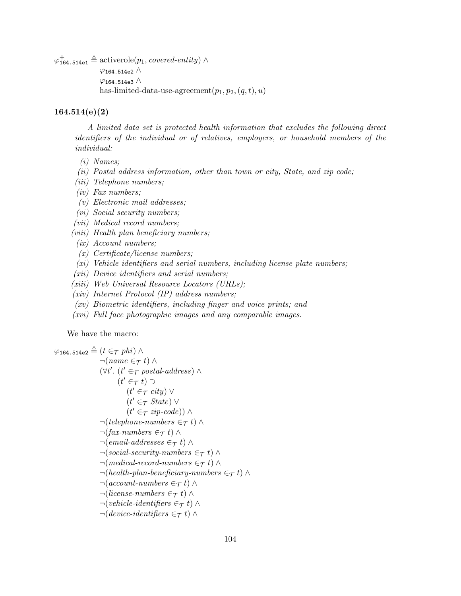$\varphi_{164.514e1}^{+} \triangleq$  activerole $(p_1, covered\text{-}entity) \wedge$  $\varphi$ 164.514e2  $\wedge$  $\varphi$ 164.514e3  $\wedge$ has-limited-data-use-agreement $(p_1, p_2, (q, t), u)$ 

# 164.514(e)(2)

A limited data set is protected health information that excludes the following direct identifiers of the individual or of relatives, employers, or household members of the individual:

- (i) Names;
- (ii) Postal address information, other than town or city, State, and zip code;
- (iii) Telephone numbers;
- (iv) Fax numbers;
- (v) Electronic mail addresses;
- (vi) Social security numbers;
- (vii) Medical record numbers;
- (viii) Health plan beneficiary numbers;
- (ix) Account numbers;
- (x) Certificate/license numbers;
- (xi) Vehicle identifiers and serial numbers, including license plate numbers;
- (xii) Device identifiers and serial numbers;
- (xiii) Web Universal Resource Locators (URLs);
- (xiv) Internet Protocol (IP) address numbers;
- (xv) Biometric identifiers, including finger and voice prints; and
- (xvi) Full face photographic images and any comparable images.

We have the macro:

$$
\varphi_{164.514e2} \triangleq (t \in \tau \text{ phi}) \land \n\neg(name \in \tau t) \land \n(\forall t'. (t' \in \tau \text{ postal-address}) \land \n(t' \in \tau t) \supset \n(t' \in \tau \text{ state}) \lor \n(t' \in \tau \text{ state}) \lor \n(t' \in \tau \text{ state}) \land \n\neg(t) \in \tau \text{ state} \land \n\neg(t) \in \tau \text{ state} \land \n\neg(t) \land \n\neg(t) \in \tau \text{ state} \land \n\neg(t) \land \n\neg(t) \in \tau \text{ state} \land \n\neg(t) \land \n\neg(t) \in \tau \text{ state} \land \n\neg(t) \in \tau \text{ state} \land \n\neg(t) \in \tau \text{ state} \land \n\neg(t) \in \tau \text{ state} \land \n\neg(t) \in \tau \text{ state} \land \n\neg(t) \in \tau \text{ state} \land \n\neg(t) \in \tau \text{ state} \land \n\neg(t) \in \tau \text{ state} \land \n\neg(t) \in \tau \text{ state} \land \n\neg(t) \in \tau \text{ state} \land \n\neg(t) \in \tau \text{ state} \land \n\neg(t) \in \tau \text{ state} \land \n\neg(t) \in \tau \text{ state} \land \n\neg(t) \in \tau \text{ state} \land \n\neg(t) \in \tau \text{ state} \land \n\neg(t) \in \tau \text{ state} \land \n\neg(t) \in \tau \text{ state} \land \n\neg(t) \in \tau \text{ state} \land \n\neg(t) \in \tau \text{ state} \land \n\neg(t) \in \tau \text{ state} \land \n\neg(t) \in \tau \text{ state} \land \n\neg(t) \in \tau \text{ state} \land \n\neg(t) \in \tau \text{ state} \land \n\neg(t) \in \tau \text{ state} \land \n\neg(t) \in \tau \text{ state} \land \n\neg(t) \in \tau \text{ state} \land \n\neg(t) \in \tau \text{ state} \land \n\neg
$$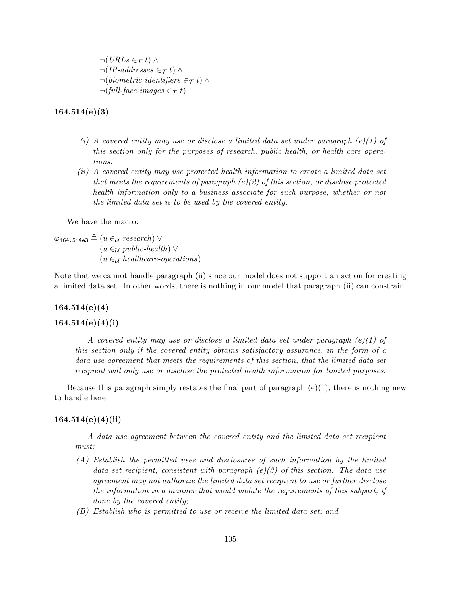$\neg(URLs \in \tau t) \wedge$  $\neg (IP-addresses \in_{\mathcal{T}} t) \land$  $\neg(biometric-identifiers \in_{\mathcal{T}} t) \wedge$  $\neg$ (full-face-images  $\in \tau$  t)

164.514(e)(3)

- (i) A covered entity may use or disclose a limited data set under paragraph  $(e)(1)$  of this section only for the purposes of research, public health, or health care operations.
- (ii) A covered entity may use protected health information to create a limited data set that meets the requirements of paragraph  $(e)(2)$  of this section, or disclose protected health information only to a business associate for such purpose, whether or not the limited data set is to be used by the covered entity.

We have the macro:

 $\varphi_{164.514e3} \triangleq (u \in_{\mathcal{U}} \text{research}) \vee$  $(u \in \mathcal{U}$  public-health)  $\vee$  $(u \in_{\mathcal{U}} \mathit{healthcare-operations})$ 

Note that we cannot handle paragraph (ii) since our model does not support an action for creating a limited data set. In other words, there is nothing in our model that paragraph (ii) can constrain.

#### 164.514(e)(4)

# $164.514(e)(4)(i)$

A covered entity may use or disclose a limited data set under paragraph  $(e)(1)$  of this section only if the covered entity obtains satisfactory assurance, in the form of a data use agreement that meets the requirements of this section, that the limited data set recipient will only use or disclose the protected health information for limited purposes.

Because this paragraph simply restates the final part of paragraph  $(e)(1)$ , there is nothing new to handle here.

## $164.514(e)(4)(ii)$

A data use agreement between the covered entity and the limited data set recipient must:

- (A) Establish the permitted uses and disclosures of such information by the limited data set recipient, consistent with paragraph  $(e)(3)$  of this section. The data use agreement may not authorize the limited data set recipient to use or further disclose the information in a manner that would violate the requirements of this subpart, if done by the covered entity;
- (B) Establish who is permitted to use or receive the limited data set; and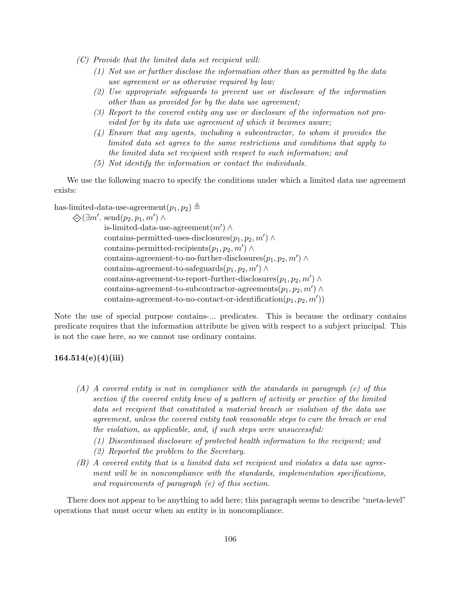- (C) Provide that the limited data set recipient will:
	- (1) Not use or further disclose the information other than as permitted by the data use agreement or as otherwise required by law;
	- (2) Use appropriate safeguards to prevent use or disclosure of the information other than as provided for by the data use agreement;
	- (3) Report to the covered entity any use or disclosure of the information not provided for by its data use agreement of which it becomes aware;
	- (4) Ensure that any agents, including a subcontractor, to whom it provides the limited data set agrees to the same restrictions and conditions that apply to the limited data set recipient with respect to such information; and
	- (5) Not identify the information or contact the individuals.

We use the following macro to specify the conditions under which a limited data use agreement exists:

has-limited-data-use-agreement $(p_1, p_2) \triangleq$ 

$$
\bigotimes (\exists m'.\,\,\text{send}(p_2,p_1,m')\land\,\,
$$

is-limited-data-use-agreement $(m') \wedge$ contains-permitted-uses-disclosures $(p_1, p_2, m') \wedge$ contains-permitted-recipients $(p_1, p_2, m') \wedge$ contains-agreement-to-no-further-disclosures $(p_1, p_2, m') \wedge$ contains-agreement-to-safeguards $(p_1, p_2, m') \wedge$ contains-agreement-to-report-further-disclosures $(p_1, p_2, m') \wedge$ contains-agreement-to-subcontractor-agreements $(p_1, p_2, m') \wedge$  $\text{contains-agreement-to-no-contact-or-identification}(p_1, p_2, m'))$ 

Note the use of special purpose contains-... predicates. This is because the ordinary contains predicate requires that the information attribute be given with respect to a subject principal. This is not the case here, so we cannot use ordinary contains.

# $164.514(e)(4)(iii)$

- $(A)$  A covered entity is not in compliance with the standards in paragraph (e) of this section if the covered entity knew of a pattern of activity or practice of the limited data set recipient that constituted a material breach or violation of the data use agreement, unless the covered entity took reasonable steps to cure the breach or end the violation, as applicable, and, if such steps were unsuccessful:
	- (1) Discontinued disclosure of protected health information to the recipient; and
	- (2) Reported the problem to the Secretary.
- (B) A covered entity that is a limited data set recipient and violates a data use agreement will be in noncompliance with the standards, implementation specifications, and requirements of paragraph (e) of this section.

There does not appear to be anything to add here; this paragraph seems to describe "meta-level" operations that must occur when an entity is in noncompliance.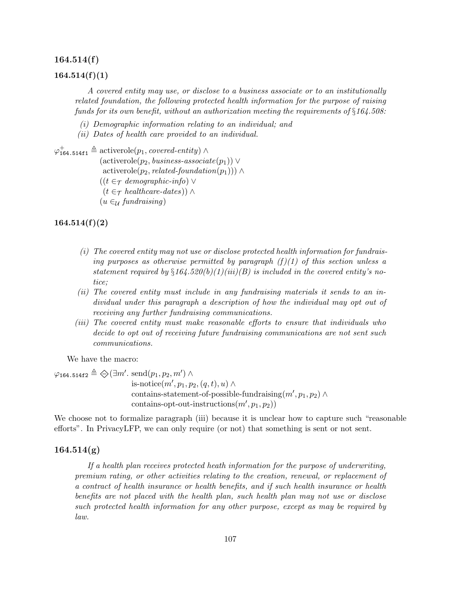#### 164.514(f)

#### $164.514(f)(1)$

A covered entity may use, or disclose to a business associate or to an institutionally related foundation, the following protected health information for the purpose of raising funds for its own benefit, without an authorization meeting the requirements of  $\S 164.508$ :

- (i) Demographic information relating to an individual; and
- (ii) Dates of health care provided to an individual.

```
\varphi_{164.514\text{f1}}^+ \triangleq \text{activerole}(p_1, covered\text{-}entity) \wedge
```
 $(\text{activerole}(p_2, \text{business-associate}(p_1)) \vee$ 

```
activerole(p_2, related-foundation(p_1))) ∧
```
- $((t \in \tau \text{ demographic-info}) \vee$
- $(t \in \tau \; healthcare\text{-} dates)) \wedge$
- $(u \in \mathcal{U}$  fundraising)

 $164.514(f)(2)$ 

- (i) The covered entity may not use or disclose protected health information for fundraising purposes as otherwise permitted by paragraph  $(f)(1)$  of this section unless a statement required by  $\S164.520(b)(1)(iii)(B)$  is included in the covered entity's notice;
- (ii) The covered entity must include in any fundraising materials it sends to an individual under this paragraph a description of how the individual may opt out of receiving any further fundraising communications.
- (iii) The covered entity must make reasonable efforts to ensure that individuals who decide to opt out of receiving future fundraising communications are not sent such communications.

We have the macro:

 $\varphi$ 164.514f2  $\triangleq \diamondsuit(\exists m'.\ \mathrm{send}(p_1, p_2, m') \land$ is-notice $(m', p_1, p_2, (q, t), u) \wedge$ contains-statement-of-possible-fundraising $(m', p_1, p_2) \wedge$ contains-opt-out-instructions $(m', p_1, p_2))$ 

We choose not to formalize paragraph (iii) because it is unclear how to capture such "reasonable efforts". In PrivacyLFP, we can only require (or not) that something is sent or not sent.

## $164.514(g)$

If a health plan receives protected heath information for the purpose of underwriting, premium rating, or other activities relating to the creation, renewal, or replacement of a contract of health insurance or health benefits, and if such health insurance or health benefits are not placed with the health plan, such health plan may not use or disclose such protected health information for any other purpose, except as may be required by law.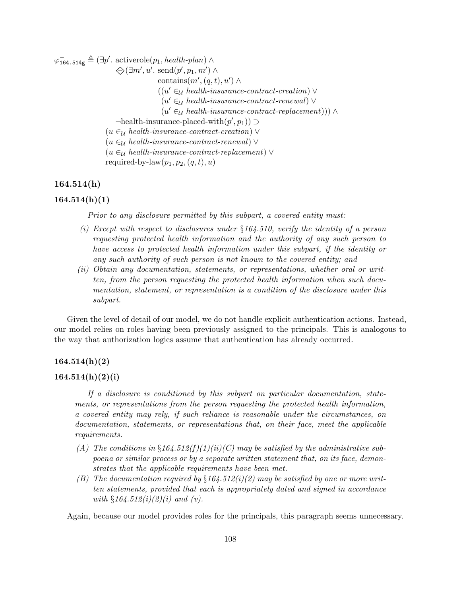$\varphi_{164.514g}^{-} \triangleq (\exists p'.\space activerole(p_1, health\text{-}plan) \land$ 

 $\bigotimes \left( \exists m', u'. \; \text{send}(p', p_1, m') \land \right)$ contains $(m', (q, t), u') \wedge$  $((u' \in_{\mathcal{U}} \mathit{health-in} surface-contract-creation) \vee$  $(u' \in \mathcal{U}$  health-insurance-contract-renewal)  $\vee$  $(u' \in_{\mathcal{U}} \mathit{health-insurance-contract-replacement} )) \wedge$  $\lnot$ health-insurance-placed-with $(p', p_1)$ )  $\supset$  $(u \in \mathcal{U}$  health-insurance-contract-creation)  $\vee$  $(u \in \mathcal{U} \; health\text{-}insurance\text{-}contract\text{-}renewal)$  $(u \in_{\mathcal{U}} \mathit{health-in}surance-contract-replacement) \vee$ required-by-law $(p_1, p_2, (q, t), u)$ 

## 164.514(h)

## $164.514(h)(1)$

Prior to any disclosure permitted by this subpart, a covered entity must:

- (i) Except with respect to disclosures under  $\S164.510$ , verify the identity of a person requesting protected health information and the authority of any such person to have access to protected health information under this subpart, if the identity or any such authority of such person is not known to the covered entity; and
- (ii) Obtain any documentation, statements, or representations, whether oral or written, from the person requesting the protected health information when such documentation, statement, or representation is a condition of the disclosure under this subpart.

Given the level of detail of our model, we do not handle explicit authentication actions. Instead, our model relies on roles having been previously assigned to the principals. This is analogous to the way that authorization logics assume that authentication has already occurred.

#### $164.514(h)(2)$

#### $164.514(h)(2)(i)$

If a disclosure is conditioned by this subpart on particular documentation, statements, or representations from the person requesting the protected health information, a covered entity may rely, if such reliance is reasonable under the circumstances, on documentation, statements, or representations that, on their face, meet the applicable requirements.

- (A) The conditions in  $\S164.512(f)(1)(ii)(C)$  may be satisfied by the administrative subpoena or similar process or by a separate written statement that, on its face, demonstrates that the applicable requirements have been met.
- (B) The documentation required by  $\S164.512(i)(2)$  may be satisfied by one or more written statements, provided that each is appropriately dated and signed in accordance with  $§164.512(i)(2)(i)$  and (v).

Again, because our model provides roles for the principals, this paragraph seems unnecessary.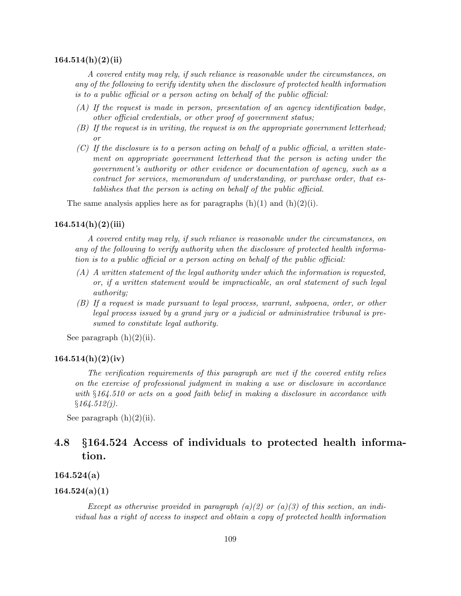#### $164.514(h)(2(iii)$

A covered entity may rely, if such reliance is reasonable under the circumstances, on any of the following to verify identity when the disclosure of protected health information is to a public official or a person acting on behalf of the public official:

- (A) If the request is made in person, presentation of an agency identification badge, other official credentials, or other proof of government status;
- (B) If the request is in writing, the request is on the appropriate government letterhead; or
- $(C)$  If the disclosure is to a person acting on behalf of a public official, a written statement on appropriate government letterhead that the person is acting under the government's authority or other evidence or documentation of agency, such as a contract for services, memorandum of understanding, or purchase order, that establishes that the person is acting on behalf of the public official.

The same analysis applies here as for paragraphs  $(h)(1)$  and  $(h)(2)(i)$ .

#### $164.514(h)(2)(iii)$

A covered entity may rely, if such reliance is reasonable under the circumstances, on any of the following to verify authority when the disclosure of protected health information is to a public official or a person acting on behalf of the public official:

- (A) A written statement of the legal authority under which the information is requested, or, if a written statement would be impracticable, an oral statement of such legal authority;
- (B) If a request is made pursuant to legal process, warrant, subpoena, order, or other legal process issued by a grand jury or a judicial or administrative tribunal is presumed to constitute legal authority.

See paragraph  $(h)(2)(ii)$ .

#### $164.514(h)(2)(iv)$

The verification requirements of this paragraph are met if the covered entity relies on the exercise of professional judgment in making a use or disclosure in accordance with §164.510 or acts on a good faith belief in making a disclosure in accordance with  $§164.512(j).$ 

See paragraph  $(h)(2)(ii)$ .

# 4.8 §164.524 Access of individuals to protected health information.

164.524(a)

## $164.524(a)(1)$

Except as otherwise provided in paragraph (a)(2) or (a)(3) of this section, an individual has a right of access to inspect and obtain a copy of protected health information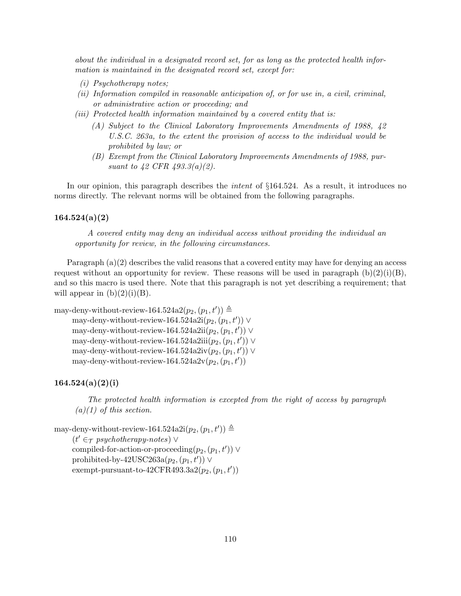about the individual in a designated record set, for as long as the protected health information is maintained in the designated record set, except for:

- (i) Psychotherapy notes;
- (ii) Information compiled in reasonable anticipation of, or for use in, a civil, criminal, or administrative action or proceeding; and
- (iii) Protected health information maintained by a covered entity that is:
	- (A) Subject to the Clinical Laboratory Improvements Amendments of 1988, 42 U.S.C. 263a, to the extent the provision of access to the individual would be prohibited by law; or
	- (B) Exempt from the Clinical Laboratory Improvements Amendments of 1988, pursuant to 42 CFR 493.3(a)(2).

In our opinion, this paragraph describes the *intent* of  $\S164.524$ . As a result, it introduces no norms directly. The relevant norms will be obtained from the following paragraphs.

#### $164.524(a)(2)$

A covered entity may deny an individual access without providing the individual an opportunity for review, in the following circumstances.

Paragraph  $(a)(2)$  describes the valid reasons that a covered entity may have for denying an access request without an opportunity for review. These reasons will be used in paragraph  $(b)(2)(i)(B)$ , and so this macro is used there. Note that this paragraph is not yet describing a requirement; that will appear in  $(b)(2)(i)(B)$ .

```
may-deny-without-review-164.524a2(p_2, (p_1, t')) \triangleqmay-deny-without-review-164.524a2i(p_2,(p_1,t')) \veemay-deny-without-review-164.524a2ii(p_2,(p_1,t')) \veemay-deny-without-review-164.524a2iii(p_2,(p_1,t')) \veemay-deny-without-review-164.524a2iv(p_2,(p_1,t')) \veemay-deny-without-review-164.524a2v(p_2,(p_1,t'))
```
#### $164.524(a)(2)(i)$

The protected health information is excepted from the right of access by paragraph  $(a)(1)$  of this section.

```
may-deny-without-review-164.524a2i(p_2, (p_1, t')) \triangleq(t' \in \tau psychotherapy-notes) \lorcompiled-for-action-or-proceeding(p_2,(p_1, t')) \veeprohibited-by-42USC263a(p_2, (p_1, t')) \veeexempt-pursuant-to-42CFR493.3a2(p_2,(p_1, t'))
```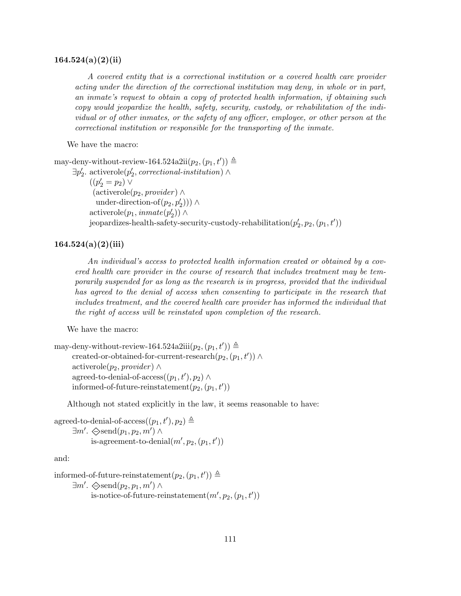#### $164.524(a)(2)(ii)$

A covered entity that is a correctional institution or a covered health care provider acting under the direction of the correctional institution may deny, in whole or in part, an inmate's request to obtain a copy of protected health information, if obtaining such copy would jeopardize the health, safety, security, custody, or rehabilitation of the individual or of other inmates, or the safety of any officer, employee, or other person at the correctional institution or responsible for the transporting of the inmate.

We have the macro:

may-deny-without-review-164.524a2ii $(p_2, (p_1, t')) \triangleq$ 

 $\exists p'_2$ . activerole $(p'_2, \text{correctional-institution}) \land$  $((p'_2 = p_2) \vee$  $(\text{activerole}(p_2, provider) \wedge$ under-direction-of $(p_2, p'_2)$ )) ∧  $\text{activerole}(p_1, \text{immate}(p_2')) \wedge$  $\begin{equation} \left( p_2',p_2,(p_1,t')\right) \end{equation}$ 

## $164.524(a)(2)(iii)$

An individual's access to protected health information created or obtained by a covered health care provider in the course of research that includes treatment may be temporarily suspended for as long as the research is in progress, provided that the individual has agreed to the denial of access when consenting to participate in the research that includes treatment, and the covered health care provider has informed the individual that the right of access will be reinstated upon completion of the research.

We have the macro:

may-deny-without-review-164.524a2iii $(p_2, (p_1, t')) \triangleq$ created-or-obtained-for-current-research $(p_2,(p_1,t')) \wedge$ activerole( $p_2$ , provider) ∧ agreed-to-denial-of-access $((p_1, t'), p_2) \wedge$ informed-of-future-reinstatement $(p_2,(p_1,t'))$ 

Although not stated explicitly in the law, it seems reasonable to have:

agreed-to-denial-of-access $((p_1, t'), p_2) \triangleq$  $\exists m'. \ \diamondsuit \text{send}(p_1, p_2, m') \land$ is-agreement-to-denial $(m', p_2, (p_1, t'))$ 

and:

informed-of-future-reinstatement $(p_2, (p_1, t')) \triangleq$  $\exists m'. \diamondsuit \text{send}(p_2, p_1, m') \land$ is-notice-of-future-reinstatement $(m', p_2, (p_1, t'))$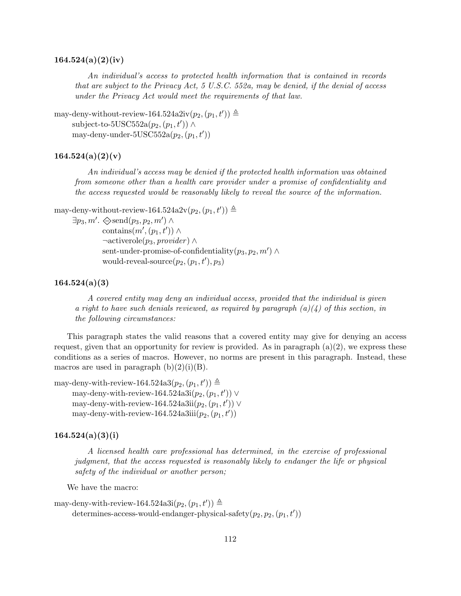## $164.524(a)(2)(iv)$

An individual's access to protected health information that is contained in records that are subject to the Privacy Act, 5 U.S.C. 552a, may be denied, if the denial of access under the Privacy Act would meet the requirements of that law.

```
may-deny-without-review-164.524a2iv(p_2, (p_1, t')) \triangleqsubject-to-5USC552a(p_2,(p_1,t')) \wedgemay-deny-under-5USC552a(p_2,(p_1,t'))
```
## $164.524(a)(2)(v)$

An individual's access may be denied if the protected health information was obtained from someone other than a health care provider under a promise of confidentiality and the access requested would be reasonably likely to reveal the source of the information.

```
may-deny-without-review-164.524a2v(p_2,(p_1,t')) \triangleq
```

```
\exists p_3, m'. \diamondsuit \text{send}(p_3, p_2, m') \wedge
```
contains $(m', (p_1, t')) \wedge$  $\neg \text{activerole}(p_3, \text{provider}) \wedge$ sent-under-promise-of-confidentiality $(p_3, p_2, m') \wedge$ would-reveal-source $(p_2, (p_1, t'), p_3)$ 

## 164.524(a)(3)

A covered entity may deny an individual access, provided that the individual is given a right to have such denials reviewed, as required by paragraph  $(a)(4)$  of this section, in the following circumstances:

This paragraph states the valid reasons that a covered entity may give for denying an access request, given that an opportunity for review is provided. As in paragraph  $(a)(2)$ , we express these conditions as a series of macros. However, no norms are present in this paragraph. Instead, these macros are used in paragraph  $(b)(2)(i)(B)$ .

may-deny-with-review-164.524a3 $(p_2, (p_1, t')) \triangleq$ may-deny-with-review-164.524a3i $(p_2,(p_1,t')) \vee$ may-deny-with-review-164.524a3ii $(p_2,(p_1,t')) \vee$ may-deny-with-review-164.524a3iii $(p_2,(p_1,t'))$ 

## $164.524(a)(3)(i)$

A licensed health care professional has determined, in the exercise of professional judgment, that the access requested is reasonably likely to endanger the life or physical safety of the individual or another person;

We have the macro:

may-deny-with-review-164.524a3i $(p_2, (p_1, t')) \triangleq$ determines-access-would-endanger-physical-safety $(p_2, p_2, (p_1, t'))$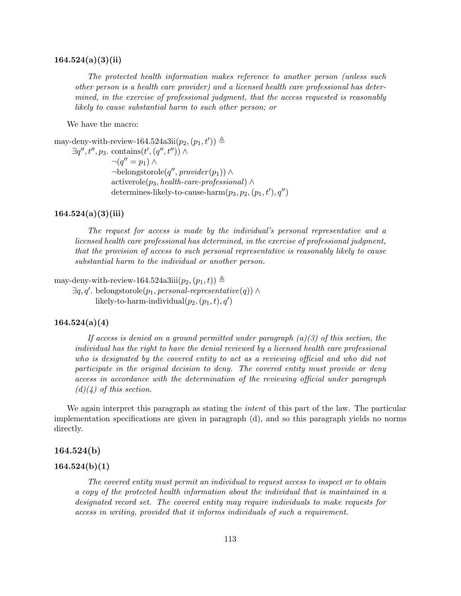#### $164.524(a)(3)(ii)$

The protected health information makes reference to another person (unless such other person is a health care provider) and a licensed health care professional has determined, in the exercise of professional judgment, that the access requested is reasonably likely to cause substantial harm to such other person; or

We have the macro:

may-deny-with-review-164.524a3ii $(p_2, (p_1, t')) \triangleq$  $\exists q'', t'', p_3$ . contains $(t', (q'', t'')) \wedge$  $\neg(q''=p_1)\wedge$  $\neg$ belongstorole $(q'',$ provider $(p_1)) \wedge$ activerole( $p_3$ , health-care-professional) ∧ determines-likely-to-cause-harm $(p_3, p_2, (p_1, t'), q'')$ 

#### $164.524(a)(3)(iii)$

The request for access is made by the individual's personal representative and a licensed health care professional has determined, in the exercise of professional judgment, that the provision of access to such personal representative is reasonably likely to cause substantial harm to the individual or another person.

may-deny-with-review-164.524a3iii $(p_2,(p_1,t)) \triangleq$ 

 $\exists q, q'$ . belongstorole $(p_1, personal\text{-}representation(q))$ likely-to-harm-individual $(p_2,(p_1,t), q')$ 

## $164.524(a)(4)$

If access is denied on a ground permitted under paragraph  $(a)(3)$  of this section, the individual has the right to have the denial reviewed by a licensed health care professional who is designated by the covered entity to act as a reviewing official and who did not participate in the original decision to deny. The covered entity must provide or deny access in accordance with the determination of the reviewing official under paragraph  $(d)(4)$  of this section.

We again interpret this paragraph as stating the *intent* of this part of the law. The particular implementation specifications are given in paragraph (d), and so this paragraph yields no norms directly.

## 164.524(b)

#### $164.524(b)(1)$

The covered entity must permit an individual to request access to inspect or to obtain a copy of the protected health information about the individual that is maintained in a designated record set. The covered entity may require individuals to make requests for access in writing, provided that it informs individuals of such a requirement.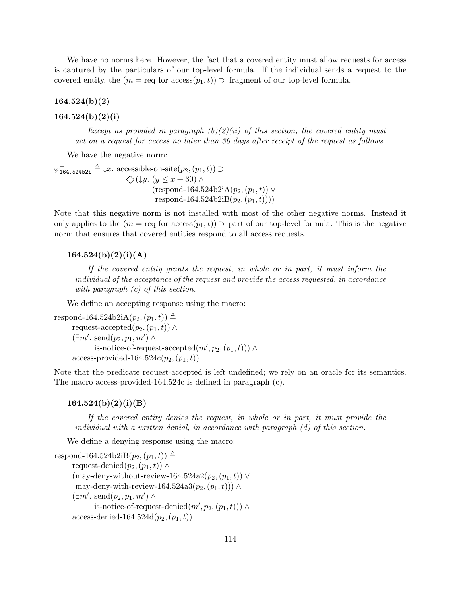We have no norms here. However, the fact that a covered entity must allow requests for access is captured by the particulars of our top-level formula. If the individual sends a request to the covered entity, the  $(m = \text{req\_for}(\mathbf{z}_1, t)) \supset \text{fragment of our top-level formula.}$ 

 $164.524(b)(2)$ 

## $164.524(b)(2)(i)$

Except as provided in paragraph  $(b)(2)(ii)$  of this section, the covered entity must act on a request for access no later than 30 days after receipt of the request as follows.

We have the negative norm:

 $\varphi_{164.524b2i} \triangleq \downarrow x$ . accessible-on-site $(p_2,(p_1,t)) \supset$  $\diamondsuit$ (↓y. (y ≤ x + 30) ∧  $(respond-164.524b2iA(p_2,(p_1,t))$  ∨ respond-164.524b2iB $(p_2,(p_1,t)))$ 

Note that this negative norm is not installed with most of the other negative norms. Instead it only applies to the  $(m = \text{req\_for\_access}(p_1, t))$   $\supset$  part of our top-level formula. This is the negative norm that ensures that covered entities respond to all access requests.

## $164.524(b)(2)(i)(A)$

If the covered entity grants the request, in whole or in part, it must inform the individual of the acceptance of the request and provide the access requested, in accordance with paragraph  $(c)$  of this section.

We define an accepting response using the macro:

```
respond-164.524b2iA(p_2,(p_1,t)) \triangleqrequest-accepted(p_2,(p_1,t)) \wedge(\exists m'. \; send(p_2, p_1, m') \landis-notice-of-request-accepted(m', p_2, (p_1, t))) \wedgeaccess-provided-164.524c(p_2, (p_1, t))
```
Note that the predicate request-accepted is left undefined; we rely on an oracle for its semantics. The macro access-provided-164.524c is defined in paragraph (c).

#### $164.524(b)(2)(i)(B)$

If the covered entity denies the request, in whole or in part, it must provide the individual with a written denial, in accordance with paragraph (d) of this section.

We define a denying response using the macro:

```
respond-164.524b2iB(p_2,(p_1,t)) \triangleqrequest-denied(p_2,(p_1,t)) \wedge(may-deny-without-review-164.524a2(p_2, (p_1, t)) ∨
may-deny-with-review-164.524a3(p_2,(p_1,t))) ∧
(\exists m'. \; send(p_2, p_1, m') \landis-notice-of-request-denied(m', p_2, (p_1, t))) \wedgeaccess-denied-164.524d(p_2,(p_1,t))
```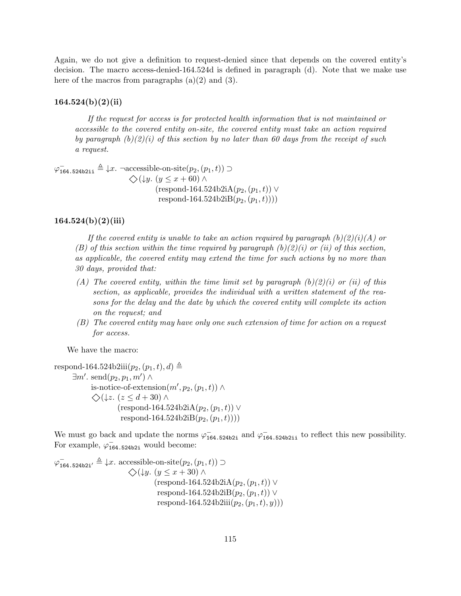Again, we do not give a definition to request-denied since that depends on the covered entity's decision. The macro access-denied-164.524d is defined in paragraph (d). Note that we make use here of the macros from paragraphs  $(a)(2)$  and  $(3)$ .

#### $164.524(b)(2)(ii)$

If the request for access is for protected health information that is not maintained or accessible to the covered entity on-site, the covered entity must take an action required by paragraph  $(b)(2)(i)$  of this section by no later than 60 days from the receipt of such a request.

 $\varphi_{164.524b2ii} \triangleq \downarrow x$ . ¬accessible-on-site $(p_2,(p_1,t))$   $\supset$  $\diamondsuit$ (↓y. (y ≤ x + 60) ∧  $(respond-164.524b2iA(p_2,(p_1,t))$  ∨ respond-164.524b2iB $(p_2,(p_1,t)))$ 

## $164.524(b)(2)(iii)$

If the covered entity is unable to take an action required by paragraph  $(b)(2)(i)(A)$  or (B) of this section within the time required by paragraph  $(b)(2)(i)$  or (ii) of this section, as applicable, the covered entity may extend the time for such actions by no more than 30 days, provided that:

- (A) The covered entity, within the time limit set by paragraph  $(b)(2)(i)$  or (ii) of this section, as applicable, provides the individual with a written statement of the reasons for the delay and the date by which the covered entity will complete its action on the request; and
- (B) The covered entity may have only one such extension of time for action on a request for access.

We have the macro:

```
respond-164.524b2iii(p_2,(p_1,t), d) \triangleq\exists m'. \; \text{send}(p_2, p_1, m') \landis-notice-of-extension(m', p_2, (p_1, t)) \wedge\diamondsuit(↓z. (z \leq d + 30) ∧
                  (\text{respond-164.524b2iA}(p_2,(p_1,t)) \veerespond-164.524b2iB(p_2,(p_1,t)))
```
We must go back and update the norms  $\varphi_{164.524b2i}^-$  and  $\varphi_{164.524b2i}^-$  to reflect this new possibility. For example,  $\varphi_{164.524b2i}^-$  would become:

$$
\varphi_{164.524b2i'}^{-} \triangleq \downarrow x. \text{ accessible-on-site}(p_2,(p_1,t)) \supset
$$
  

$$
\diamondsuit(\downarrow y. (y \le x + 30) \land
$$
  
(respond-164.524b2iA(p\_2,(p\_1,t))   
respond-164.524b2iB(p\_2,(p\_1,t))   
respond-164.524b2ii(p\_2,(p\_1,t),y))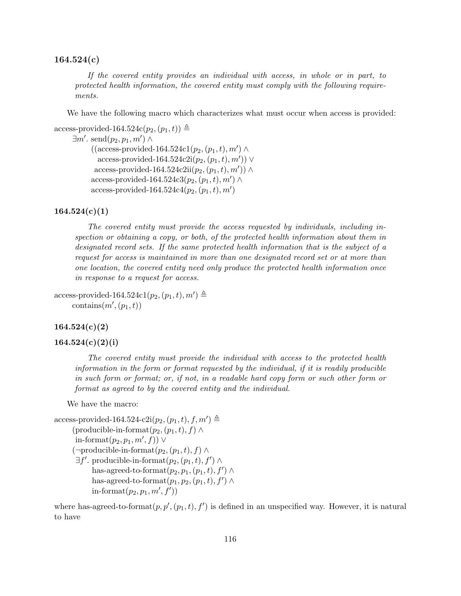## 164.524(c)

If the covered entity provides an individual with access, in whole or in part, to protected health information, the covered entity must comply with the following requirements.

We have the following macro which characterizes what must occur when access is provided:

```
access-provided-164.524c(p_2,(p_1,t)) \triangleq\exists m'. \; \text{send}(p_2, p_1, m') \land((access-provided-164.524c1(p_2, (p_1, t), m') \wedgeaccess-provided-164.524c2i(p_2,(p_1,t),m')) ∨
        access-provided-164.524c2ii(p_2,(p_1,t),m')) \wedgeaccess-provided-164.524c3(p_2,(p_1,t),m') \wedge
```

```
access-provided-164.524c4(p_2,(p_1,t), m')
```
## $164.524(c)(1)$

The covered entity must provide the access requested by individuals, including inspection or obtaining a copy, or both, of the protected health information about them in designated record sets. If the same protected health information that is the subject of a request for access is maintained in more than one designated record set or at more than one location, the covered entity need only produce the protected health information once in response to a request for access.

```
access-provided-164.524c1(p_2,(p_1,t),m') \triangleqcontains(m', (p_1, t))
```
#### $164.524(c)(2)$

#### $164.524(c)(2)(i)$

The covered entity must provide the individual with access to the protected health information in the form or format requested by the individual, if it is readily producible in such form or format; or, if not, in a readable hard copy form or such other form or format as agreed to by the covered entity and the individual.

We have the macro:

```
\text{access-provided-164.524-c2i}(p_2,(p_1,t), f, m') \triangleq(producible-in-format(p_2,(p_1,t), f) \wedgein-format(p_2, p_1, m', f)) ∨
(\negproducible-in-format(p_2,(p_1,t), f) \wedge\exists f'. \text{ productible-in-format}(p_2,(p_1,t),f') \wedgehas-agreed-to-format(p_2, p_1, (p_1, t), f') \wedgehas-agreed-to-format(p_1, p_2, (p_1, t), f') \wedgein-format(p_2, p_1, m', f')
```
where has-agreed-to-format $(p, p', (p_1, t), f')$  is defined in an unspecified way. However, it is natural to have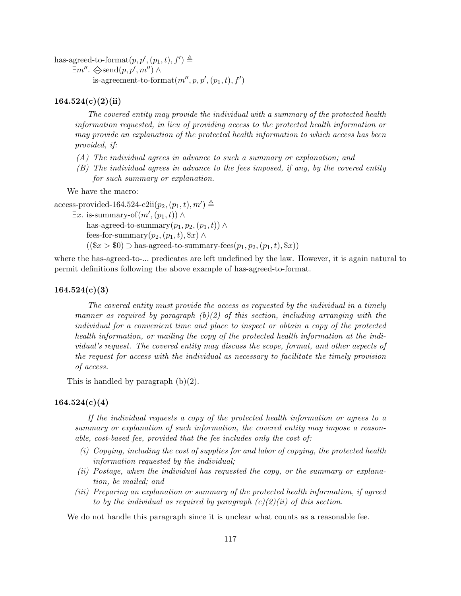has-agreed-to-format $(p, p', (p_1, t), f') \triangleq$ 

 $\exists m''$ .  $\diamondsuit$ send $(p, p', m'') \wedge$ 

is-agreement-to-format $(m'', p, p', (p_1, t), f')$ 

## $164.524(c)(2)(ii)$

The covered entity may provide the individual with a summary of the protected health information requested, in lieu of providing access to the protected health information or may provide an explanation of the protected health information to which access has been provided, if:

- (A) The individual agrees in advance to such a summary or explanation; and
- (B) The individual agrees in advance to the fees imposed, if any, by the covered entity for such summary or explanation.

We have the macro:

```
access-provided-164.524-c2ii(p_2,(p_1,t), m') \triangleq
```
 $\exists x.$  is-summary-of $(m', (p_1, t)) \wedge$ 

has-agreed-to-summary $(p_1, p_2, (p_1, t)) \wedge$ 

fees-for-summary $(p_2,(p_1,t), \$x) \wedge$ 

 $((\$x > \$0) \supset$  has-agreed-to-summary-fees $(p_1, p_2, (p_1, t), \$x))$ 

where the has-agreed-to-... predicates are left undefined by the law. However, it is again natural to permit definitions following the above example of has-agreed-to-format.

## $164.524(c)(3)$

The covered entity must provide the access as requested by the individual in a timely manner as required by paragraph  $(b)(2)$  of this section, including arranging with the individual for a convenient time and place to inspect or obtain a copy of the protected health information, or mailing the copy of the protected health information at the individual's request. The covered entity may discuss the scope, format, and other aspects of the request for access with the individual as necessary to facilitate the timely provision of access.

This is handled by paragraph  $(b)(2)$ .

## $164.524(c)(4)$

If the individual requests a copy of the protected health information or agrees to a summary or explanation of such information, the covered entity may impose a reasonable, cost-based fee, provided that the fee includes only the cost of:

- (i) Copying, including the cost of supplies for and labor of copying, the protected health information requested by the individual;
- (ii) Postage, when the individual has requested the copy, or the summary or explanation, be mailed; and
- (iii) Preparing an explanation or summary of the protected health information, if agreed to by the individual as required by paragraph  $(c)(2)(ii)$  of this section.

We do not handle this paragraph since it is unclear what counts as a reasonable fee.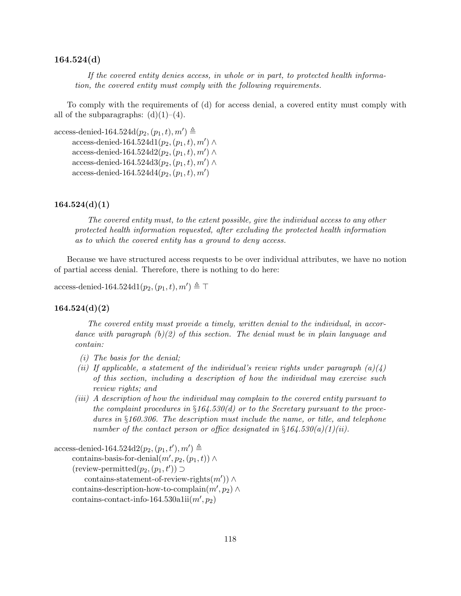## 164.524(d)

If the covered entity denies access, in whole or in part, to protected health information, the covered entity must comply with the following requirements.

To comply with the requirements of (d) for access denial, a covered entity must comply with all of the subparagraphs:  $(d)(1)-(4)$ .

access-denied-164.524d $(p_2,(p_1,t),m') \triangleq$ access-denied-164.524d1 $(p_2,(p_1,t),m') \wedge$ access-denied-164.524d2 $(p_2,(p_1,t),m') \wedge$ access-denied-164.524d3 $(p_2,(p_1,t),m') \wedge$  $access\text{-denied-164.524d4}(p_2,(p_1,t),m')$ 

#### $164.524(d)(1)$

The covered entity must, to the extent possible, give the individual access to any other protected health information requested, after excluding the protected health information as to which the covered entity has a ground to deny access.

Because we have structured access requests to be over individual attributes, we have no notion of partial access denial. Therefore, there is nothing to do here:

access-denied-164.524d1 $(p_2,(p_1,t),m') \triangleq \top$ 

#### $164.524(d)(2)$

The covered entity must provide a timely, written denial to the individual, in accordance with paragraph  $(b)(2)$  of this section. The denial must be in plain language and contain:

- (i) The basis for the denial;
- (ii) If applicable, a statement of the individual's review rights under paragraph  $(a)(4)$ of this section, including a description of how the individual may exercise such review rights; and
- (iii) A description of how the individual may complain to the covered entity pursuant to the complaint procedures in  $\S164.530(d)$  or to the Secretary pursuant to the procedures in §160.306. The description must include the name, or title, and telephone number of the contact person or office designated in  $\S 164.530(a)(1)(ii)$ .

access-denied-164.524d2 $(p_2, (p_1, t'), m') \triangleq$ 

contains-basis-for-denial $(m', p_2, (p_1, t)) \wedge$  $(review\text{-}permitted(p_2,(p_1, t')) \supset$ contains-statement-of-review-rights $(m')$ ) ∧

contains-description-how-to-complain $(m', p_2) \wedge$  $\text{contains-contact-info-164.530a1ii}(m', p_2)$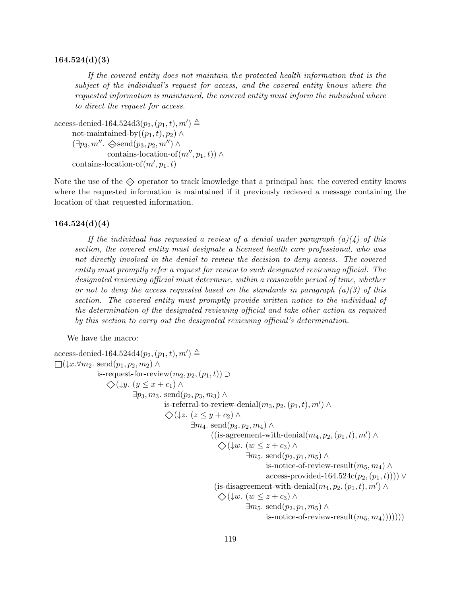#### $164.524(d)(3)$

If the covered entity does not maintain the protected health information that is the subject of the individual's request for access, and the covered entity knows where the requested information is maintained, the covered entity must inform the individual where to direct the request for access.

```
access-denied-164.524d3(p_2, (p_1, t), m') \triangleqnot-maintained-by((p_1, t), p_2) \wedge(\exists p_3, m'' \ldots \diamondsuit \text{send}(p_3, p_2, m'') \wedgecontains-location-of(m'', p_1, t)) ∧
 contains-location-of (m', p_1, t)
```
Note the use of the  $\Diamond$  operator to track knowledge that a principal has: the covered entity knows where the requested information is maintained if it previously recieved a message containing the location of that requested information.

#### $164.524(d)(4)$

If the individual has requested a review of a denial under paragraph  $(a)(4)$  of this section, the covered entity must designate a licensed health care professional, who was not directly involved in the denial to review the decision to deny access. The covered entity must promptly refer a request for review to such designated reviewing official. The designated reviewing official must determine, within a reasonable period of time, whether or not to deny the access requested based on the standards in paragraph  $(a)(3)$  of this section. The covered entity must promptly provide written notice to the individual of the determination of the designated reviewing official and take other action as required by this section to carry out the designated reviewing official's determination.

We have the macro:

```
access-denied-164.524d4(p_2, (p_1, t), m') \triangleq\Box(\downarrow x.\forall m_2. \text{ send}(p_1, p_2, m_2) \landis-request-for-review(m_2, p_2, (p_1, t)) \supset\diamondsuit(\downarrowy. (y ≤ x + c<sub>1</sub>) ∧
                          \exists p_3, m_3. send(p_2, p_3, m_3) \wedgeis-referral-to-review-denial(m_3, p_2, (p_1, t), m') \wedge\diamondsuit(\downarrowz. (z \leq y + c_2) ∧
                                                  \exists m_4. send(p_3, p_2, m_4) \wedge((is-agreement-with-denial(m_4, p_2, (p_1, t), m') \wedge\diamondsuit(\downarrow w. (w \leq z + c_3))
                                                                         \exists m_5. send(p_2, p_1, m_5) \wedgeis-notice-of-review-result(m_5, m_4) \wedgeaccess-provided-164.524c(p_2,(p_1,t)))) ∨
                                                            (is-disagreement-with-denial(m_4, p_2, (p_1, t), m') \wedge\diamondsuit(\downarrow w. (w \leq z + c_3))
                                                                         \exists m_5. send(p_2, p_1, m_5) \wedgeis-notice-of-review-result(m_5, m_4)))))))
```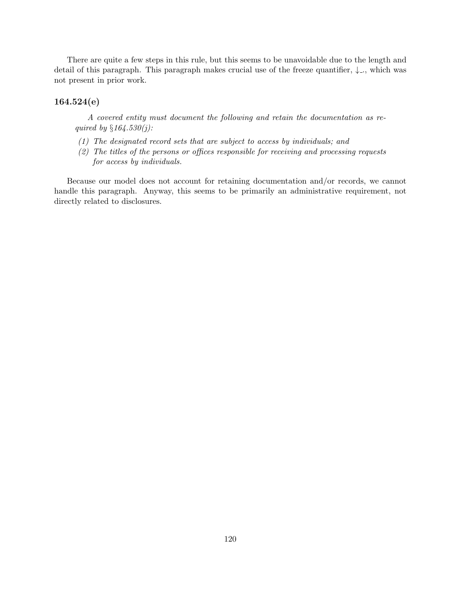There are quite a few steps in this rule, but this seems to be unavoidable due to the length and detail of this paragraph. This paragraph makes crucial use of the freeze quantifier,  $\downarrow$ ., which was not present in prior work.

## 164.524(e)

A covered entity must document the following and retain the documentation as required by  $§164.530(j)$ :

- (1) The designated record sets that are subject to access by individuals; and
- (2) The titles of the persons or offices responsible for receiving and processing requests for access by individuals.

Because our model does not account for retaining documentation and/or records, we cannot handle this paragraph. Anyway, this seems to be primarily an administrative requirement, not directly related to disclosures.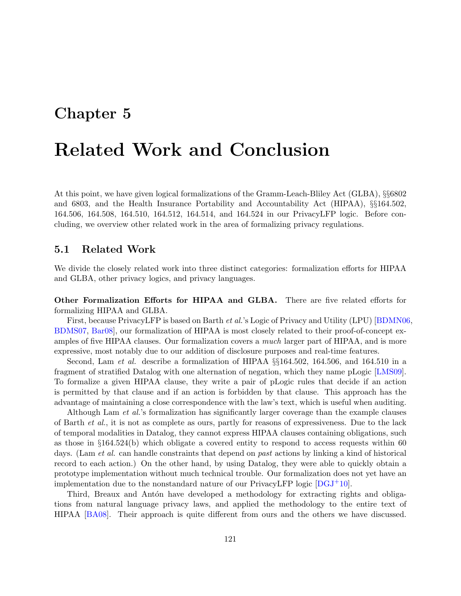# Chapter 5

# Related Work and Conclusion

At this point, we have given logical formalizations of the Gramm-Leach-Bliley Act (GLBA), §§6802 and 6803, and the Health Insurance Portability and Accountability Act (HIPAA), §§164.502, 164.506, 164.508, 164.510, 164.512, 164.514, and 164.524 in our PrivacyLFP logic. Before concluding, we overview other related work in the area of formalizing privacy regulations.

## 5.1 Related Work

We divide the closely related work into three distinct categories: formalization efforts for HIPAA and GLBA, other privacy logics, and privacy languages.

Other Formalization Efforts for HIPAA and GLBA. There are five related efforts for formalizing HIPAA and GLBA.

First, because PrivacyLFP is based on Barth et al.'s Logic of Privacy and Utility (LPU) [\[BDMN06,](#page-125-0) [BDMS07,](#page-125-1) [Bar08\]](#page-125-2), our formalization of HIPAA is most closely related to their proof-of-concept examples of five HIPAA clauses. Our formalization covers a much larger part of HIPAA, and is more expressive, most notably due to our addition of disclosure purposes and real-time features.

Second, Lam et al. describe a formalization of HIPAA §§164.502, 164.506, and 164.510 in a fragment of stratified Datalog with one alternation of negation, which they name pLogic [\[LMS09\]](#page-126-0). To formalize a given HIPAA clause, they write a pair of pLogic rules that decide if an action is permitted by that clause and if an action is forbidden by that clause. This approach has the advantage of maintaining a close correspondence with the law's text, which is useful when auditing.

Although Lam *et al.*'s formalization has significantly larger coverage than the example clauses of Barth et al., it is not as complete as ours, partly for reasons of expressiveness. Due to the lack of temporal modalities in Datalog, they cannot express HIPAA clauses containing obligations, such as those in §164.524(b) which obligate a covered entity to respond to access requests within 60 days. (Lam *et al.* can handle constraints that depend on *past* actions by linking a kind of historical record to each action.) On the other hand, by using Datalog, they were able to quickly obtain a prototype implementation without much technical trouble. Our formalization does not yet have an implementation due to the nonstandard nature of our PrivacyLFP logic  $[DGJ^+10]$ .

Third, Breaux and Antón have developed a methodology for extracting rights and obligations from natural language privacy laws, and applied the methodology to the entire text of HIPAA [\[BA08\]](#page-125-3). Their approach is quite different from ours and the others we have discussed.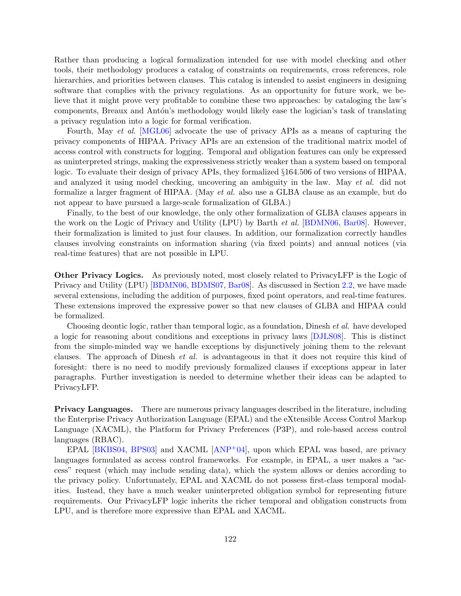Rather than producing a logical formalization intended for use with model checking and other tools, their methodology produces a catalog of constraints on requirements, cross references, role hierarchies, and priorities between clauses. This catalog is intended to assist engineers in designing software that complies with the privacy regulations. As an opportunity for future work, we believe that it might prove very profitable to combine these two approaches: by cataloging the law's components, Breaux and Antón's methodology would likely ease the logician's task of translating a privacy regulation into a logic for formal verification.

Fourth, May *et al.* [\[MGL06\]](#page-126-2) advocate the use of privacy APIs as a means of capturing the privacy components of HIPAA. Privacy APIs are an extension of the traditional matrix model of access control with constructs for logging. Temporal and obligation features can only be expressed as uninterpreted strings, making the expressiveness strictly weaker than a system based on temporal logic. To evaluate their design of privacy APIs, they formalized §164.506 of two versions of HIPAA, and analyzed it using model checking, uncovering an ambiguity in the law. May et al. did not formalize a larger fragment of HIPAA. (May et al. also use a GLBA clause as an example, but do not appear to have pursued a large-scale formalization of GLBA.)

Finally, to the best of our knowledge, the only other formalization of GLBA clauses appears in the work on the Logic of Privacy and Utility (LPU) by Barth et al. [\[BDMN06,](#page-125-0) [Bar08\]](#page-125-2). However, their formalization is limited to just four clauses. In addition, our formalization correctly handles clauses involving constraints on information sharing (via fixed points) and annual notices (via real-time features) that are not possible in LPU.

Other Privacy Logics. As previously noted, most closely related to PrivacyLFP is the Logic of Privacy and Utility (LPU) [\[BDMN06,](#page-125-0) [BDMS07,](#page-125-1) [Bar08\]](#page-125-2). As discussed in Section [2.2,](#page-7-0) we have made several extensions, including the addition of purposes, fixed point operators, and real-time features. These extensions improved the expressive power so that new clauses of GLBA and HIPAA could be formalized.

Choosing deontic logic, rather than temporal logic, as a foundation, Dinesh *et al.* have developed a logic for reasoning about conditions and exceptions in privacy laws [\[DJLS08\]](#page-126-3). This is distinct from the simple-minded way we handle exceptions by disjunctively joining them to the relevant clauses. The approach of Dinesh et al. is advantageous in that it does not require this kind of foresight: there is no need to modify previously formalized clauses if exceptions appear in later paragraphs. Further investigation is needed to determine whether their ideas can be adapted to PrivacyLFP.

Privacy Languages. There are numerous privacy languages described in the literature, including the Enterprise Privacy Authorization Language (EPAL) and the eXtensible Access Control Markup Language (XACML), the Platform for Privacy Preferences (P3P), and role-based access control languages (RBAC).

EPAL [\[BKBS04,](#page-126-4) [BPS03\]](#page-126-5) and XACML [\[ANP](#page-125-4)+04], upon which EPAL was based, are privacy languages formulated as access control frameworks. For example, in EPAL, a user makes a "access" request (which may include sending data), which the system allows or denies according to the privacy policy. Unfortunately, EPAL and XACML do not possess first-class temporal modalities. Instead, they have a much weaker uninterpreted obligation symbol for representing future requirements. Our PrivacyLFP logic inherits the richer temporal and obligation constructs from LPU, and is therefore more expressive than EPAL and XACML.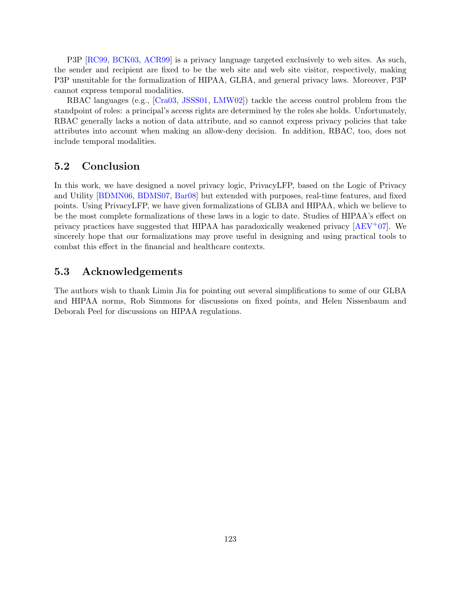P3P [\[RC99,](#page-127-0) [BCK03,](#page-125-5) [ACR99\]](#page-125-6) is a privacy language targeted exclusively to web sites. As such, the sender and recipient are fixed to be the web site and web site visitor, respectively, making P3P unsuitable for the formalization of HIPAA, GLBA, and general privacy laws. Moreover, P3P cannot express temporal modalities.

RBAC languages (e.g., [\[Cra03,](#page-126-6) [JSSS01,](#page-126-7) [LMW02\]](#page-126-8)) tackle the access control problem from the standpoint of roles: a principal's access rights are determined by the roles she holds. Unfortunately, RBAC generally lacks a notion of data attribute, and so cannot express privacy policies that take attributes into account when making an allow-deny decision. In addition, RBAC, too, does not include temporal modalities.

## 5.2 Conclusion

In this work, we have designed a novel privacy logic, PrivacyLFP, based on the Logic of Privacy and Utility [\[BDMN06,](#page-125-0) [BDMS07,](#page-125-1) [Bar08\]](#page-125-2) but extended with purposes, real-time features, and fixed points. Using PrivacyLFP, we have given formalizations of GLBA and HIPAA, which we believe to be the most complete formalizations of these laws in a logic to date. Studies of HIPAA's effect on privacy practices have suggested that HIPAA has paradoxically weakened privacy  $AEV^+07$ . We sincerely hope that our formalizations may prove useful in designing and using practical tools to combat this effect in the financial and healthcare contexts.

## 5.3 Acknowledgements

The authors wish to thank Limin Jia for pointing out several simplifications to some of our GLBA and HIPAA norms, Rob Simmons for discussions on fixed points, and Helen Nissenbaum and Deborah Peel for discussions on HIPAA regulations.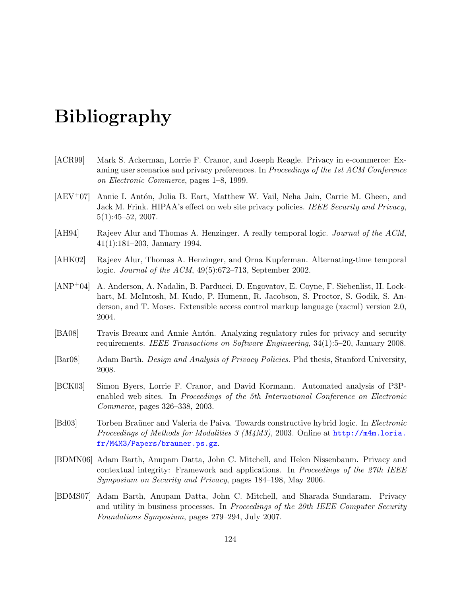# Bibliography

- <span id="page-125-6"></span>[ACR99] Mark S. Ackerman, Lorrie F. Cranor, and Joseph Reagle. Privacy in e-commerce: Examing user scenarios and privacy preferences. In Proceedings of the 1st ACM Conference on Electronic Commerce, pages 1–8, 1999.
- <span id="page-125-7"></span>[AEV<sup>+</sup>07] Annie I. Antón, Julia B. Eart, Matthew W. Vail, Neha Jain, Carrie M. Gheen, and Jack M. Frink. HIPAA's effect on web site privacy policies. IEEE Security and Privacy, 5(1):45–52, 2007.
- [AH94] Rajeev Alur and Thomas A. Henzinger. A really temporal logic. Journal of the ACM, 41(1):181–203, January 1994.
- [AHK02] Rajeev Alur, Thomas A. Henzinger, and Orna Kupferman. Alternating-time temporal logic. Journal of the ACM, 49(5):672–713, September 2002.
- <span id="page-125-4"></span>[ANP+04] A. Anderson, A. Nadalin, B. Parducci, D. Engovatov, E. Coyne, F. Siebenlist, H. Lockhart, M. McIntosh, M. Kudo, P. Humenn, R. Jacobson, S. Proctor, S. Godik, S. Anderson, and T. Moses. Extensible access control markup language (xacml) version 2.0, 2004.
- <span id="page-125-3"></span>[BA08] Travis Breaux and Annie Antón. Analyzing regulatory rules for privacy and security requirements. IEEE Transactions on Software Engineering, 34(1):5–20, January 2008.
- <span id="page-125-2"></span>[Bar08] Adam Barth. *Design and Analysis of Privacy Policies*. Phd thesis, Stanford University, 2008.
- <span id="page-125-5"></span>[BCK03] Simon Byers, Lorrie F. Cranor, and David Kormann. Automated analysis of P3Penabled web sites. In Proceedings of the 5th International Conference on Electronic Commerce, pages 326–338, 2003.
- [Bd03] Torben Braüner and Valeria de Paiva. Towards constructive hybrid logic. In *Electronic* Proceedings of Methods for Modalities 3 (M4M3), 2003. Online at [http://m4m.loria.](http://m4m.loria.fr/M4M3/Papers/brauner.ps.gz) [fr/M4M3/Papers/brauner.ps.gz](http://m4m.loria.fr/M4M3/Papers/brauner.ps.gz).
- <span id="page-125-0"></span>[BDMN06] Adam Barth, Anupam Datta, John C. Mitchell, and Helen Nissenbaum. Privacy and contextual integrity: Framework and applications. In Proceedings of the 27th IEEE Symposium on Security and Privacy, pages 184–198, May 2006.
- <span id="page-125-1"></span>[BDMS07] Adam Barth, Anupam Datta, John C. Mitchell, and Sharada Sundaram. Privacy and utility in business processes. In Proceedings of the 20th IEEE Computer Security Foundations Symposium, pages 279–294, July 2007.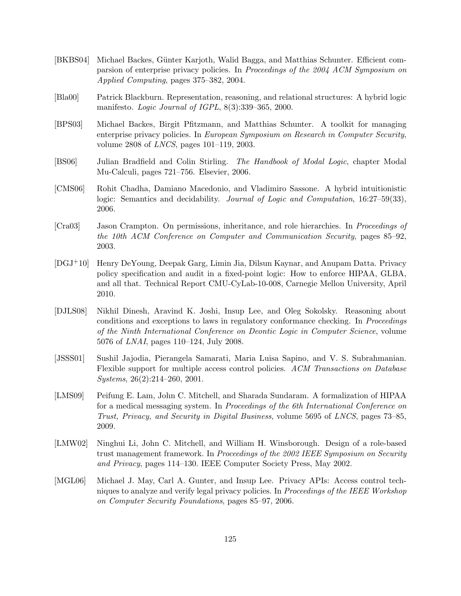- <span id="page-126-4"></span>[BKBS04] Michael Backes, Günter Karjoth, Walid Bagga, and Matthias Schunter. Efficient comparsion of enterprise privacy policies. In Proceedings of the 2004 ACM Symposium on Applied Computing, pages 375–382, 2004.
- [Bla00] Patrick Blackburn. Representation, reasoning, and relational structures: A hybrid logic manifesto. Logic Journal of IGPL, 8(3):339–365, 2000.
- <span id="page-126-5"></span>[BPS03] Michael Backes, Birgit Pfitzmann, and Matthias Schunter. A toolkit for managing enterprise privacy policies. In European Symposium on Research in Computer Security, volume 2808 of LNCS, pages 101–119, 2003.
- [BS06] Julian Bradfield and Colin Stirling. The Handbook of Modal Logic, chapter Modal Mu-Calculi, pages 721–756. Elsevier, 2006.
- [CMS06] Rohit Chadha, Damiano Macedonio, and Vladimiro Sassone. A hybrid intuitionistic logic: Semantics and decidability. *Journal of Logic and Computation*, 16:27–59(33), 2006.
- <span id="page-126-6"></span>[Cra03] Jason Crampton. On permissions, inheritance, and role hierarchies. In Proceedings of the 10th ACM Conference on Computer and Communication Security, pages 85–92, 2003.
- <span id="page-126-1"></span>[DGJ+10] Henry DeYoung, Deepak Garg, Limin Jia, Dilsun Kaynar, and Anupam Datta. Privacy policy specification and audit in a fixed-point logic: How to enforce HIPAA, GLBA, and all that. Technical Report CMU-CyLab-10-008, Carnegie Mellon University, April 2010.
- <span id="page-126-3"></span>[DJLS08] Nikhil Dinesh, Aravind K. Joshi, Insup Lee, and Oleg Sokolsky. Reasoning about conditions and exceptions to laws in regulatory conformance checking. In Proceedings of the Ninth International Conference on Deontic Logic in Computer Science, volume 5076 of LNAI, pages 110–124, July 2008.
- <span id="page-126-7"></span>[JSSS01] Sushil Jajodia, Pierangela Samarati, Maria Luisa Sapino, and V. S. Subrahmanian. Flexible support for multiple access control policies. ACM Transactions on Database Systems, 26(2):214–260, 2001.
- <span id="page-126-0"></span>[LMS09] Peifung E. Lam, John C. Mitchell, and Sharada Sundaram. A formalization of HIPAA for a medical messaging system. In Proceedings of the 6th International Conference on Trust, Privacy, and Security in Digital Business, volume 5695 of LNCS, pages 73–85, 2009.
- <span id="page-126-8"></span>[LMW02] Ninghui Li, John C. Mitchell, and William H. Winsborough. Design of a role-based trust management framework. In Proceedings of the 2002 IEEE Symposium on Security and Privacy, pages 114–130. IEEE Computer Society Press, May 2002.
- <span id="page-126-2"></span>[MGL06] Michael J. May, Carl A. Gunter, and Insup Lee. Privacy APIs: Access control techniques to analyze and verify legal privacy policies. In Proceedings of the IEEE Workshop on Computer Security Foundations, pages 85–97, 2006.